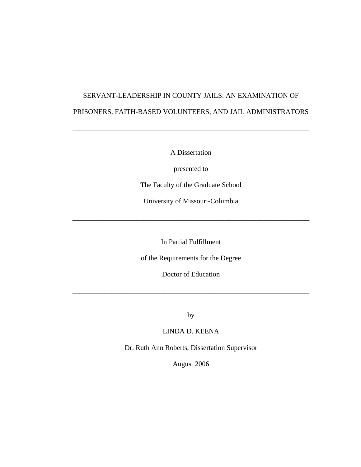# SERVANT-LEADERSHIP IN COUNTY JAILS: AN EXAMINATION OF PRISONERS, FAITH-BASED VOLUNTEERS, AND JAIL ADMINISTRATORS

A Dissertation

\_\_\_\_\_\_\_\_\_\_\_\_\_\_\_\_\_\_\_\_\_\_\_\_\_\_\_\_\_\_\_\_\_\_\_\_\_\_\_\_\_\_\_\_\_\_\_\_\_\_\_\_\_\_\_\_\_\_\_\_\_\_\_\_\_\_\_

presented to

The Faculty of the Graduate School

University of Missouri-Columbia

\_\_\_\_\_\_\_\_\_\_\_\_\_\_\_\_\_\_\_\_\_\_\_\_\_\_\_\_\_\_\_\_\_\_\_\_\_\_\_\_\_\_\_\_\_\_\_\_\_\_\_\_\_\_\_\_\_\_\_\_\_\_\_\_\_\_\_

In Partial Fulfillment

of the Requirements for the Degree

Doctor of Education

\_\_\_\_\_\_\_\_\_\_\_\_\_\_\_\_\_\_\_\_\_\_\_\_\_\_\_\_\_\_\_\_\_\_\_\_\_\_\_\_\_\_\_\_\_\_\_\_\_\_\_\_\_\_\_\_\_\_\_\_\_\_\_\_\_\_\_

by

LINDA D. KEENA

Dr. Ruth Ann Roberts, Dissertation Supervisor

August 2006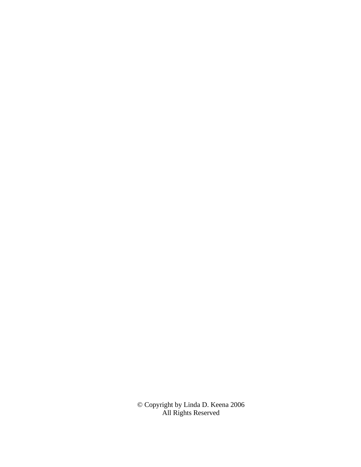© Copyright by Linda D. Keena 2006 All Rights Reserved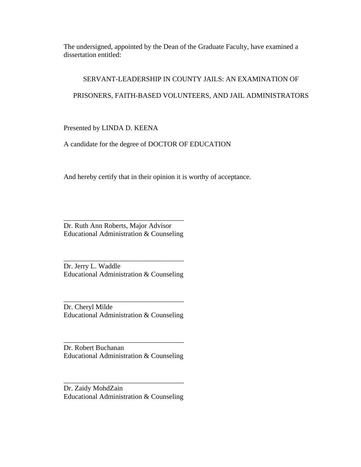The undersigned, appointed by the Dean of the Graduate Faculty, have examined a dissertation entitled:

# SERVANT-LEADERSHIP IN COUNTY JAILS: AN EXAMINATION OF

# PRISONERS, FAITH-BASED VOLUNTEERS, AND JAIL ADMINISTRATORS

Presented by LINDA D. KEENA

A candidate for the degree of DOCTOR OF EDUCATION

And hereby certify that in their opinion it is worthy of acceptance.

Dr. Ruth Ann Roberts, Major Advisor Educational Administration & Counseling

\_\_\_\_\_\_\_\_\_\_\_\_\_\_\_\_\_\_\_\_\_\_\_\_\_\_\_\_\_\_\_\_\_\_

Dr. Jerry L. Waddle Educational Administration & Counseling

\_\_\_\_\_\_\_\_\_\_\_\_\_\_\_\_\_\_\_\_\_\_\_\_\_\_\_\_\_\_\_\_\_\_

\_\_\_\_\_\_\_\_\_\_\_\_\_\_\_\_\_\_\_\_\_\_\_\_\_\_\_\_\_\_\_\_\_\_ Dr. Cheryl Milde Educational Administration & Counseling

Dr. Robert Buchanan Educational Administration & Counseling

\_\_\_\_\_\_\_\_\_\_\_\_\_\_\_\_\_\_\_\_\_\_\_\_\_\_\_\_\_\_\_\_\_\_

Dr. Zaidy MohdZain Educational Administration & Counseling

\_\_\_\_\_\_\_\_\_\_\_\_\_\_\_\_\_\_\_\_\_\_\_\_\_\_\_\_\_\_\_\_\_\_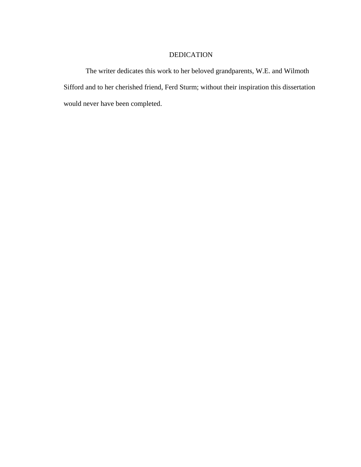# DEDICATION

The writer dedicates this work to her beloved grandparents, W.E. and Wilmoth Sifford and to her cherished friend, Ferd Sturm; without their inspiration this dissertation would never have been completed.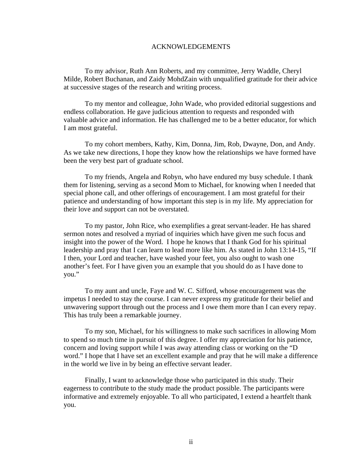#### ACKNOWLEDGEMENTS

 To my advisor, Ruth Ann Roberts, and my committee, Jerry Waddle, Cheryl Milde, Robert Buchanan, and Zaidy MohdZain with unqualified gratitude for their advice at successive stages of the research and writing process.

 To my mentor and colleague, John Wade, who provided editorial suggestions and endless collaboration. He gave judicious attention to requests and responded with valuable advice and information. He has challenged me to be a better educator, for which I am most grateful.

 To my cohort members, Kathy, Kim, Donna, Jim, Rob, Dwayne, Don, and Andy. As we take new directions, I hope they know how the relationships we have formed have been the very best part of graduate school.

 To my friends, Angela and Robyn, who have endured my busy schedule. I thank them for listening, serving as a second Mom to Michael, for knowing when I needed that special phone call, and other offerings of encouragement. I am most grateful for their patience and understanding of how important this step is in my life. My appreciation for their love and support can not be overstated.

 To my pastor, John Rice, who exemplifies a great servant-leader. He has shared sermon notes and resolved a myriad of inquiries which have given me such focus and insight into the power of the Word. I hope he knows that I thank God for his spiritual leadership and pray that I can learn to lead more like him. As stated in John 13:14-15, "If I then, your Lord and teacher, have washed your feet, you also ought to wash one another's feet. For I have given you an example that you should do as I have done to you."

 To my aunt and uncle, Faye and W. C. Sifford, whose encouragement was the impetus I needed to stay the course. I can never express my gratitude for their belief and unwavering support through out the process and I owe them more than I can every repay. This has truly been a remarkable journey.

 To my son, Michael, for his willingness to make such sacrifices in allowing Mom to spend so much time in pursuit of this degree. I offer my appreciation for his patience, concern and loving support while I was away attending class or working on the "D word." I hope that I have set an excellent example and pray that he will make a difference in the world we live in by being an effective servant leader.

 Finally, I want to acknowledge those who participated in this study. Their eagerness to contribute to the study made the product possible. The participants were informative and extremely enjoyable. To all who participated, I extend a heartfelt thank you.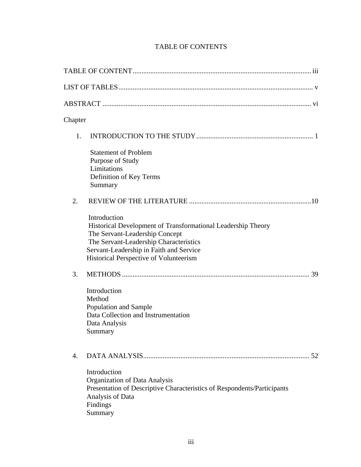# TABLE OF CONTENTS

| Chapter          |                                                                                                                                                                                                                                               |
|------------------|-----------------------------------------------------------------------------------------------------------------------------------------------------------------------------------------------------------------------------------------------|
| 1.               |                                                                                                                                                                                                                                               |
|                  | <b>Statement of Problem</b><br>Purpose of Study<br>Limitations<br>Definition of Key Terms<br>Summary                                                                                                                                          |
| 2.               |                                                                                                                                                                                                                                               |
|                  | Introduction<br>Historical Development of Transformational Leadership Theory<br>The Servant-Leadership Concept<br>The Servant-Leadership Characteristics<br>Servant-Leadership in Faith and Service<br>Historical Perspective of Volunteerism |
| 3.               |                                                                                                                                                                                                                                               |
|                  | Introduction<br>Method<br>Population and Sample<br>Data Collection and Instrumentation<br>Data Analysis<br>Summary                                                                                                                            |
| $\overline{4}$ . |                                                                                                                                                                                                                                               |
|                  | Introduction<br>Organization of Data Analysis<br>Presentation of Descriptive Characteristics of Respondents/Participants<br>Analysis of Data<br>Findings<br>Summary                                                                           |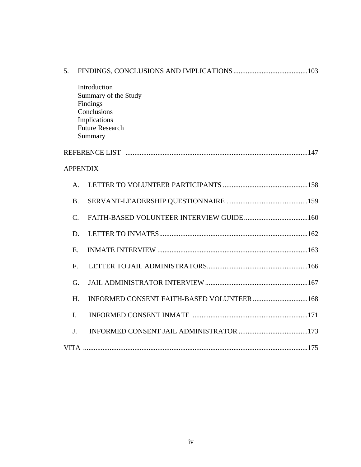| 5.              |                 |                                                                                                                      |  |  |  |
|-----------------|-----------------|----------------------------------------------------------------------------------------------------------------------|--|--|--|
|                 |                 | Introduction<br>Summary of the Study<br>Findings<br>Conclusions<br>Implications<br><b>Future Research</b><br>Summary |  |  |  |
|                 |                 |                                                                                                                      |  |  |  |
| <b>APPENDIX</b> |                 |                                                                                                                      |  |  |  |
|                 | A.              |                                                                                                                      |  |  |  |
|                 | <b>B.</b>       |                                                                                                                      |  |  |  |
|                 | $\mathcal{C}$ . |                                                                                                                      |  |  |  |
|                 | D.              |                                                                                                                      |  |  |  |
| E.              |                 |                                                                                                                      |  |  |  |
| $F_{\cdot}$     |                 |                                                                                                                      |  |  |  |
|                 | G.              |                                                                                                                      |  |  |  |
|                 | H.              | INFORMED CONSENT FAITH-BASED VOLUNTEER 168                                                                           |  |  |  |
| $\mathbf{I}$ .  |                 |                                                                                                                      |  |  |  |
| J.              |                 |                                                                                                                      |  |  |  |
|                 |                 |                                                                                                                      |  |  |  |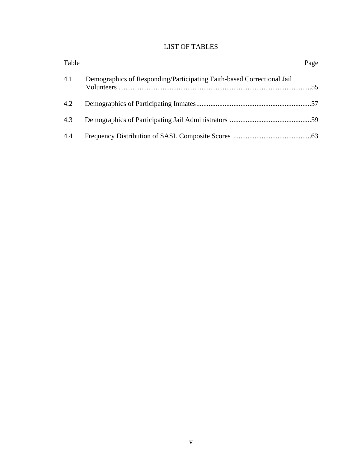# LIST OF TABLES

| Table |                                                                        | Page |
|-------|------------------------------------------------------------------------|------|
| 4.1   | Demographics of Responding/Participating Faith-based Correctional Jail |      |
| 4.2   |                                                                        |      |
| 4.3   |                                                                        |      |
| 4.4   |                                                                        |      |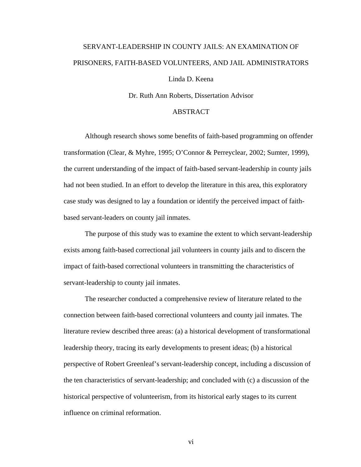# SERVANT-LEADERSHIP IN COUNTY JAILS: AN EXAMINATION OF PRISONERS, FAITH-BASED VOLUNTEERS, AND JAIL ADMINISTRATORS

# Linda D. Keena

Dr. Ruth Ann Roberts, Dissertation Advisor

## ABSTRACT

Although research shows some benefits of faith-based programming on offender transformation (Clear, & Myhre, 1995; O'Connor & Perreyclear, 2002; Sumter, 1999), the current understanding of the impact of faith-based servant-leadership in county jails had not been studied. In an effort to develop the literature in this area, this exploratory case study was designed to lay a foundation or identify the perceived impact of faithbased servant-leaders on county jail inmates.

The purpose of this study was to examine the extent to which servant-leadership exists among faith-based correctional jail volunteers in county jails and to discern the impact of faith-based correctional volunteers in transmitting the characteristics of servant-leadership to county jail inmates.

The researcher conducted a comprehensive review of literature related to the connection between faith-based correctional volunteers and county jail inmates. The literature review described three areas: (a) a historical development of transformational leadership theory, tracing its early developments to present ideas; (b) a historical perspective of Robert Greenleaf's servant-leadership concept, including a discussion of the ten characteristics of servant-leadership; and concluded with (c) a discussion of the historical perspective of volunteerism, from its historical early stages to its current influence on criminal reformation.

vi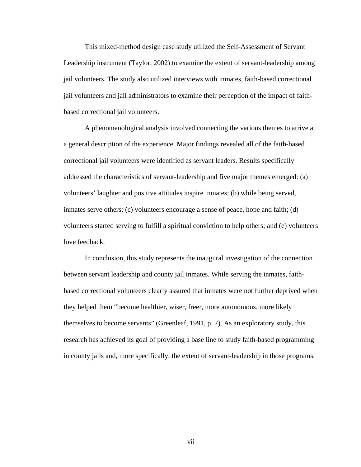This mixed-method design case study utilized the Self-Assessment of Servant Leadership instrument (Taylor, 2002) to examine the extent of servant-leadership among jail volunteers. The study also utilized interviews with inmates, faith-based correctional jail volunteers and jail administrators to examine their perception of the impact of faithbased correctional jail volunteers.

A phenomenological analysis involved connecting the various themes to arrive at a general description of the experience. Major findings revealed all of the faith-based correctional jail volunteers were identified as servant leaders. Results specifically addressed the characteristics of servant-leadership and five major themes emerged: (a) volunteers' laughter and positive attitudes inspire inmates; (b) while being served, inmates serve others; (c) volunteers encourage a sense of peace, hope and faith; (d) volunteers started serving to fulfill a spiritual conviction to help others; and (e) volunteers love feedback.

In conclusion, this study represents the inaugural investigation of the connection between servant leadership and county jail inmates. While serving the inmates, faithbased correctional volunteers clearly assured that inmates were not further deprived when they helped them "become healthier, wiser, freer, more autonomous, more likely themselves to become servants" (Greenleaf, 1991, p. 7). As an exploratory study, this research has achieved its goal of providing a base line to study faith-based programming in county jails and, more specifically, the extent of servant-leadership in those programs.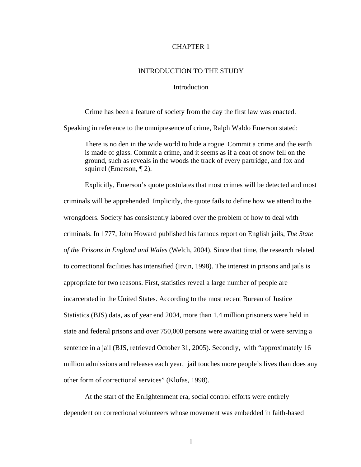#### CHAPTER 1

#### INTRODUCTION TO THE STUDY

#### Introduction

 Crime has been a feature of society from the day the first law was enacted. Speaking in reference to the omnipresence of crime, Ralph Waldo Emerson stated:

 There is no den in the wide world to hide a rogue. Commit a crime and the earth is made of glass. Commit a crime, and it seems as if a coat of snow fell on the ground, such as reveals in the woods the track of every partridge, and fox and squirrel (Emerson, ¶ 2).

 Explicitly, Emerson's quote postulates that most crimes will be detected and most criminals will be apprehended. Implicitly, the quote fails to define how we attend to the wrongdoers. Society has consistently labored over the problem of how to deal with criminals. In 1777, John Howard published his famous report on English jails, *The State of the Prisons in England and Wales* (Welch, 2004). Since that time, the research related to correctional facilities has intensified (Irvin, 1998). The interest in prisons and jails is appropriate for two reasons. First, statistics reveal a large number of people are incarcerated in the United States. According to the most recent Bureau of Justice Statistics (BJS) data, as of year end 2004, more than 1.4 million prisoners were held in state and federal prisons and over 750,000 persons were awaiting trial or were serving a sentence in a jail (BJS, retrieved October 31, 2005). Secondly, with "approximately 16 million admissions and releases each year, jail touches more people's lives than does any other form of correctional services" (Klofas, 1998).

 At the start of the Enlightenment era, social control efforts were entirely dependent on correctional volunteers whose movement was embedded in faith-based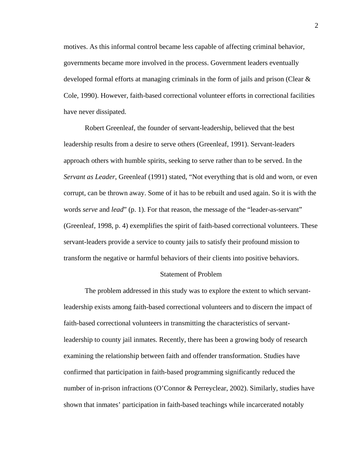motives. As this informal control became less capable of affecting criminal behavior, governments became more involved in the process. Government leaders eventually developed formal efforts at managing criminals in the form of jails and prison (Clear & Cole, 1990). However, faith-based correctional volunteer efforts in correctional facilities have never dissipated.

 Robert Greenleaf, the founder of servant-leadership, believed that the best leadership results from a desire to serve others (Greenleaf, 1991). Servant-leaders approach others with humble spirits, seeking to serve rather than to be served. In the *Servant as Leader*, Greenleaf (1991) stated, "Not everything that is old and worn, or even corrupt, can be thrown away. Some of it has to be rebuilt and used again. So it is with the words *serve* and *lead*" (p. 1). For that reason, the message of the "leader-as-servant" (Greenleaf, 1998, p. 4) exemplifies the spirit of faith-based correctional volunteers. These servant-leaders provide a service to county jails to satisfy their profound mission to transform the negative or harmful behaviors of their clients into positive behaviors.

#### Statement of Problem

 The problem addressed in this study was to explore the extent to which servantleadership exists among faith-based correctional volunteers and to discern the impact of faith-based correctional volunteers in transmitting the characteristics of servantleadership to county jail inmates. Recently, there has been a growing body of research examining the relationship between faith and offender transformation. Studies have confirmed that participation in faith-based programming significantly reduced the number of in-prison infractions (O'Connor & Perreyclear, 2002). Similarly, studies have shown that inmates' participation in faith-based teachings while incarcerated notably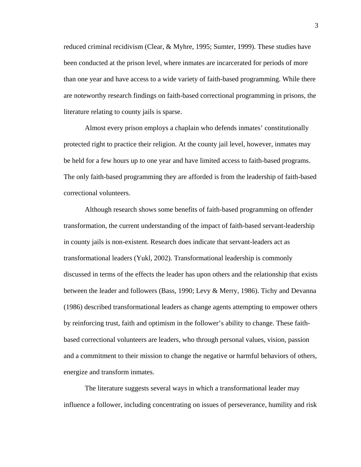reduced criminal recidivism (Clear, & Myhre, 1995; Sumter, 1999). These studies have been conducted at the prison level, where inmates are incarcerated for periods of more than one year and have access to a wide variety of faith-based programming. While there are noteworthy research findings on faith-based correctional programming in prisons, the literature relating to county jails is sparse.

 Almost every prison employs a chaplain who defends inmates' constitutionally protected right to practice their religion. At the county jail level, however, inmates may be held for a few hours up to one year and have limited access to faith-based programs. The only faith-based programming they are afforded is from the leadership of faith-based correctional volunteers.

 Although research shows some benefits of faith-based programming on offender transformation, the current understanding of the impact of faith-based servant-leadership in county jails is non-existent. Research does indicate that servant-leaders act as transformational leaders (Yukl, 2002). Transformational leadership is commonly discussed in terms of the effects the leader has upon others and the relationship that exists between the leader and followers (Bass, 1990; Levy & Merry, 1986). Tichy and Devanna (1986) described transformational leaders as change agents attempting to empower others by reinforcing trust, faith and optimism in the follower's ability to change. These faithbased correctional volunteers are leaders, who through personal values, vision, passion and a commitment to their mission to change the negative or harmful behaviors of others, energize and transform inmates.

 The literature suggests several ways in which a transformational leader may influence a follower, including concentrating on issues of perseverance, humility and risk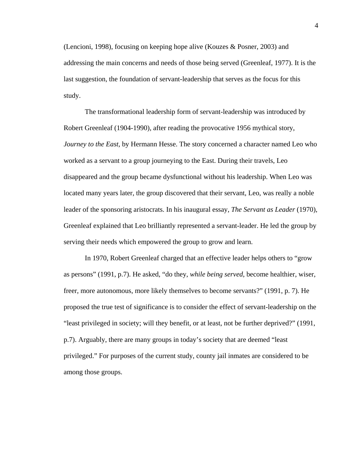(Lencioni, 1998), focusing on keeping hope alive (Kouzes & Posner, 2003) and addressing the main concerns and needs of those being served (Greenleaf, 1977). It is the last suggestion, the foundation of servant-leadership that serves as the focus for this study.

 The transformational leadership form of servant-leadership was introduced by Robert Greenleaf (1904-1990), after reading the provocative 1956 mythical story, *Journey to the East*, by Hermann Hesse. The story concerned a character named Leo who worked as a servant to a group journeying to the East. During their travels, Leo disappeared and the group became dysfunctional without his leadership. When Leo was located many years later, the group discovered that their servant, Leo, was really a noble leader of the sponsoring aristocrats. In his inaugural essay, *The Servant as Leader* (1970), Greenleaf explained that Leo brilliantly represented a servant-leader. He led the group by serving their needs which empowered the group to grow and learn.

 In 1970, Robert Greenleaf charged that an effective leader helps others to "grow as persons" (1991, p.7). He asked, "do they, *while being served*, become healthier, wiser, freer, more autonomous, more likely themselves to become servants?" (1991, p. 7). He proposed the true test of significance is to consider the effect of servant-leadership on the "least privileged in society; will they benefit, or at least, not be further deprived?" (1991, p.7). Arguably, there are many groups in today's society that are deemed "least privileged." For purposes of the current study, county jail inmates are considered to be among those groups.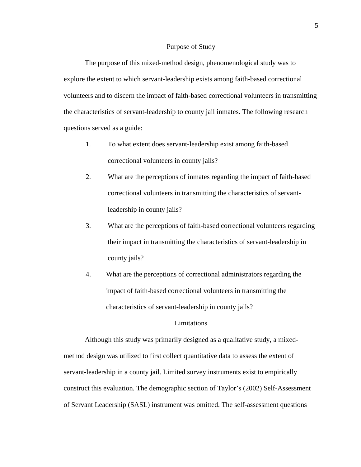#### Purpose of Study

 The purpose of this mixed-method design, phenomenological study was to explore the extent to which servant-leadership exists among faith-based correctional volunteers and to discern the impact of faith-based correctional volunteers in transmitting the characteristics of servant-leadership to county jail inmates. The following research questions served as a guide:

- 1. To what extent does servant-leadership exist among faith-based correctional volunteers in county jails?
- 2. What are the perceptions of inmates regarding the impact of faith-based correctional volunteers in transmitting the characteristics of servantleadership in county jails?
- 3. What are the perceptions of faith-based correctional volunteers regarding their impact in transmitting the characteristics of servant-leadership in county jails?
- 4. What are the perceptions of correctional administrators regarding the impact of faith-based correctional volunteers in transmitting the characteristics of servant-leadership in county jails?

#### Limitations

 Although this study was primarily designed as a qualitative study, a mixedmethod design was utilized to first collect quantitative data to assess the extent of servant-leadership in a county jail. Limited survey instruments exist to empirically construct this evaluation. The demographic section of Taylor's (2002) Self-Assessment of Servant Leadership (SASL) instrument was omitted. The self-assessment questions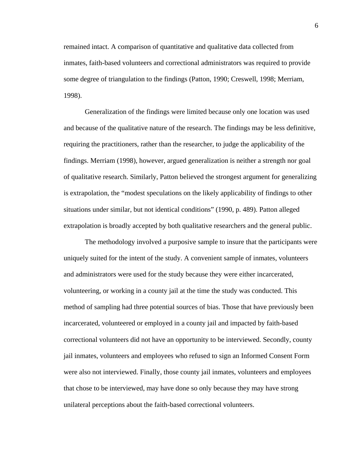remained intact. A comparison of quantitative and qualitative data collected from inmates, faith-based volunteers and correctional administrators was required to provide some degree of triangulation to the findings (Patton, 1990; Creswell, 1998; Merriam, 1998).

 Generalization of the findings were limited because only one location was used and because of the qualitative nature of the research. The findings may be less definitive, requiring the practitioners, rather than the researcher, to judge the applicability of the findings. Merriam (1998), however, argued generalization is neither a strength nor goal of qualitative research. Similarly, Patton believed the strongest argument for generalizing is extrapolation, the "modest speculations on the likely applicability of findings to other situations under similar, but not identical conditions" (1990, p. 489). Patton alleged extrapolation is broadly accepted by both qualitative researchers and the general public.

 The methodology involved a purposive sample to insure that the participants were uniquely suited for the intent of the study. A convenient sample of inmates, volunteers and administrators were used for the study because they were either incarcerated, volunteering, or working in a county jail at the time the study was conducted. This method of sampling had three potential sources of bias. Those that have previously been incarcerated, volunteered or employed in a county jail and impacted by faith-based correctional volunteers did not have an opportunity to be interviewed. Secondly, county jail inmates, volunteers and employees who refused to sign an Informed Consent Form were also not interviewed. Finally, those county jail inmates, volunteers and employees that chose to be interviewed, may have done so only because they may have strong unilateral perceptions about the faith-based correctional volunteers.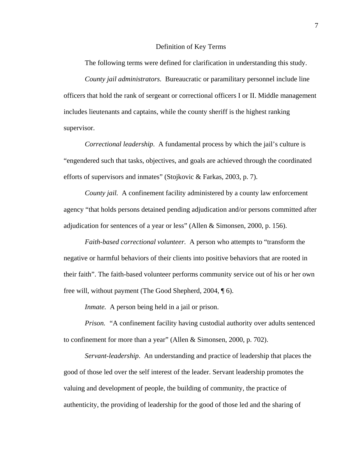#### Definition of Key Terms

The following terms were defined for clarification in understanding this study.

*County jail administrators.* Bureaucratic or paramilitary personnel include line officers that hold the rank of sergeant or correctional officers I or II. Middle management includes lieutenants and captains, while the county sheriff is the highest ranking supervisor.

*Correctional leadership*. A fundamental process by which the jail's culture is "engendered such that tasks, objectives, and goals are achieved through the coordinated efforts of supervisors and inmates" (Stojkovic & Farkas, 2003, p. 7).

*County jail.* A confinement facility administered by a county law enforcement agency "that holds persons detained pending adjudication and/or persons committed after adjudication for sentences of a year or less" (Allen & Simonsen, 2000, p. 156).

*Faith-based correctional volunteer.* A person who attempts to "transform the negative or harmful behaviors of their clients into positive behaviors that are rooted in their faith". The faith-based volunteer performs community service out of his or her own free will, without payment (The Good Shepherd, 2004, ¶ 6).

*Inmate.* A person being held in a jail or prison.

*Prison.* "A confinement facility having custodial authority over adults sentenced to confinement for more than a year" (Allen & Simonsen, 2000, p. 702).

*Servant-leadership*. An understanding and practice of leadership that places the good of those led over the self interest of the leader. Servant leadership promotes the valuing and development of people, the building of community, the practice of authenticity, the providing of leadership for the good of those led and the sharing of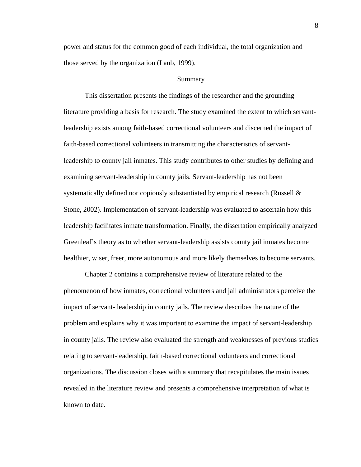power and status for the common good of each individual, the total organization and those served by the organization (Laub, 1999).

#### Summary

 This dissertation presents the findings of the researcher and the grounding literature providing a basis for research. The study examined the extent to which servantleadership exists among faith-based correctional volunteers and discerned the impact of faith-based correctional volunteers in transmitting the characteristics of servantleadership to county jail inmates. This study contributes to other studies by defining and examining servant-leadership in county jails. Servant-leadership has not been systematically defined nor copiously substantiated by empirical research (Russell  $\&$ Stone, 2002). Implementation of servant-leadership was evaluated to ascertain how this leadership facilitates inmate transformation. Finally, the dissertation empirically analyzed Greenleaf's theory as to whether servant-leadership assists county jail inmates become healthier, wiser, freer, more autonomous and more likely themselves to become servants.

 Chapter 2 contains a comprehensive review of literature related to the phenomenon of how inmates, correctional volunteers and jail administrators perceive the impact of servant- leadership in county jails. The review describes the nature of the problem and explains why it was important to examine the impact of servant-leadership in county jails. The review also evaluated the strength and weaknesses of previous studies relating to servant-leadership, faith-based correctional volunteers and correctional organizations. The discussion closes with a summary that recapitulates the main issues revealed in the literature review and presents a comprehensive interpretation of what is known to date.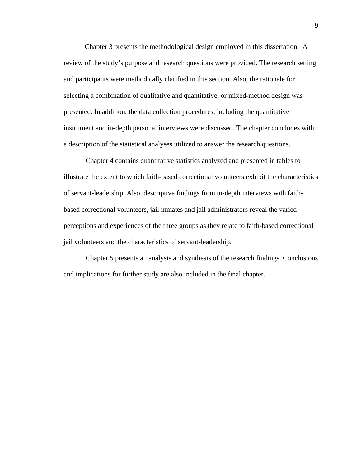Chapter 3 presents the methodological design employed in this dissertation. A review of the study's purpose and research questions were provided. The research setting and participants were methodically clarified in this section. Also, the rationale for selecting a combination of qualitative and quantitative, or mixed-method design was presented. In addition, the data collection procedures, including the quantitative instrument and in-depth personal interviews were discussed. The chapter concludes with a description of the statistical analyses utilized to answer the research questions.

Chapter 4 contains quantitative statistics analyzed and presented in tables to illustrate the extent to which faith-based correctional volunteers exhibit the characteristics of servant-leadership. Also, descriptive findings from in-depth interviews with faithbased correctional volunteers, jail inmates and jail administrators reveal the varied perceptions and experiences of the three groups as they relate to faith-based correctional jail volunteers and the characteristics of servant-leadership.

Chapter 5 presents an analysis and synthesis of the research findings. Conclusions and implications for further study are also included in the final chapter.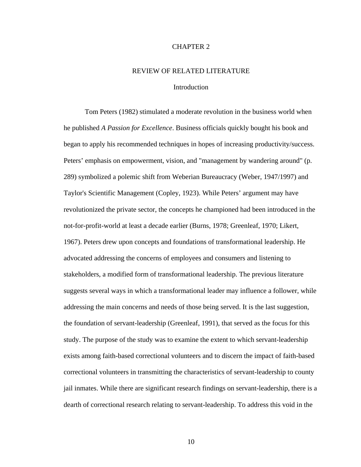#### CHAPTER 2

#### REVIEW OF RELATED LITERATURE

#### Introduction

 Tom Peters (1982) stimulated a moderate revolution in the business world when he published *A Passion for Excellence*. Business officials quickly bought his book and began to apply his recommended techniques in hopes of increasing productivity/success. Peters' emphasis on empowerment, vision, and "management by wandering around" (p. 289) symbolized a polemic shift from Weberian Bureaucracy (Weber, 1947/1997) and Taylor's Scientific Management (Copley, 1923). While Peters' argument may have revolutionized the private sector, the concepts he championed had been introduced in the not-for-profit-world at least a decade earlier (Burns, 1978; Greenleaf, 1970; Likert, 1967). Peters drew upon concepts and foundations of transformational leadership. He advocated addressing the concerns of employees and consumers and listening to stakeholders, a modified form of transformational leadership. The previous literature suggests several ways in which a transformational leader may influence a follower, while addressing the main concerns and needs of those being served. It is the last suggestion, the foundation of servant-leadership (Greenleaf, 1991), that served as the focus for this study. The purpose of the study was to examine the extent to which servant-leadership exists among faith-based correctional volunteers and to discern the impact of faith-based correctional volunteers in transmitting the characteristics of servant-leadership to county jail inmates. While there are significant research findings on servant-leadership, there is a dearth of correctional research relating to servant-leadership. To address this void in the

10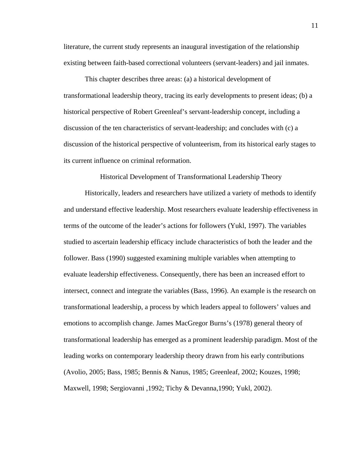literature, the current study represents an inaugural investigation of the relationship existing between faith-based correctional volunteers (servant-leaders) and jail inmates.

 This chapter describes three areas: (a) a historical development of transformational leadership theory, tracing its early developments to present ideas; (b) a historical perspective of Robert Greenleaf's servant-leadership concept, including a discussion of the ten characteristics of servant-leadership; and concludes with (c) a discussion of the historical perspective of volunteerism, from its historical early stages to its current influence on criminal reformation.

Historical Development of Transformational Leadership Theory

 Historically, leaders and researchers have utilized a variety of methods to identify and understand effective leadership. Most researchers evaluate leadership effectiveness in terms of the outcome of the leader's actions for followers (Yukl, 1997). The variables studied to ascertain leadership efficacy include characteristics of both the leader and the follower. Bass (1990) suggested examining multiple variables when attempting to evaluate leadership effectiveness. Consequently, there has been an increased effort to intersect, connect and integrate the variables (Bass, 1996). An example is the research on transformational leadership, a process by which leaders appeal to followers' values and emotions to accomplish change. James MacGregor Burns's (1978) general theory of transformational leadership has emerged as a prominent leadership paradigm. Most of the leading works on contemporary leadership theory drawn from his early contributions (Avolio, 2005; Bass, 1985; Bennis & Nanus, 1985; Greenleaf, 2002; Kouzes, 1998; Maxwell, 1998; Sergiovanni ,1992; Tichy & Devanna,1990; Yukl, 2002).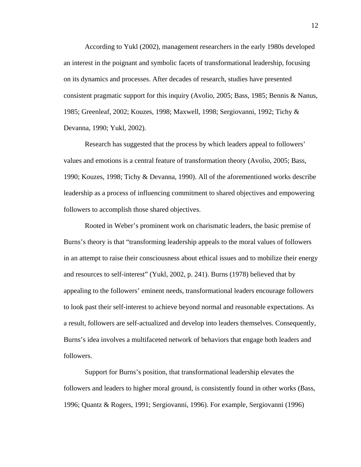According to Yukl (2002), management researchers in the early 1980s developed an interest in the poignant and symbolic facets of transformational leadership, focusing on its dynamics and processes. After decades of research, studies have presented consistent pragmatic support for this inquiry (Avolio, 2005; Bass, 1985; Bennis & Nanus, 1985; Greenleaf, 2002; Kouzes, 1998; Maxwell, 1998; Sergiovanni, 1992; Tichy & Devanna, 1990; Yukl, 2002).

 Research has suggested that the process by which leaders appeal to followers' values and emotions is a central feature of transformation theory (Avolio, 2005; Bass, 1990; Kouzes, 1998; Tichy & Devanna, 1990). All of the aforementioned works describe leadership as a process of influencing commitment to shared objectives and empowering followers to accomplish those shared objectives.

Rooted in Weber's prominent work on charismatic leaders, the basic premise of Burns's theory is that "transforming leadership appeals to the moral values of followers in an attempt to raise their consciousness about ethical issues and to mobilize their energy and resources to self-interest" (Yukl, 2002, p. 241). Burns (1978) believed that by appealing to the followers' eminent needs, transformational leaders encourage followers to look past their self-interest to achieve beyond normal and reasonable expectations. As a result, followers are self-actualized and develop into leaders themselves. Consequently, Burns's idea involves a multifaceted network of behaviors that engage both leaders and followers.

 Support for Burns's position, that transformational leadership elevates the followers and leaders to higher moral ground, is consistently found in other works (Bass, 1996; Quantz & Rogers, 1991; Sergiovanni, 1996). For example, Sergiovanni (1996)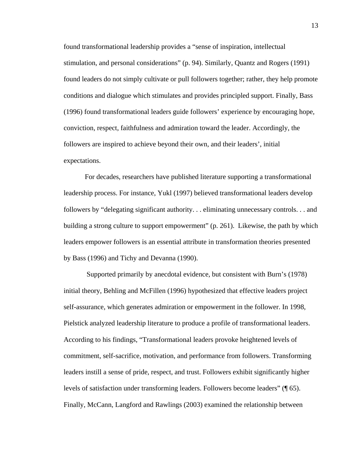found transformational leadership provides a "sense of inspiration, intellectual stimulation, and personal considerations" (p. 94). Similarly, Quantz and Rogers (1991) found leaders do not simply cultivate or pull followers together; rather, they help promote conditions and dialogue which stimulates and provides principled support. Finally, Bass (1996) found transformational leaders guide followers' experience by encouraging hope, conviction, respect, faithfulness and admiration toward the leader. Accordingly, the followers are inspired to achieve beyond their own, and their leaders', initial expectations.

 For decades, researchers have published literature supporting a transformational leadership process. For instance, Yukl (1997) believed transformational leaders develop followers by "delegating significant authority. . . eliminating unnecessary controls. . . and building a strong culture to support empowerment" (p. 261). Likewise, the path by which leaders empower followers is an essential attribute in transformation theories presented by Bass (1996) and Tichy and Devanna (1990).

 Supported primarily by anecdotal evidence, but consistent with Burn's (1978) initial theory, Behling and McFillen (1996) hypothesized that effective leaders project self-assurance, which generates admiration or empowerment in the follower. In 1998, Pielstick analyzed leadership literature to produce a profile of transformational leaders. According to his findings, "Transformational leaders provoke heightened levels of commitment, self-sacrifice, motivation, and performance from followers. Transforming leaders instill a sense of pride, respect, and trust. Followers exhibit significantly higher levels of satisfaction under transforming leaders. Followers become leaders" (¶ 65). Finally, McCann, Langford and Rawlings (2003) examined the relationship between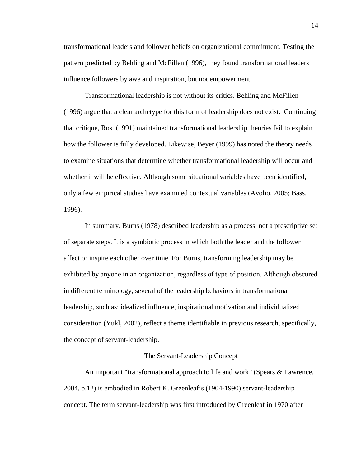transformational leaders and follower beliefs on organizational commitment. Testing the pattern predicted by Behling and McFillen (1996), they found transformational leaders influence followers by awe and inspiration, but not empowerment.

 Transformational leadership is not without its critics. Behling and McFillen (1996) argue that a clear archetype for this form of leadership does not exist. Continuing that critique, Rost (1991) maintained transformational leadership theories fail to explain how the follower is fully developed. Likewise, Beyer (1999) has noted the theory needs to examine situations that determine whether transformational leadership will occur and whether it will be effective. Although some situational variables have been identified, only a few empirical studies have examined contextual variables (Avolio, 2005; Bass, 1996).

 In summary, Burns (1978) described leadership as a process, not a prescriptive set of separate steps. It is a symbiotic process in which both the leader and the follower affect or inspire each other over time. For Burns, transforming leadership may be exhibited by anyone in an organization, regardless of type of position. Although obscured in different terminology, several of the leadership behaviors in transformational leadership, such as: idealized influence, inspirational motivation and individualized consideration (Yukl, 2002), reflect a theme identifiable in previous research, specifically, the concept of servant-leadership.

#### The Servant-Leadership Concept

 An important "transformational approach to life and work" (Spears & Lawrence, 2004, p.12) is embodied in Robert K. Greenleaf's (1904-1990) servant-leadership concept. The term servant-leadership was first introduced by Greenleaf in 1970 after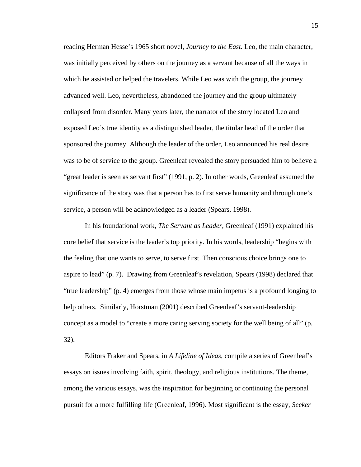reading Herman Hesse's 1965 short novel, *Journey to the East.* Leo, the main character, was initially perceived by others on the journey as a servant because of all the ways in which he assisted or helped the travelers. While Leo was with the group, the journey advanced well. Leo, nevertheless, abandoned the journey and the group ultimately collapsed from disorder. Many years later, the narrator of the story located Leo and exposed Leo's true identity as a distinguished leader, the titular head of the order that sponsored the journey. Although the leader of the order, Leo announced his real desire was to be of service to the group. Greenleaf revealed the story persuaded him to believe a "great leader is seen as servant first" (1991, p. 2). In other words, Greenleaf assumed the significance of the story was that a person has to first serve humanity and through one's service, a person will be acknowledged as a leader (Spears, 1998).

 In his foundational work, *The Servant as Leader*, Greenleaf (1991) explained his core belief that service is the leader's top priority. In his words, leadership "begins with the feeling that one wants to serve, to serve first. Then conscious choice brings one to aspire to lead" (p. 7). Drawing from Greenleaf's revelation, Spears (1998) declared that "true leadership" (p. 4) emerges from those whose main impetus is a profound longing to help others. Similarly, Horstman (2001) described Greenleaf's servant-leadership concept as a model to "create a more caring serving society for the well being of all" (p. 32).

 Editors Fraker and Spears, in *A Lifeline of Ideas*, compile a series of Greenleaf's essays on issues involving faith, spirit, theology, and religious institutions. The theme, among the various essays, was the inspiration for beginning or continuing the personal pursuit for a more fulfilling life (Greenleaf, 1996). Most significant is the essay, *Seeker*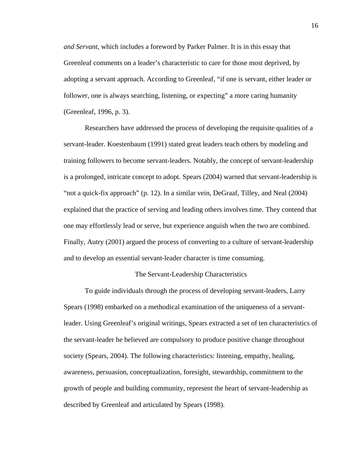*and Servant,* which includes a foreword by Parker Palmer. It is in this essay that Greenleaf comments on a leader's characteristic to care for those most deprived, by adopting a servant approach. According to Greenleaf, "if one is servant, either leader or follower, one is always searching, listening, or expecting" a more caring humanity (Greenleaf, 1996, p. 3).

 Researchers have addressed the process of developing the requisite qualities of a servant-leader. Koestenbaum (1991) stated great leaders teach others by modeling and training followers to become servant-leaders. Notably, the concept of servant-leadership is a prolonged, intricate concept to adopt. Spears (2004) warned that servant-leadership is "not a quick-fix approach" (p. 12). In a similar vein, DeGraaf, Tilley, and Neal (2004) explained that the practice of serving and leading others involves time. They contend that one may effortlessly lead or serve, but experience anguish when the two are combined. Finally, Autry (2001) argued the process of converting to a culture of servant-leadership and to develop an essential servant-leader character is time consuming.

#### The Servant-Leadership Characteristics

 To guide individuals through the process of developing servant-leaders, Larry Spears (1998) embarked on a methodical examination of the uniqueness of a servantleader. Using Greenleaf's original writings, Spears extracted a set of ten characteristics of the servant-leader he believed are compulsory to produce positive change throughout society (Spears, 2004). The following characteristics: listening, empathy, healing, awareness, persuasion, conceptualization, foresight, stewardship, commitment to the growth of people and building community, represent the heart of servant-leadership as described by Greenleaf and articulated by Spears (1998).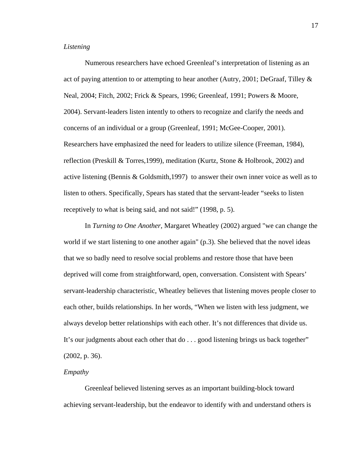#### *Listening*

Numerous researchers have echoed Greenleaf's interpretation of listening as an act of paying attention to or attempting to hear another (Autry, 2001; DeGraaf, Tilley & Neal, 2004; Fitch, 2002; Frick & Spears, 1996; Greenleaf, 1991; Powers & Moore, 2004). Servant-leaders listen intently to others to recognize and clarify the needs and concerns of an individual or a group (Greenleaf, 1991; McGee-Cooper, 2001). Researchers have emphasized the need for leaders to utilize silence (Freeman, 1984), reflection (Preskill & Torres,1999), meditation (Kurtz, Stone & Holbrook, 2002) and active listening (Bennis & Goldsmith,1997) to answer their own inner voice as well as to listen to others. Specifically, Spears has stated that the servant-leader "seeks to listen receptively to what is being said, and not said!" (1998, p. 5).

 In *Turning to One Another*, Margaret Wheatley (2002) argued "we can change the world if we start listening to one another again" (p.3). She believed that the novel ideas that we so badly need to resolve social problems and restore those that have been deprived will come from straightforward, open, conversation. Consistent with Spears' servant-leadership characteristic, Wheatley believes that listening moves people closer to each other, builds relationships. In her words, "When we listen with less judgment, we always develop better relationships with each other. It's not differences that divide us. It's our judgments about each other that do . . . good listening brings us back together" (2002, p. 36).

#### *Empathy*

 Greenleaf believed listening serves as an important building-block toward achieving servant-leadership, but the endeavor to identify with and understand others is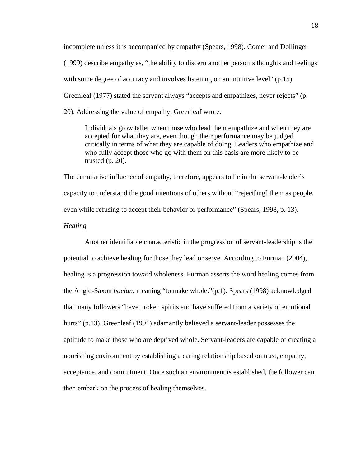incomplete unless it is accompanied by empathy (Spears, 1998). Comer and Dollinger (1999) describe empathy as, "the ability to discern another person's thoughts and feelings with some degree of accuracy and involves listening on an intuitive level" (p.15). Greenleaf (1977) stated the servant always "accepts and empathizes, never rejects" (p. 20). Addressing the value of empathy, Greenleaf wrote:

 Individuals grow taller when those who lead them empathize and when they are accepted for what they are, even though their performance may be judged critically in terms of what they are capable of doing. Leaders who empathize and who fully accept those who go with them on this basis are more likely to be trusted (p. 20).

The cumulative influence of empathy, therefore, appears to lie in the servant-leader's capacity to understand the good intentions of others without "reject[ing] them as people, even while refusing to accept their behavior or performance" (Spears, 1998, p. 13).

## *Healing*

Another identifiable characteristic in the progression of servant-leadership is the potential to achieve healing for those they lead or serve. According to Furman (2004), healing is a progression toward wholeness. Furman asserts the word healing comes from the Anglo-Saxon *haelan*, meaning "to make whole."(p.1). Spears (1998) acknowledged that many followers "have broken spirits and have suffered from a variety of emotional hurts" (p.13). Greenleaf (1991) adamantly believed a servant-leader possesses the aptitude to make those who are deprived whole. Servant-leaders are capable of creating a nourishing environment by establishing a caring relationship based on trust, empathy, acceptance, and commitment. Once such an environment is established, the follower can then embark on the process of healing themselves.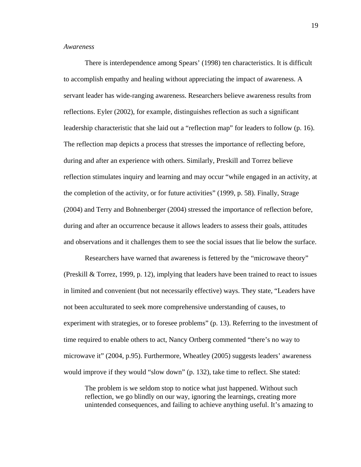#### *Awareness*

There is interdependence among Spears' (1998) ten characteristics. It is difficult to accomplish empathy and healing without appreciating the impact of awareness. A servant leader has wide-ranging awareness. Researchers believe awareness results from reflections. Eyler (2002), for example, distinguishes reflection as such a significant leadership characteristic that she laid out a "reflection map" for leaders to follow (p. 16). The reflection map depicts a process that stresses the importance of reflecting before, during and after an experience with others. Similarly, Preskill and Torrez believe reflection stimulates inquiry and learning and may occur "while engaged in an activity, at the completion of the activity, or for future activities" (1999, p. 58). Finally, Strage (2004) and Terry and Bohnenberger (2004) stressed the importance of reflection before, during and after an occurrence because it allows leaders to assess their goals, attitudes and observations and it challenges them to see the social issues that lie below the surface.

 Researchers have warned that awareness is fettered by the "microwave theory" (Preskill & Torrez, 1999, p. 12), implying that leaders have been trained to react to issues in limited and convenient (but not necessarily effective) ways. They state, "Leaders have not been acculturated to seek more comprehensive understanding of causes, to experiment with strategies, or to foresee problems" (p. 13). Referring to the investment of time required to enable others to act, Nancy Ortberg commented "there's no way to microwave it" (2004, p.95). Furthermore, Wheatley (2005) suggests leaders' awareness would improve if they would "slow down" (p. 132), take time to reflect. She stated:

 The problem is we seldom stop to notice what just happened. Without such reflection, we go blindly on our way, ignoring the learnings, creating more unintended consequences, and failing to achieve anything useful. It's amazing to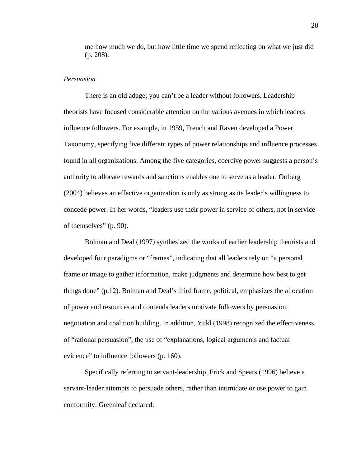me how much we do, but how little time we spend reflecting on what we just did (p. 208).

#### *Persuasion*

There is an old adage; you can't be a leader without followers. Leadership theorists have focused considerable attention on the various avenues in which leaders influence followers. For example, in 1959, French and Raven developed a Power Taxonomy, specifying five different types of power relationships and influence processes found in all organizations. Among the five categories, coercive power suggests a person's authority to allocate rewards and sanctions enables one to serve as a leader. Ortberg (2004) believes an effective organization is only as strong as its leader's willingness to concede power. In her words, "leaders use their power in service of others, not in service of themselves" (p. 90).

 Bolman and Deal (1997) synthesized the works of earlier leadership theorists and developed four paradigms or "frames", indicating that all leaders rely on "a personal frame or image to gather information, make judgments and determine how best to get things done" (p.12). Bolman and Deal's third frame, political, emphasizes the allocation of power and resources and contends leaders motivate followers by persuasion, negotiation and coalition building. In addition, Yukl (1998) recognized the effectiveness of "rational persuasion", the use of "explanations, logical arguments and factual evidence" to influence followers (p. 160).

 Specifically referring to servant-leadership, Frick and Spears (1996) believe a servant-leader attempts to persuade others, rather than intimidate or use power to gain conformity. Greenleaf declared: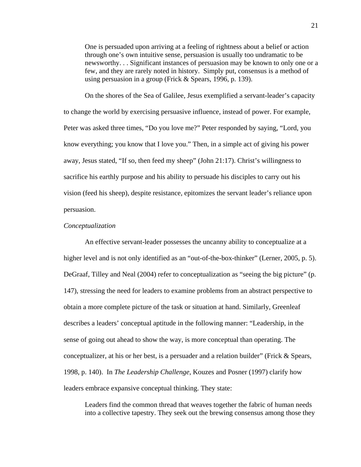One is persuaded upon arriving at a feeling of rightness about a belief or action through one's own intuitive sense, persuasion is usually too undramatic to be newsworthy. . . Significant instances of persuasion may be known to only one or a few, and they are rarely noted in history. Simply put, consensus is a method of using persuasion in a group (Frick & Spears, 1996, p. 139).

 On the shores of the Sea of Galilee, Jesus exemplified a servant-leader's capacity to change the world by exercising persuasive influence, instead of power. For example, Peter was asked three times, "Do you love me?" Peter responded by saying, "Lord, you know everything; you know that I love you." Then, in a simple act of giving his power away, Jesus stated, "If so, then feed my sheep" (John 21:17). Christ's willingness to sacrifice his earthly purpose and his ability to persuade his disciples to carry out his vision (feed his sheep), despite resistance, epitomizes the servant leader's reliance upon persuasion.

#### *Conceptualization*

 An effective servant-leader possesses the uncanny ability to conceptualize at a higher level and is not only identified as an "out-of-the-box-thinker" (Lerner, 2005, p. 5). DeGraaf, Tilley and Neal (2004) refer to conceptualization as "seeing the big picture" (p. 147), stressing the need for leaders to examine problems from an abstract perspective to obtain a more complete picture of the task or situation at hand. Similarly, Greenleaf describes a leaders' conceptual aptitude in the following manner: "Leadership, in the sense of going out ahead to show the way, is more conceptual than operating. The conceptualizer, at his or her best, is a persuader and a relation builder" (Frick & Spears, 1998, p. 140). In *The Leadership Challenge*, Kouzes and Posner (1997) clarify how leaders embrace expansive conceptual thinking. They state:

 Leaders find the common thread that weaves together the fabric of human needs into a collective tapestry. They seek out the brewing consensus among those they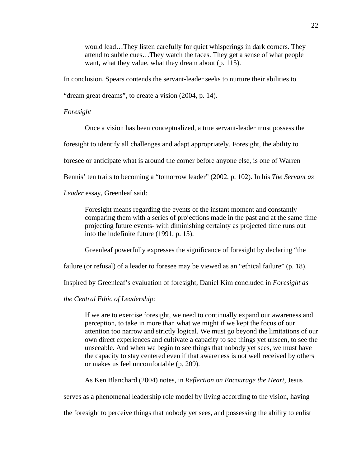would lead…They listen carefully for quiet whisperings in dark corners. They attend to subtle cues…They watch the faces. They get a sense of what people want, what they value, what they dream about (p. 115).

In conclusion, Spears contends the servant-leader seeks to nurture their abilities to

"dream great dreams", to create a vision (2004, p. 14).

#### *Foresight*

Once a vision has been conceptualized, a true servant-leader must possess the

foresight to identify all challenges and adapt appropriately. Foresight, the ability to

foresee or anticipate what is around the corner before anyone else, is one of Warren

Bennis' ten traits to becoming a "tomorrow leader" (2002, p. 102). In his *The Servant as* 

#### *Leader* essay, Greenleaf said:

 Foresight means regarding the events of the instant moment and constantly comparing them with a series of projections made in the past and at the same time projecting future events- with diminishing certainty as projected time runs out into the indefinite future (1991, p. 15).

Greenleaf powerfully expresses the significance of foresight by declaring "the

failure (or refusal) of a leader to foresee may be viewed as an "ethical failure" (p. 18).

Inspired by Greenleaf's evaluation of foresight, Daniel Kim concluded in *Foresight as* 

*the Central Ethic of Leadership*:

 If we are to exercise foresight, we need to continually expand our awareness and perception, to take in more than what we might if we kept the focus of our attention too narrow and strictly logical. We must go beyond the limitations of our own direct experiences and cultivate a capacity to see things yet unseen, to see the unseeable. And when we begin to see things that nobody yet sees, we must have the capacity to stay centered even if that awareness is not well received by others or makes us feel uncomfortable (p. 209).

As Ken Blanchard (2004) notes, in *Reflection on Encourage the Heart*, Jesus

serves as a phenomenal leadership role model by living according to the vision, having

the foresight to perceive things that nobody yet sees, and possessing the ability to enlist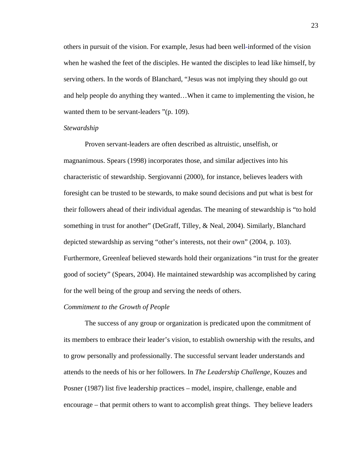others in pursuit of the vision. For example, Jesus had been well-informed of the vision when he washed the feet of the disciples. He wanted the disciples to lead like himself, by serving others. In the words of Blanchard, "Jesus was not implying they should go out and help people do anything they wanted…When it came to implementing the vision, he wanted them to be servant-leaders "(p. 109).

#### *Stewardship*

 Proven servant-leaders are often described as altruistic, unselfish, or magnanimous. Spears (1998) incorporates those, and similar adjectives into his characteristic of stewardship. Sergiovanni (2000), for instance, believes leaders with foresight can be trusted to be stewards, to make sound decisions and put what is best for their followers ahead of their individual agendas. The meaning of stewardship is "to hold something in trust for another" (DeGraff, Tilley, & Neal, 2004). Similarly, Blanchard depicted stewardship as serving "other's interests, not their own" (2004, p. 103). Furthermore, Greenleaf believed stewards hold their organizations "in trust for the greater good of society" (Spears, 2004). He maintained stewardship was accomplished by caring for the well being of the group and serving the needs of others.

# *Commitment to the Growth of People*

 The success of any group or organization is predicated upon the commitment of its members to embrace their leader's vision, to establish ownership with the results, and to grow personally and professionally. The successful servant leader understands and attends to the needs of his or her followers. In *The Leadership Challenge*, Kouzes and Posner (1987) list five leadership practices – model, inspire, challenge, enable and encourage – that permit others to want to accomplish great things. They believe leaders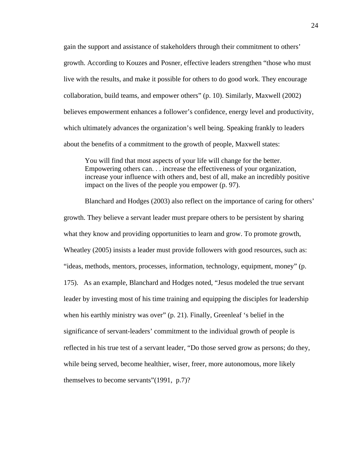gain the support and assistance of stakeholders through their commitment to others' growth. According to Kouzes and Posner, effective leaders strengthen "those who must live with the results, and make it possible for others to do good work. They encourage collaboration, build teams, and empower others" (p. 10). Similarly, Maxwell (2002) believes empowerment enhances a follower's confidence, energy level and productivity, which ultimately advances the organization's well being. Speaking frankly to leaders about the benefits of a commitment to the growth of people, Maxwell states:

 You will find that most aspects of your life will change for the better. Empowering others can. . . increase the effectiveness of your organization, increase your influence with others and, best of all, make an incredibly positive impact on the lives of the people you empower (p. 97).

 Blanchard and Hodges (2003) also reflect on the importance of caring for others' growth. They believe a servant leader must prepare others to be persistent by sharing what they know and providing opportunities to learn and grow. To promote growth, Wheatley (2005) insists a leader must provide followers with good resources, such as: "ideas, methods, mentors, processes, information, technology, equipment, money" (p. 175). As an example, Blanchard and Hodges noted, "Jesus modeled the true servant leader by investing most of his time training and equipping the disciples for leadership when his earthly ministry was over" (p. 21). Finally, Greenleaf 's belief in the significance of servant-leaders' commitment to the individual growth of people is reflected in his true test of a servant leader, "Do those served grow as persons; do they, while being served, become healthier, wiser, freer, more autonomous, more likely themselves to become servants"(1991, p.7)?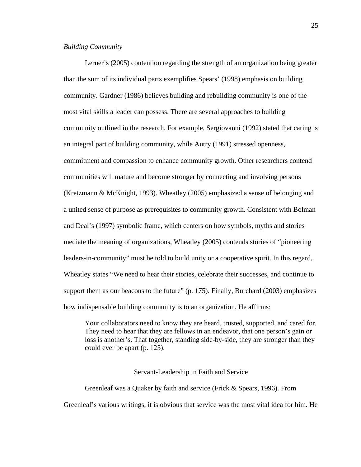#### *Building Community*

Lerner's (2005) contention regarding the strength of an organization being greater than the sum of its individual parts exemplifies Spears' (1998) emphasis on building community. Gardner (1986) believes building and rebuilding community is one of the most vital skills a leader can possess. There are several approaches to building community outlined in the research. For example, Sergiovanni (1992) stated that caring is an integral part of building community, while Autry (1991) stressed openness, commitment and compassion to enhance community growth. Other researchers contend communities will mature and become stronger by connecting and involving persons (Kretzmann & McKnight, 1993). Wheatley (2005) emphasized a sense of belonging and a united sense of purpose as prerequisites to community growth. Consistent with Bolman and Deal's (1997) symbolic frame, which centers on how symbols, myths and stories mediate the meaning of organizations, Wheatley (2005) contends stories of "pioneering leaders-in-community" must be told to build unity or a cooperative spirit. In this regard, Wheatley states "We need to hear their stories, celebrate their successes, and continue to support them as our beacons to the future" (p. 175). Finally, Burchard (2003) emphasizes how indispensable building community is to an organization. He affirms:

 Your collaborators need to know they are heard, trusted, supported, and cared for. They need to hear that they are fellows in an endeavor, that one person's gain or loss is another's. That together, standing side-by-side, they are stronger than they could ever be apart (p. 125).

#### Servant-Leadership in Faith and Service

 Greenleaf was a Quaker by faith and service (Frick & Spears, 1996). From Greenleaf's various writings, it is obvious that service was the most vital idea for him. He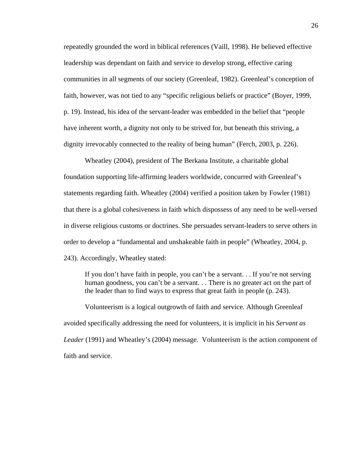repeatedly grounded the word in biblical references (Vaill, 1998). He believed effective leadership was dependant on faith and service to develop strong, effective caring communities in all segments of our society (Greenleaf, 1982). Greenleaf's conception of faith, however, was not tied to any "specific religious beliefs or practice" (Boyer, 1999, p. 19). Instead, his idea of the servant-leader was embedded in the belief that "people have inherent worth, a dignity not only to be strived for, but beneath this striving, a dignity irrevocably connected to the reality of being human" (Ferch, 2003, p. 226).

 Wheatley (2004), president of The Berkana Institute, a charitable global foundation supporting life-affirming leaders worldwide, concurred with Greenleaf's statements regarding faith. Wheatley (2004) verified a position taken by Fowler (1981) that there is a global cohesiveness in faith which dispossess of any need to be well-versed in diverse religious customs or doctrines. She persuades servant-leaders to serve others in order to develop a "fundamental and unshakeable faith in people" (Wheatley, 2004, p. 243). Accordingly, Wheatley stated:

 If you don't have faith in people, you can't be a servant. . . If you're not serving human goodness, you can't be a servant. . . There is no greater act on the part of the leader than to find ways to express that great faith in people (p. 243).

 Volunteerism is a logical outgrowth of faith and service. Although Greenleaf avoided specifically addressing the need for volunteers, it is implicit in his *Servant as Leader* (1991) and Wheatley's (2004) message. Volunteerism is the action component of faith and service.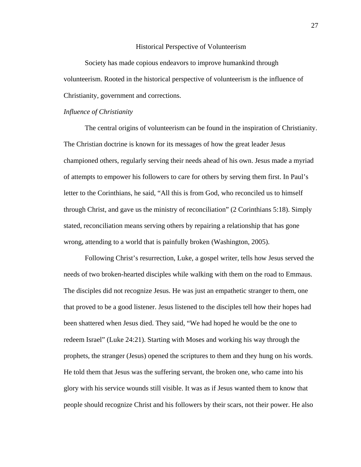#### Historical Perspective of Volunteerism

 Society has made copious endeavors to improve humankind through volunteerism. Rooted in the historical perspective of volunteerism is the influence of Christianity, government and corrections.

#### *Influence of Christianity*

 The central origins of volunteerism can be found in the inspiration of Christianity. The Christian doctrine is known for its messages of how the great leader Jesus championed others, regularly serving their needs ahead of his own. Jesus made a myriad of attempts to empower his followers to care for others by serving them first. In Paul's letter to the Corinthians, he said, "All this is from God, who reconciled us to himself through Christ, and gave us the ministry of reconciliation" (2 Corinthians 5:18). Simply stated, reconciliation means serving others by repairing a relationship that has gone wrong, attending to a world that is painfully broken (Washington, 2005).

 Following Christ's resurrection, Luke, a gospel writer, tells how Jesus served the needs of two broken-hearted disciples while walking with them on the road to Emmaus. The disciples did not recognize Jesus. He was just an empathetic stranger to them, one that proved to be a good listener. Jesus listened to the disciples tell how their hopes had been shattered when Jesus died. They said, "We had hoped he would be the one to redeem Israel" (Luke 24:21). Starting with Moses and working his way through the prophets, the stranger (Jesus) opened the scriptures to them and they hung on his words. He told them that Jesus was the suffering servant, the broken one, who came into his glory with his service wounds still visible. It was as if Jesus wanted them to know that people should recognize Christ and his followers by their scars, not their power. He also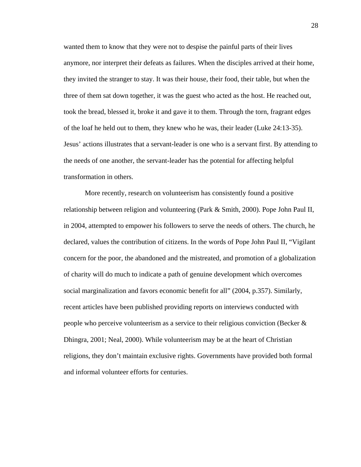wanted them to know that they were not to despise the painful parts of their lives anymore, nor interpret their defeats as failures. When the disciples arrived at their home, they invited the stranger to stay. It was their house, their food, their table, but when the three of them sat down together, it was the guest who acted as the host. He reached out, took the bread, blessed it, broke it and gave it to them. Through the torn, fragrant edges of the loaf he held out to them, they knew who he was, their leader (Luke 24:13-35). Jesus' actions illustrates that a servant-leader is one who is a servant first. By attending to the needs of one another, the servant-leader has the potential for affecting helpful transformation in others.

 More recently, research on volunteerism has consistently found a positive relationship between religion and volunteering (Park & Smith, 2000). Pope John Paul II, in 2004, attempted to empower his followers to serve the needs of others. The church, he declared, values the contribution of citizens. In the words of Pope John Paul II, "Vigilant concern for the poor, the abandoned and the mistreated, and promotion of a globalization of charity will do much to indicate a path of genuine development which overcomes social marginalization and favors economic benefit for all" (2004, p.357). Similarly, recent articles have been published providing reports on interviews conducted with people who perceive volunteerism as a service to their religious conviction (Becker & Dhingra, 2001; Neal, 2000). While volunteerism may be at the heart of Christian religions, they don't maintain exclusive rights. Governments have provided both formal and informal volunteer efforts for centuries.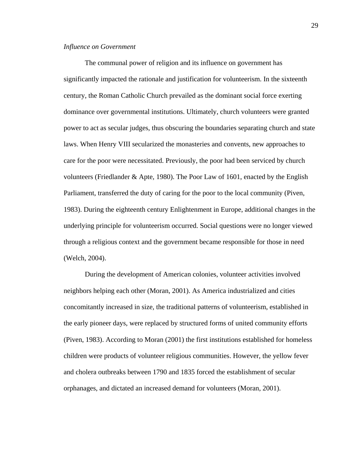# *Influence on Government*

 The communal power of religion and its influence on government has significantly impacted the rationale and justification for volunteerism. In the sixteenth century, the Roman Catholic Church prevailed as the dominant social force exerting dominance over governmental institutions. Ultimately, church volunteers were granted power to act as secular judges, thus obscuring the boundaries separating church and state laws. When Henry VIII secularized the monasteries and convents, new approaches to care for the poor were necessitated. Previously, the poor had been serviced by church volunteers (Friedlander & Apte, 1980). The Poor Law of 1601, enacted by the English Parliament, transferred the duty of caring for the poor to the local community (Piven, 1983). During the eighteenth century Enlightenment in Europe, additional changes in the underlying principle for volunteerism occurred. Social questions were no longer viewed through a religious context and the government became responsible for those in need (Welch, 2004).

 During the development of American colonies, volunteer activities involved neighbors helping each other (Moran, 2001). As America industrialized and cities concomitantly increased in size, the traditional patterns of volunteerism, established in the early pioneer days, were replaced by structured forms of united community efforts (Piven, 1983). According to Moran (2001) the first institutions established for homeless children were products of volunteer religious communities. However, the yellow fever and cholera outbreaks between 1790 and 1835 forced the establishment of secular orphanages, and dictated an increased demand for volunteers (Moran, 2001).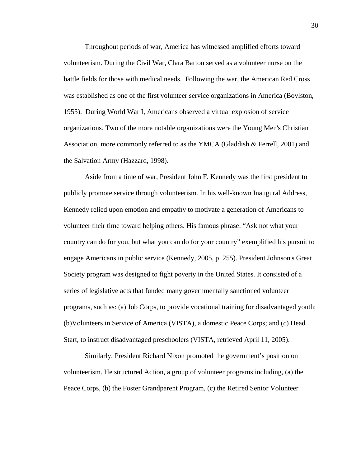Throughout periods of war, America has witnessed amplified efforts toward volunteerism. During the Civil War, Clara Barton served as a volunteer nurse on the battle fields for those with medical needs. Following the war, the American Red Cross was established as one of the first volunteer service organizations in America (Boylston, 1955). During World War I, Americans observed a virtual explosion of service organizations. Two of the more notable organizations were the Young Men's Christian Association, more commonly referred to as the YMCA (Gladdish & Ferrell, 2001) and the Salvation Army (Hazzard, 1998).

 Aside from a time of war, President John F. Kennedy was the first president to publicly promote service through volunteerism. In his well-known Inaugural Address, Kennedy relied upon emotion and empathy to motivate a generation of Americans to volunteer their time toward helping others. His famous phrase: "Ask not what your country can do for you, but what you can do for your country" exemplified his pursuit to engage Americans in public service (Kennedy, 2005, p. 255). President Johnson's Great Society program was designed to fight poverty in the United States. It consisted of a series of legislative acts that funded many governmentally sanctioned volunteer programs, such as: (a) Job Corps, to provide vocational training for disadvantaged youth; (b)Volunteers in Service of America (VISTA), a domestic Peace Corps; and (c) Head Start, to instruct disadvantaged preschoolers (VISTA, retrieved April 11, 2005).

 Similarly, President Richard Nixon promoted the government's position on volunteerism. He structured Action, a group of volunteer programs including, (a) the Peace Corps, (b) the Foster Grandparent Program, (c) the Retired Senior Volunteer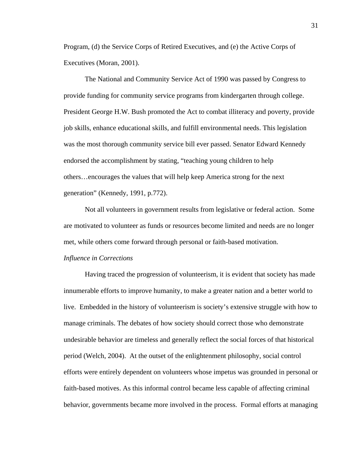Program, (d) the Service Corps of Retired Executives, and (e) the Active Corps of Executives (Moran, 2001).

 The National and Community Service Act of 1990 was passed by Congress to provide funding for community service programs from kindergarten through college. President George H.W. Bush promoted the Act to combat illiteracy and poverty, provide job skills, enhance educational skills, and fulfill environmental needs. This legislation was the most thorough community service bill ever passed. Senator Edward Kennedy endorsed the accomplishment by stating, "teaching young children to help others…encourages the values that will help keep America strong for the next generation" (Kennedy, 1991, p.772).

 Not all volunteers in government results from legislative or federal action. Some are motivated to volunteer as funds or resources become limited and needs are no longer met, while others come forward through personal or faith-based motivation.

# *Influence in Corrections*

Having traced the progression of volunteerism, it is evident that society has made innumerable efforts to improve humanity, to make a greater nation and a better world to live. Embedded in the history of volunteerism is society's extensive struggle with how to manage criminals. The debates of how society should correct those who demonstrate undesirable behavior are timeless and generally reflect the social forces of that historical period (Welch, 2004). At the outset of the enlightenment philosophy, social control efforts were entirely dependent on volunteers whose impetus was grounded in personal or faith-based motives. As this informal control became less capable of affecting criminal behavior, governments became more involved in the process. Formal efforts at managing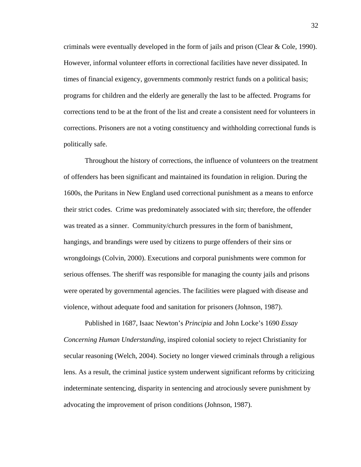criminals were eventually developed in the form of jails and prison (Clear & Cole, 1990). However, informal volunteer efforts in correctional facilities have never dissipated. In times of financial exigency, governments commonly restrict funds on a political basis; programs for children and the elderly are generally the last to be affected. Programs for corrections tend to be at the front of the list and create a consistent need for volunteers in corrections. Prisoners are not a voting constituency and withholding correctional funds is politically safe.

 Throughout the history of corrections, the influence of volunteers on the treatment of offenders has been significant and maintained its foundation in religion. During the 1600s, the Puritans in New England used correctional punishment as a means to enforce their strict codes. Crime was predominately associated with sin; therefore, the offender was treated as a sinner. Community/church pressures in the form of banishment, hangings, and brandings were used by citizens to purge offenders of their sins or wrongdoings (Colvin, 2000). Executions and corporal punishments were common for serious offenses. The sheriff was responsible for managing the county jails and prisons were operated by governmental agencies. The facilities were plagued with disease and violence, without adequate food and sanitation for prisoners (Johnson, 1987).

 Published in 1687, Isaac Newton's *Principia* and John Locke's 1690 *Essay Concerning Human Understanding,* inspired colonial society to reject Christianity for secular reasoning (Welch, 2004). Society no longer viewed criminals through a religious lens. As a result, the criminal justice system underwent significant reforms by criticizing indeterminate sentencing, disparity in sentencing and atrociously severe punishment by advocating the improvement of prison conditions (Johnson, 1987).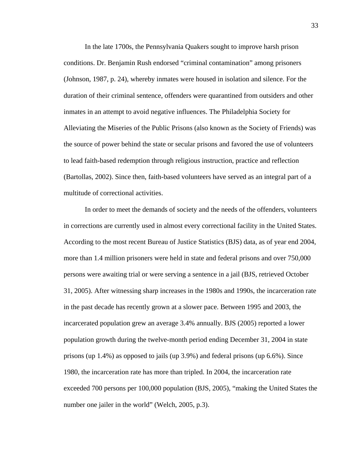In the late 1700s, the Pennsylvania Quakers sought to improve harsh prison conditions. Dr. Benjamin Rush endorsed "criminal contamination" among prisoners (Johnson, 1987, p. 24), whereby inmates were housed in isolation and silence. For the duration of their criminal sentence, offenders were quarantined from outsiders and other inmates in an attempt to avoid negative influences. The Philadelphia Society for Alleviating the Miseries of the Public Prisons (also known as the Society of Friends) was the source of power behind the state or secular prisons and favored the use of volunteers to lead faith-based redemption through religious instruction, practice and reflection (Bartollas, 2002). Since then, faith-based volunteers have served as an integral part of a multitude of correctional activities.

 In order to meet the demands of society and the needs of the offenders, volunteers in corrections are currently used in almost every correctional facility in the United States. According to the most recent Bureau of Justice Statistics (BJS) data, as of year end 2004, more than 1.4 million prisoners were held in state and federal prisons and over 750,000 persons were awaiting trial or were serving a sentence in a jail (BJS, retrieved October 31, 2005). After witnessing sharp increases in the 1980s and 1990s, the incarceration rate in the past decade has recently grown at a slower pace. Between 1995 and 2003, the incarcerated population grew an average 3.4% annually. BJS (2005) reported a lower population growth during the twelve-month period ending December 31, 2004 in state prisons (up 1.4%) as opposed to jails (up 3.9%) and federal prisons (up 6.6%). Since 1980, the incarceration rate has more than tripled. In 2004, the incarceration rate exceeded 700 persons per 100,000 population (BJS, 2005), "making the United States the number one jailer in the world" (Welch, 2005, p.3).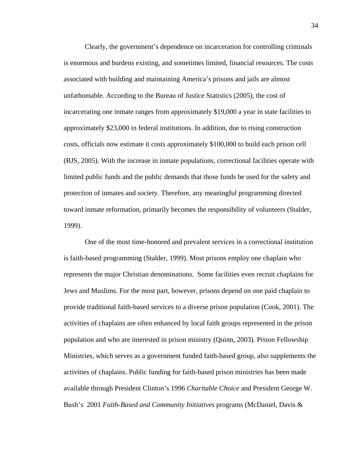Clearly, the government's dependence on incarceration for controlling criminals is enormous and burdens existing, and sometimes limited, financial resources. The costs associated with building and maintaining America's prisons and jails are almost unfathomable. According to the Bureau of Justice Statistics (2005), the cost of incarcerating one inmate ranges from approximately \$19,000 a year in state facilities to approximately \$23,000 in federal institutions. In addition, due to rising construction costs, officials now estimate it costs approximately \$100,000 to build each prison cell (BJS, 2005). With the increase in inmate populations, correctional facilities operate with limited public funds and the public demands that those funds be used for the safety and protection of inmates and society. Therefore, any meaningful programming directed toward inmate reformation, primarily becomes the responsibility of volunteers (Stalder, 1999).

 One of the most time-honored and prevalent services in a correctional institution is faith-based programming (Stalder, 1999). Most prisons employ one chaplain who represents the major Christian denominations. Some facilities even recruit chaplains for Jews and Muslims. For the most part, however, prisons depend on one paid chaplain to provide traditional faith-based services to a diverse prison population (Cook, 2001). The activities of chaplains are often enhanced by local faith groups represented in the prison population and who are interested in prison ministry (Quinn, 2003). Prison Fellowship Ministries, which serves as a government funded faith-based group, also supplements the activities of chaplains. Public funding for faith-based prison ministries has been made available through President Clinton's 1996 *Charitable Choice* and President George W. Bush's 2001 *Faith-Based and Community Initiatives* programs (McDaniel, Davis &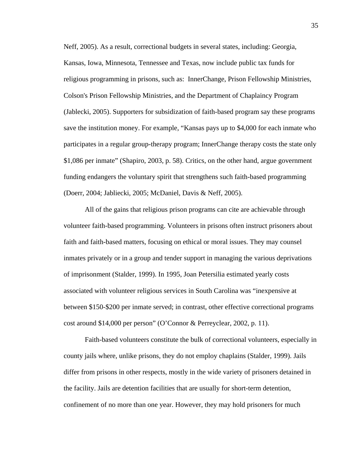Neff, 2005). As a result, correctional budgets in several states, including: Georgia, Kansas, Iowa, Minnesota, Tennessee and Texas, now include public tax funds for religious programming in prisons, such as: InnerChange, Prison Fellowship Ministries, Colson's Prison Fellowship Ministries, and the Department of Chaplaincy Program (Jablecki, 2005). Supporters for subsidization of faith-based program say these programs save the institution money. For example, "Kansas pays up to \$4,000 for each inmate who participates in a regular group-therapy program; InnerChange therapy costs the state only \$1,086 per inmate" (Shapiro, 2003, p. 58). Critics, on the other hand, argue government funding endangers the voluntary spirit that strengthens such faith-based programming (Doerr, 2004; Jabliecki, 2005; McDaniel, Davis & Neff, 2005).

 All of the gains that religious prison programs can cite are achievable through volunteer faith-based programming. Volunteers in prisons often instruct prisoners about faith and faith-based matters, focusing on ethical or moral issues. They may counsel inmates privately or in a group and tender support in managing the various deprivations of imprisonment (Stalder, 1999). In 1995, Joan Petersilia estimated yearly costs associated with volunteer religious services in South Carolina was "inexpensive at between \$150-\$200 per inmate served; in contrast, other effective correctional programs cost around \$14,000 per person" (O'Connor & Perreyclear, 2002, p. 11).

 Faith-based volunteers constitute the bulk of correctional volunteers, especially in county jails where, unlike prisons, they do not employ chaplains (Stalder, 1999). Jails differ from prisons in other respects, mostly in the wide variety of prisoners detained in the facility. Jails are detention facilities that are usually for short-term detention, confinement of no more than one year. However, they may hold prisoners for much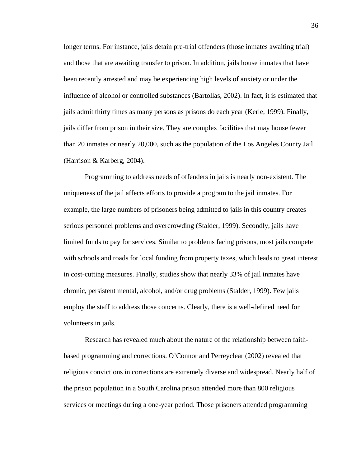longer terms. For instance, jails detain pre-trial offenders (those inmates awaiting trial) and those that are awaiting transfer to prison. In addition, jails house inmates that have been recently arrested and may be experiencing high levels of anxiety or under the influence of alcohol or controlled substances (Bartollas, 2002). In fact, it is estimated that jails admit thirty times as many persons as prisons do each year (Kerle, 1999). Finally, jails differ from prison in their size. They are complex facilities that may house fewer than 20 inmates or nearly 20,000, such as the population of the Los Angeles County Jail (Harrison & Karberg, 2004).

 Programming to address needs of offenders in jails is nearly non-existent. The uniqueness of the jail affects efforts to provide a program to the jail inmates. For example, the large numbers of prisoners being admitted to jails in this country creates serious personnel problems and overcrowding (Stalder, 1999). Secondly, jails have limited funds to pay for services. Similar to problems facing prisons, most jails compete with schools and roads for local funding from property taxes, which leads to great interest in cost-cutting measures. Finally, studies show that nearly 33% of jail inmates have chronic, persistent mental, alcohol, and/or drug problems (Stalder, 1999). Few jails employ the staff to address those concerns. Clearly, there is a well-defined need for volunteers in jails.

 Research has revealed much about the nature of the relationship between faithbased programming and corrections. O'Connor and Perreyclear (2002) revealed that religious convictions in corrections are extremely diverse and widespread. Nearly half of the prison population in a South Carolina prison attended more than 800 religious services or meetings during a one-year period. Those prisoners attended programming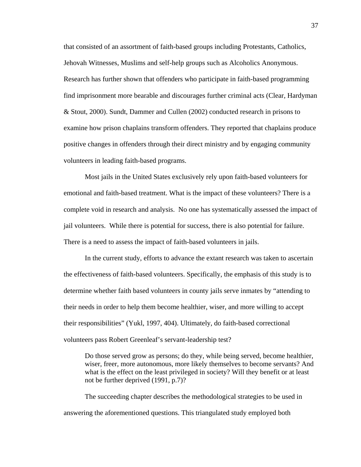that consisted of an assortment of faith-based groups including Protestants, Catholics, Jehovah Witnesses, Muslims and self-help groups such as Alcoholics Anonymous. Research has further shown that offenders who participate in faith-based programming find imprisonment more bearable and discourages further criminal acts (Clear, Hardyman & Stout, 2000). Sundt, Dammer and Cullen (2002) conducted research in prisons to examine how prison chaplains transform offenders. They reported that chaplains produce positive changes in offenders through their direct ministry and by engaging community volunteers in leading faith-based programs.

 Most jails in the United States exclusively rely upon faith-based volunteers for emotional and faith-based treatment. What is the impact of these volunteers? There is a complete void in research and analysis. No one has systematically assessed the impact of jail volunteers. While there is potential for success, there is also potential for failure. There is a need to assess the impact of faith-based volunteers in jails.

 In the current study, efforts to advance the extant research was taken to ascertain the effectiveness of faith-based volunteers. Specifically, the emphasis of this study is to determine whether faith based volunteers in county jails serve inmates by "attending to their needs in order to help them become healthier, wiser, and more willing to accept their responsibilities" (Yukl, 1997, 404). Ultimately, do faith-based correctional volunteers pass Robert Greenleaf's servant-leadership test?

 Do those served grow as persons; do they, while being served, become healthier, wiser, freer, more autonomous, more likely themselves to become servants? And what is the effect on the least privileged in society? Will they benefit or at least not be further deprived (1991, p.7)?

 The succeeding chapter describes the methodological strategies to be used in answering the aforementioned questions. This triangulated study employed both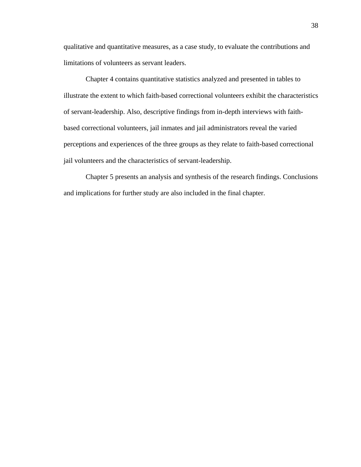qualitative and quantitative measures, as a case study, to evaluate the contributions and limitations of volunteers as servant leaders.

Chapter 4 contains quantitative statistics analyzed and presented in tables to illustrate the extent to which faith-based correctional volunteers exhibit the characteristics of servant-leadership. Also, descriptive findings from in-depth interviews with faithbased correctional volunteers, jail inmates and jail administrators reveal the varied perceptions and experiences of the three groups as they relate to faith-based correctional jail volunteers and the characteristics of servant-leadership.

Chapter 5 presents an analysis and synthesis of the research findings. Conclusions and implications for further study are also included in the final chapter.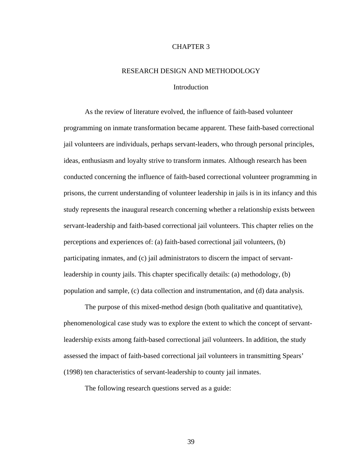# CHAPTER 3

# RESEARCH DESIGN AND METHODOLOGY

# Introduction

 As the review of literature evolved, the influence of faith-based volunteer programming on inmate transformation became apparent. These faith-based correctional jail volunteers are individuals, perhaps servant-leaders, who through personal principles, ideas, enthusiasm and loyalty strive to transform inmates. Although research has been conducted concerning the influence of faith-based correctional volunteer programming in prisons, the current understanding of volunteer leadership in jails is in its infancy and this study represents the inaugural research concerning whether a relationship exists between servant-leadership and faith-based correctional jail volunteers. This chapter relies on the perceptions and experiences of: (a) faith-based correctional jail volunteers, (b) participating inmates, and (c) jail administrators to discern the impact of servantleadership in county jails. This chapter specifically details: (a) methodology, (b) population and sample, (c) data collection and instrumentation, and (d) data analysis.

 The purpose of this mixed-method design (both qualitative and quantitative), phenomenological case study was to explore the extent to which the concept of servantleadership exists among faith-based correctional jail volunteers. In addition, the study assessed the impact of faith-based correctional jail volunteers in transmitting Spears' (1998) ten characteristics of servant-leadership to county jail inmates.

The following research questions served as a guide:

39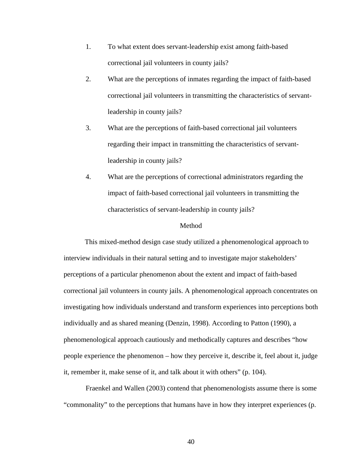- 1. To what extent does servant-leadership exist among faith-based correctional jail volunteers in county jails?
- 2. What are the perceptions of inmates regarding the impact of faith-based correctional jail volunteers in transmitting the characteristics of servantleadership in county jails?
- 3. What are the perceptions of faith-based correctional jail volunteers regarding their impact in transmitting the characteristics of servantleadership in county jails?
- 4. What are the perceptions of correctional administrators regarding the impact of faith-based correctional jail volunteers in transmitting the characteristics of servant-leadership in county jails?

# Method

 This mixed-method design case study utilized a phenomenological approach to interview individuals in their natural setting and to investigate major stakeholders' perceptions of a particular phenomenon about the extent and impact of faith-based correctional jail volunteers in county jails. A phenomenological approach concentrates on investigating how individuals understand and transform experiences into perceptions both individually and as shared meaning (Denzin, 1998). According to Patton (1990), a phenomenological approach cautiously and methodically captures and describes "how people experience the phenomenon – how they perceive it, describe it, feel about it, judge it, remember it, make sense of it, and talk about it with others" (p. 104).

Fraenkel and Wallen (2003) contend that phenomenologists assume there is some "commonality" to the perceptions that humans have in how they interpret experiences (p.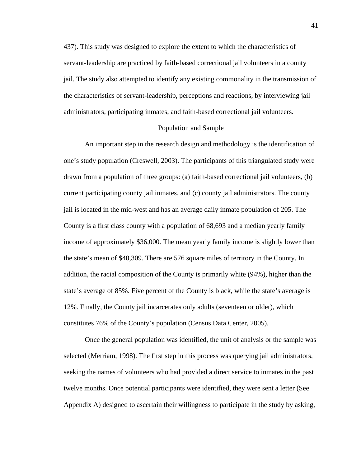437). This study was designed to explore the extent to which the characteristics of servant-leadership are practiced by faith-based correctional jail volunteers in a county jail. The study also attempted to identify any existing commonality in the transmission of the characteristics of servant-leadership, perceptions and reactions, by interviewing jail administrators, participating inmates, and faith-based correctional jail volunteers.

# Population and Sample

 An important step in the research design and methodology is the identification of one's study population (Creswell, 2003). The participants of this triangulated study were drawn from a population of three groups: (a) faith-based correctional jail volunteers, (b) current participating county jail inmates, and (c) county jail administrators. The county jail is located in the mid-west and has an average daily inmate population of 205. The County is a first class county with a population of 68,693 and a median yearly family income of approximately \$36,000. The mean yearly family income is slightly lower than the state's mean of \$40,309. There are 576 square miles of territory in the County. In addition, the racial composition of the County is primarily white (94%), higher than the state's average of 85%. Five percent of the County is black, while the state's average is 12%. Finally, the County jail incarcerates only adults (seventeen or older), which constitutes 76% of the County's population (Census Data Center, 2005).

 Once the general population was identified, the unit of analysis or the sample was selected (Merriam, 1998). The first step in this process was querying jail administrators, seeking the names of volunteers who had provided a direct service to inmates in the past twelve months. Once potential participants were identified, they were sent a letter (See Appendix A) designed to ascertain their willingness to participate in the study by asking,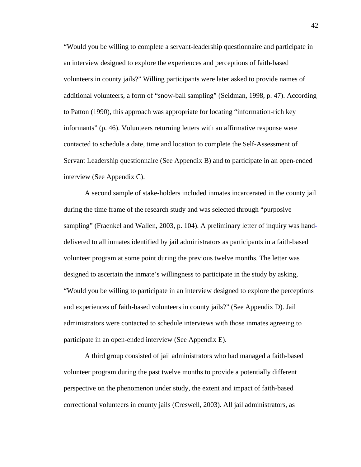"Would you be willing to complete a servant-leadership questionnaire and participate in an interview designed to explore the experiences and perceptions of faith-based volunteers in county jails?" Willing participants were later asked to provide names of additional volunteers, a form of "snow-ball sampling" (Seidman, 1998, p. 47). According to Patton (1990), this approach was appropriate for locating "information-rich key informants" (p. 46). Volunteers returning letters with an affirmative response were contacted to schedule a date, time and location to complete the Self-Assessment of Servant Leadership questionnaire (See Appendix B) and to participate in an open-ended interview (See Appendix C).

 A second sample of stake-holders included inmates incarcerated in the county jail during the time frame of the research study and was selected through "purposive sampling" (Fraenkel and Wallen, 2003, p. 104). A preliminary letter of inquiry was handdelivered to all inmates identified by jail administrators as participants in a faith-based volunteer program at some point during the previous twelve months. The letter was designed to ascertain the inmate's willingness to participate in the study by asking, "Would you be willing to participate in an interview designed to explore the perceptions and experiences of faith-based volunteers in county jails?" (See Appendix D). Jail administrators were contacted to schedule interviews with those inmates agreeing to participate in an open-ended interview (See Appendix E).

 A third group consisted of jail administrators who had managed a faith-based volunteer program during the past twelve months to provide a potentially different perspective on the phenomenon under study, the extent and impact of faith-based correctional volunteers in county jails (Creswell, 2003). All jail administrators, as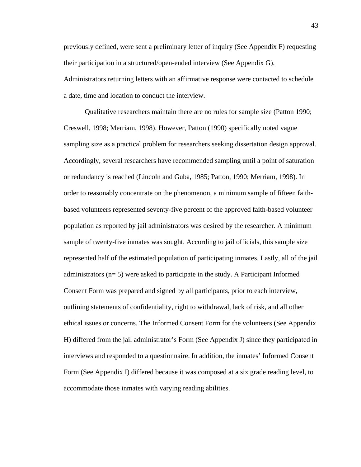previously defined, were sent a preliminary letter of inquiry (See Appendix F) requesting their participation in a structured/open-ended interview (See Appendix G). Administrators returning letters with an affirmative response were contacted to schedule a date, time and location to conduct the interview.

 Qualitative researchers maintain there are no rules for sample size (Patton 1990; Creswell, 1998; Merriam, 1998). However, Patton (1990) specifically noted vague sampling size as a practical problem for researchers seeking dissertation design approval. Accordingly, several researchers have recommended sampling until a point of saturation or redundancy is reached (Lincoln and Guba, 1985; Patton, 1990; Merriam, 1998). In order to reasonably concentrate on the phenomenon, a minimum sample of fifteen faithbased volunteers represented seventy-five percent of the approved faith-based volunteer population as reported by jail administrators was desired by the researcher. A minimum sample of twenty-five inmates was sought. According to jail officials, this sample size represented half of the estimated population of participating inmates. Lastly, all of the jail administrators (n= 5) were asked to participate in the study. A Participant Informed Consent Form was prepared and signed by all participants, prior to each interview, outlining statements of confidentiality, right to withdrawal, lack of risk, and all other ethical issues or concerns. The Informed Consent Form for the volunteers (See Appendix H) differed from the jail administrator's Form (See Appendix J) since they participated in interviews and responded to a questionnaire. In addition, the inmates' Informed Consent Form (See Appendix I) differed because it was composed at a six grade reading level, to accommodate those inmates with varying reading abilities.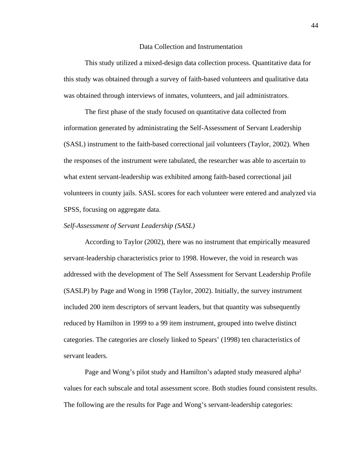#### Data Collection and Instrumentation

 This study utilized a mixed-design data collection process. Quantitative data for this study was obtained through a survey of faith-based volunteers and qualitative data was obtained through interviews of inmates, volunteers, and jail administrators.

 The first phase of the study focused on quantitative data collected from information generated by administrating the Self-Assessment of Servant Leadership (SASL) instrument to the faith-based correctional jail volunteers (Taylor, 2002). When the responses of the instrument were tabulated, the researcher was able to ascertain to what extent servant-leadership was exhibited among faith-based correctional jail volunteers in county jails. SASL scores for each volunteer were entered and analyzed via SPSS, focusing on aggregate data.

#### *Self-Assessment of Servant Leadership (SASL)*

According to Taylor (2002), there was no instrument that empirically measured servant-leadership characteristics prior to 1998. However, the void in research was addressed with the development of The Self Assessment for Servant Leadership Profile (SASLP) by Page and Wong in 1998 (Taylor, 2002). Initially, the survey instrument included 200 item descriptors of servant leaders, but that quantity was subsequently reduced by Hamilton in 1999 to a 99 item instrument, grouped into twelve distinct categories. The categories are closely linked to Spears' (1998) ten characteristics of servant leaders.

 Page and Wong's pilot study and Hamilton's adapted study measured alpha² values for each subscale and total assessment score. Both studies found consistent results. The following are the results for Page and Wong's servant-leadership categories: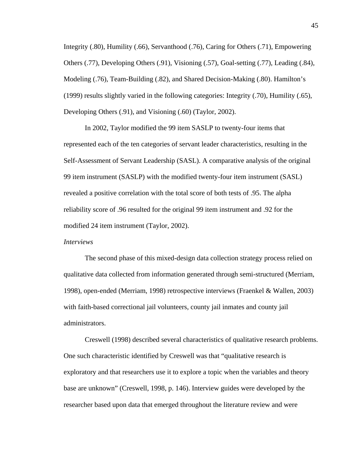Integrity (.80), Humility (.66), Servanthood (.76), Caring for Others (.71), Empowering Others (.77), Developing Others (.91), Visioning (.57), Goal-setting (.77), Leading (.84), Modeling (.76), Team-Building (.82), and Shared Decision-Making (.80). Hamilton's (1999) results slightly varied in the following categories: Integrity (.70), Humility (.65), Developing Others (.91), and Visioning (.60) (Taylor, 2002).

 In 2002, Taylor modified the 99 item SASLP to twenty-four items that represented each of the ten categories of servant leader characteristics, resulting in the Self-Assessment of Servant Leadership (SASL). A comparative analysis of the original 99 item instrument (SASLP) with the modified twenty-four item instrument (SASL) revealed a positive correlation with the total score of both tests of .95. The alpha reliability score of .96 resulted for the original 99 item instrument and .92 for the modified 24 item instrument (Taylor, 2002).

# *Interviews*

The second phase of this mixed-design data collection strategy process relied on qualitative data collected from information generated through semi-structured (Merriam, 1998), open-ended (Merriam, 1998) retrospective interviews (Fraenkel & Wallen, 2003) with faith-based correctional jail volunteers, county jail inmates and county jail administrators.

Creswell (1998) described several characteristics of qualitative research problems. One such characteristic identified by Creswell was that "qualitative research is exploratory and that researchers use it to explore a topic when the variables and theory base are unknown" (Creswell, 1998, p. 146). Interview guides were developed by the researcher based upon data that emerged throughout the literature review and were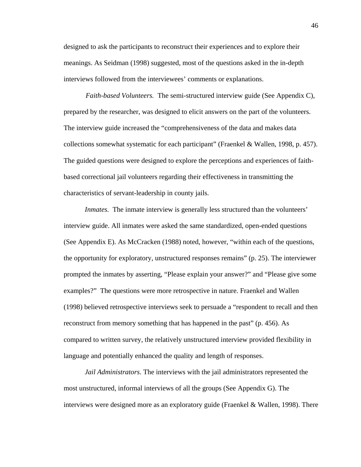designed to ask the participants to reconstruct their experiences and to explore their meanings. As Seidman (1998) suggested, most of the questions asked in the in-depth interviews followed from the interviewees' comments or explanations.

*Faith-based Volunteers.* The semi-structured interview guide (See Appendix C), prepared by the researcher, was designed to elicit answers on the part of the volunteers. The interview guide increased the "comprehensiveness of the data and makes data collections somewhat systematic for each participant" (Fraenkel & Wallen, 1998, p. 457). The guided questions were designed to explore the perceptions and experiences of faithbased correctional jail volunteers regarding their effectiveness in transmitting the characteristics of servant-leadership in county jails.

*Inmates.* The inmate interview is generally less structured than the volunteers' interview guide. All inmates were asked the same standardized, open-ended questions (See Appendix E). As McCracken (1988) noted, however, "within each of the questions, the opportunity for exploratory, unstructured responses remains" (p. 25). The interviewer prompted the inmates by asserting, "Please explain your answer?" and "Please give some examples?" The questions were more retrospective in nature. Fraenkel and Wallen (1998) believed retrospective interviews seek to persuade a "respondent to recall and then reconstruct from memory something that has happened in the past" (p. 456). As compared to written survey, the relatively unstructured interview provided flexibility in language and potentially enhanced the quality and length of responses.

*Jail Administrators*. The interviews with the jail administrators represented the most unstructured, informal interviews of all the groups (See Appendix G). The interviews were designed more as an exploratory guide (Fraenkel & Wallen, 1998). There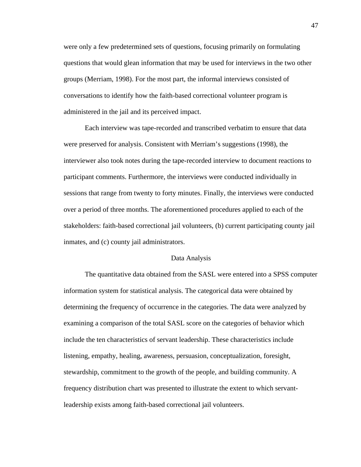were only a few predetermined sets of questions, focusing primarily on formulating questions that would glean information that may be used for interviews in the two other groups (Merriam, 1998). For the most part, the informal interviews consisted of conversations to identify how the faith-based correctional volunteer program is administered in the jail and its perceived impact.

 Each interview was tape-recorded and transcribed verbatim to ensure that data were preserved for analysis. Consistent with Merriam's suggestions (1998), the interviewer also took notes during the tape-recorded interview to document reactions to participant comments. Furthermore, the interviews were conducted individually in sessions that range from twenty to forty minutes. Finally, the interviews were conducted over a period of three months. The aforementioned procedures applied to each of the stakeholders: faith-based correctional jail volunteers, (b) current participating county jail inmates, and (c) county jail administrators.

# Data Analysis

 The quantitative data obtained from the SASL were entered into a SPSS computer information system for statistical analysis. The categorical data were obtained by determining the frequency of occurrence in the categories. The data were analyzed by examining a comparison of the total SASL score on the categories of behavior which include the ten characteristics of servant leadership. These characteristics include listening, empathy, healing, awareness, persuasion, conceptualization, foresight, stewardship, commitment to the growth of the people, and building community. A frequency distribution chart was presented to illustrate the extent to which servantleadership exists among faith-based correctional jail volunteers.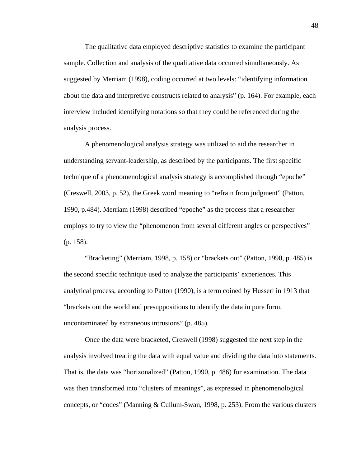The qualitative data employed descriptive statistics to examine the participant sample. Collection and analysis of the qualitative data occurred simultaneously. As suggested by Merriam (1998), coding occurred at two levels: "identifying information about the data and interpretive constructs related to analysis" (p. 164). For example, each interview included identifying notations so that they could be referenced during the analysis process.

 A phenomenological analysis strategy was utilized to aid the researcher in understanding servant-leadership, as described by the participants. The first specific technique of a phenomenological analysis strategy is accomplished through "epoche" (Creswell, 2003, p. 52), the Greek word meaning to "refrain from judgment" (Patton, 1990, p.484). Merriam (1998) described "epoche" as the process that a researcher employs to try to view the "phenomenon from several different angles or perspectives" (p. 158).

 "Bracketing" (Merriam, 1998, p. 158) or "brackets out" (Patton, 1990, p. 485) is the second specific technique used to analyze the participants' experiences. This analytical process, according to Patton (1990), is a term coined by Husserl in 1913 that "brackets out the world and presuppositions to identify the data in pure form, uncontaminated by extraneous intrusions" (p. 485).

 Once the data were bracketed, Creswell (1998) suggested the next step in the analysis involved treating the data with equal value and dividing the data into statements. That is, the data was "horizonalized" (Patton, 1990, p. 486) for examination. The data was then transformed into "clusters of meanings", as expressed in phenomenological concepts, or "codes" (Manning & Cullum-Swan, 1998, p. 253). From the various clusters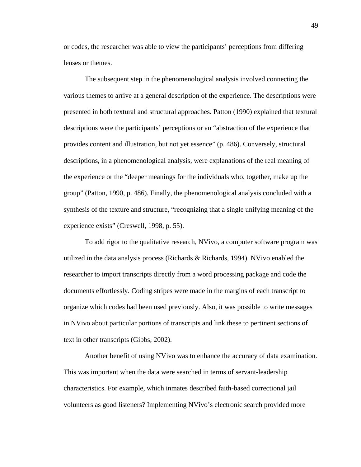or codes, the researcher was able to view the participants' perceptions from differing lenses or themes.

 The subsequent step in the phenomenological analysis involved connecting the various themes to arrive at a general description of the experience. The descriptions were presented in both textural and structural approaches. Patton (1990) explained that textural descriptions were the participants' perceptions or an "abstraction of the experience that provides content and illustration, but not yet essence" (p. 486). Conversely, structural descriptions, in a phenomenological analysis, were explanations of the real meaning of the experience or the "deeper meanings for the individuals who, together, make up the group" (Patton, 1990, p. 486). Finally, the phenomenological analysis concluded with a synthesis of the texture and structure, "recognizing that a single unifying meaning of the experience exists" (Creswell, 1998, p. 55).

 To add rigor to the qualitative research, NVivo, a computer software program was utilized in the data analysis process (Richards & Richards, 1994). NVivo enabled the researcher to import transcripts directly from a word processing package and code the documents effortlessly. Coding stripes were made in the margins of each transcript to organize which codes had been used previously. Also, it was possible to write messages in NVivo about particular portions of transcripts and link these to pertinent sections of text in other transcripts (Gibbs, 2002).

 Another benefit of using NVivo was to enhance the accuracy of data examination. This was important when the data were searched in terms of servant-leadership characteristics. For example, which inmates described faith-based correctional jail volunteers as good listeners? Implementing NVivo's electronic search provided more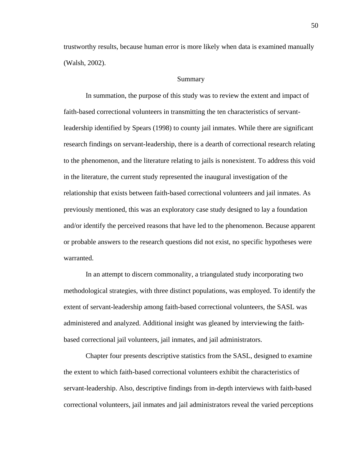trustworthy results, because human error is more likely when data is examined manually (Walsh, 2002).

## Summary

In summation, the purpose of this study was to review the extent and impact of faith-based correctional volunteers in transmitting the ten characteristics of servantleadership identified by Spears (1998) to county jail inmates. While there are significant research findings on servant-leadership, there is a dearth of correctional research relating to the phenomenon, and the literature relating to jails is nonexistent. To address this void in the literature, the current study represented the inaugural investigation of the relationship that exists between faith-based correctional volunteers and jail inmates. As previously mentioned, this was an exploratory case study designed to lay a foundation and/or identify the perceived reasons that have led to the phenomenon. Because apparent or probable answers to the research questions did not exist, no specific hypotheses were warranted.

In an attempt to discern commonality, a triangulated study incorporating two methodological strategies, with three distinct populations, was employed. To identify the extent of servant-leadership among faith-based correctional volunteers, the SASL was administered and analyzed. Additional insight was gleaned by interviewing the faithbased correctional jail volunteers, jail inmates, and jail administrators.

Chapter four presents descriptive statistics from the SASL, designed to examine the extent to which faith-based correctional volunteers exhibit the characteristics of servant-leadership. Also, descriptive findings from in-depth interviews with faith-based correctional volunteers, jail inmates and jail administrators reveal the varied perceptions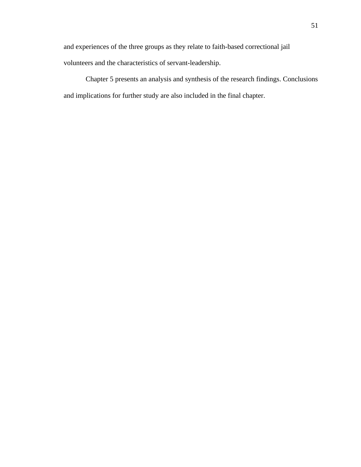and experiences of the three groups as they relate to faith-based correctional jail volunteers and the characteristics of servant-leadership.

Chapter 5 presents an analysis and synthesis of the research findings. Conclusions and implications for further study are also included in the final chapter.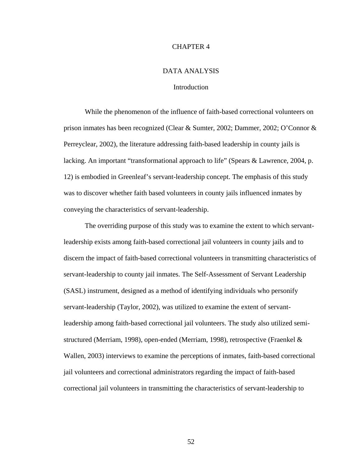# CHAPTER 4

# DATA ANALYSIS

# Introduction

 While the phenomenon of the influence of faith-based correctional volunteers on prison inmates has been recognized (Clear & Sumter, 2002; Dammer, 2002; O'Connor & Perreyclear, 2002), the literature addressing faith-based leadership in county jails is lacking. An important "transformational approach to life" (Spears & Lawrence, 2004, p. 12) is embodied in Greenleaf's servant-leadership concept. The emphasis of this study was to discover whether faith based volunteers in county jails influenced inmates by conveying the characteristics of servant-leadership.

 The overriding purpose of this study was to examine the extent to which servantleadership exists among faith-based correctional jail volunteers in county jails and to discern the impact of faith-based correctional volunteers in transmitting characteristics of servant-leadership to county jail inmates. The Self-Assessment of Servant Leadership (SASL) instrument, designed as a method of identifying individuals who personify servant-leadership (Taylor, 2002), was utilized to examine the extent of servantleadership among faith-based correctional jail volunteers. The study also utilized semistructured (Merriam, 1998), open-ended (Merriam, 1998), retrospective (Fraenkel & Wallen, 2003) interviews to examine the perceptions of inmates, faith-based correctional jail volunteers and correctional administrators regarding the impact of faith-based correctional jail volunteers in transmitting the characteristics of servant-leadership to

52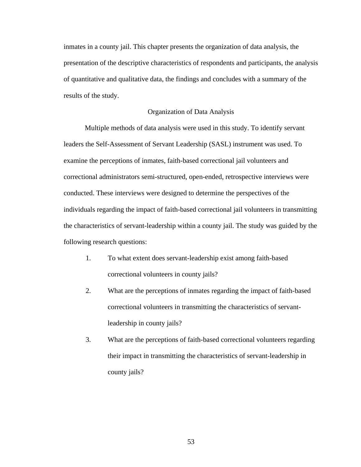inmates in a county jail. This chapter presents the organization of data analysis, the presentation of the descriptive characteristics of respondents and participants, the analysis of quantitative and qualitative data, the findings and concludes with a summary of the results of the study.

# Organization of Data Analysis

 Multiple methods of data analysis were used in this study. To identify servant leaders the Self-Assessment of Servant Leadership (SASL) instrument was used. To examine the perceptions of inmates, faith-based correctional jail volunteers and correctional administrators semi-structured, open-ended, retrospective interviews were conducted. These interviews were designed to determine the perspectives of the individuals regarding the impact of faith-based correctional jail volunteers in transmitting the characteristics of servant-leadership within a county jail. The study was guided by the following research questions:

- 1. To what extent does servant-leadership exist among faith-based correctional volunteers in county jails?
- 2. What are the perceptions of inmates regarding the impact of faith-based correctional volunteers in transmitting the characteristics of servantleadership in county jails?
- 3. What are the perceptions of faith-based correctional volunteers regarding their impact in transmitting the characteristics of servant-leadership in county jails?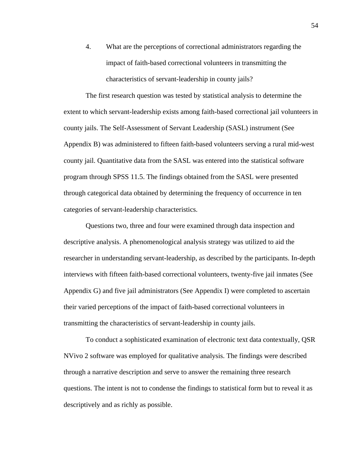4. What are the perceptions of correctional administrators regarding the impact of faith-based correctional volunteers in transmitting the characteristics of servant-leadership in county jails?

The first research question was tested by statistical analysis to determine the extent to which servant-leadership exists among faith-based correctional jail volunteers in county jails. The Self-Assessment of Servant Leadership (SASL) instrument (See Appendix B) was administered to fifteen faith-based volunteers serving a rural mid-west county jail. Quantitative data from the SASL was entered into the statistical software program through SPSS 11.5. The findings obtained from the SASL were presented through categorical data obtained by determining the frequency of occurrence in ten categories of servant-leadership characteristics.

Questions two, three and four were examined through data inspection and descriptive analysis. A phenomenological analysis strategy was utilized to aid the researcher in understanding servant-leadership, as described by the participants. In-depth interviews with fifteen faith-based correctional volunteers, twenty-five jail inmates (See Appendix G) and five jail administrators (See Appendix I) were completed to ascertain their varied perceptions of the impact of faith-based correctional volunteers in transmitting the characteristics of servant-leadership in county jails.

To conduct a sophisticated examination of electronic text data contextually, QSR NVivo 2 software was employed for qualitative analysis. The findings were described through a narrative description and serve to answer the remaining three research questions. The intent is not to condense the findings to statistical form but to reveal it as descriptively and as richly as possible.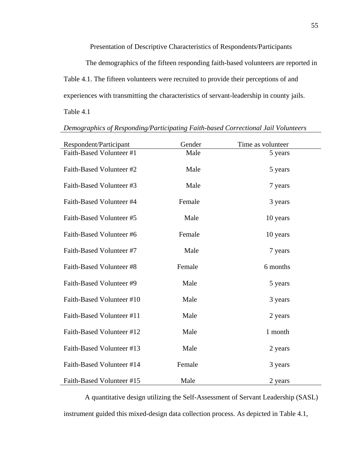Presentation of Descriptive Characteristics of Respondents/Participants

The demographics of the fifteen responding faith-based volunteers are reported in Table 4.1. The fifteen volunteers were recruited to provide their perceptions of and experiences with transmitting the characteristics of servant-leadership in county jails.

Table 4.1

| Respondent/Participant    | Gender | Time as volunteer |
|---------------------------|--------|-------------------|
| Faith-Based Volunteer #1  | Male   | 5 years           |
| Faith-Based Volunteer #2  | Male   | 5 years           |
| Faith-Based Volunteer #3  | Male   | 7 years           |
| Faith-Based Volunteer #4  | Female | 3 years           |
| Faith-Based Volunteer #5  | Male   | 10 years          |
| Faith-Based Volunteer #6  | Female | 10 years          |
| Faith-Based Volunteer #7  | Male   | 7 years           |
| Faith-Based Volunteer #8  | Female | 6 months          |
| Faith-Based Volunteer #9  | Male   | 5 years           |
| Faith-Based Volunteer #10 | Male   | 3 years           |
| Faith-Based Volunteer #11 | Male   | 2 years           |
| Faith-Based Volunteer #12 | Male   | 1 month           |
| Faith-Based Volunteer #13 | Male   | 2 years           |
| Faith-Based Volunteer #14 | Female | 3 years           |
| Faith-Based Volunteer #15 | Male   | 2 years           |

*Demographics of Responding/Participating Faith-based Correctional Jail Volunteers* 

A quantitative design utilizing the Self-Assessment of Servant Leadership (SASL) instrument guided this mixed-design data collection process. As depicted in Table 4.1,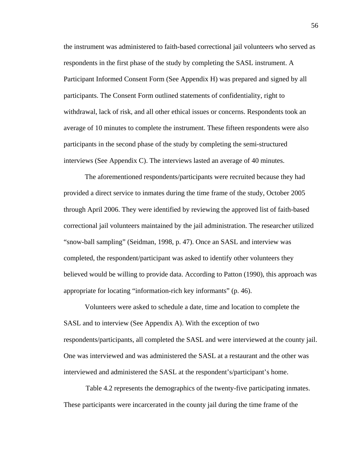the instrument was administered to faith-based correctional jail volunteers who served as respondents in the first phase of the study by completing the SASL instrument. A Participant Informed Consent Form (See Appendix H) was prepared and signed by all participants. The Consent Form outlined statements of confidentiality, right to withdrawal, lack of risk, and all other ethical issues or concerns. Respondents took an average of 10 minutes to complete the instrument. These fifteen respondents were also participants in the second phase of the study by completing the semi-structured interviews (See Appendix C). The interviews lasted an average of 40 minutes.

 The aforementioned respondents/participants were recruited because they had provided a direct service to inmates during the time frame of the study, October 2005 through April 2006. They were identified by reviewing the approved list of faith-based correctional jail volunteers maintained by the jail administration. The researcher utilized "snow-ball sampling" (Seidman, 1998, p. 47). Once an SASL and interview was completed, the respondent/participant was asked to identify other volunteers they believed would be willing to provide data. According to Patton (1990), this approach was appropriate for locating "information-rich key informants" (p. 46).

 Volunteers were asked to schedule a date, time and location to complete the SASL and to interview (See Appendix A). With the exception of two respondents/participants, all completed the SASL and were interviewed at the county jail. One was interviewed and was administered the SASL at a restaurant and the other was interviewed and administered the SASL at the respondent's/participant's home.

Table 4.2 represents the demographics of the twenty-five participating inmates. These participants were incarcerated in the county jail during the time frame of the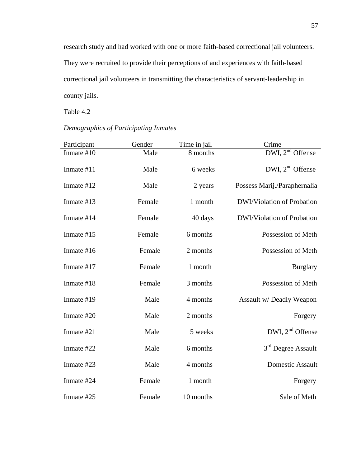research study and had worked with one or more faith-based correctional jail volunteers. They were recruited to provide their perceptions of and experiences with faith-based correctional jail volunteers in transmitting the characteristics of servant-leadership in county jails.

Table 4.2

| Participant  | Gender | Time in jail | Crime                             |
|--------------|--------|--------------|-----------------------------------|
| Inmate $#10$ | Male   | 8 months     | DWI, $2nd$ Offense                |
| Inmate #11   | Male   | 6 weeks      | DWI, $2nd$ Offense                |
| Inmate #12   | Male   | 2 years      | Possess Marij./Paraphernalia      |
| Inmate #13   | Female | 1 month      | DWI/Violation of Probation        |
| Inmate #14   | Female | 40 days      | <b>DWI/Violation of Probation</b> |
| Inmate #15   | Female | 6 months     | Possession of Meth                |
| Inmate #16   | Female | 2 months     | Possession of Meth                |
| Inmate #17   | Female | 1 month      | <b>Burglary</b>                   |
| Inmate #18   | Female | 3 months     | Possession of Meth                |
| Inmate #19   | Male   | 4 months     | Assault w/ Deadly Weapon          |
| Inmate #20   | Male   | 2 months     | Forgery                           |
| Inmate #21   | Male   | 5 weeks      | DWI, $2nd$ Offense                |
| Inmate #22   | Male   | 6 months     | 3 <sup>rd</sup> Degree Assault    |
| Inmate #23   | Male   | 4 months     | Domestic Assault                  |
| Inmate #24   | Female | 1 month      | Forgery                           |
| Inmate #25   | Female | 10 months    | Sale of Meth                      |

# *Demographics of Participating Inmates*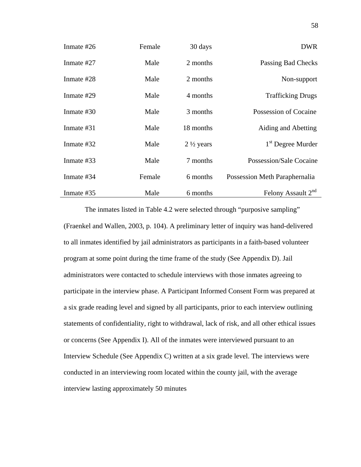| Inmate #26 | Female | 30 days              | <b>DWR</b>                     |
|------------|--------|----------------------|--------------------------------|
| Inmate #27 | Male   | 2 months             | Passing Bad Checks             |
| Inmate #28 | Male   | 2 months             | Non-support                    |
| Inmate #29 | Male   | 4 months             | <b>Trafficking Drugs</b>       |
| Inmate #30 | Male   | 3 months             | Possession of Cocaine          |
| Inmate #31 | Male   | 18 months            | Aiding and Abetting            |
| Inmate #32 | Male   | $2\frac{1}{2}$ years | 1 <sup>st</sup> Degree Murder  |
| Inmate #33 | Male   | 7 months             | Possession/Sale Cocaine        |
| Inmate #34 | Female | 6 months             | Possession Meth Paraphernalia  |
| Inmate #35 | Male   | 6 months             | Felony Assault 2 <sup>nd</sup> |

 The inmates listed in Table 4.2 were selected through "purposive sampling" (Fraenkel and Wallen, 2003, p. 104). A preliminary letter of inquiry was hand-delivered to all inmates identified by jail administrators as participants in a faith-based volunteer program at some point during the time frame of the study (See Appendix D). Jail administrators were contacted to schedule interviews with those inmates agreeing to participate in the interview phase. A Participant Informed Consent Form was prepared at a six grade reading level and signed by all participants, prior to each interview outlining statements of confidentiality, right to withdrawal, lack of risk, and all other ethical issues or concerns (See Appendix I). All of the inmates were interviewed pursuant to an Interview Schedule (See Appendix C) written at a six grade level. The interviews were conducted in an interviewing room located within the county jail, with the average interview lasting approximately 50 minutes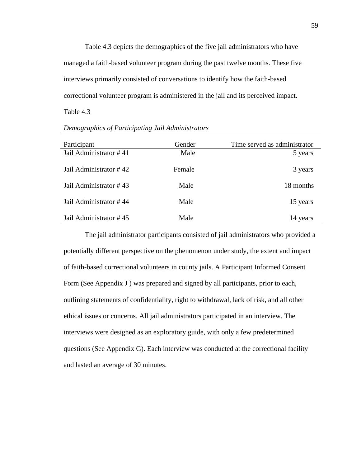Table 4.3 depicts the demographics of the five jail administrators who have managed a faith-based volunteer program during the past twelve months. These five interviews primarily consisted of conversations to identify how the faith-based correctional volunteer program is administered in the jail and its perceived impact.

Table 4.3

| Participant            | Gender | Time served as administrator |
|------------------------|--------|------------------------------|
| Jail Administrator #41 | Male   | 5 years                      |
| Jail Administrator #42 | Female | 3 years                      |
| Jail Administrator #43 | Male   | 18 months                    |
| Jail Administrator #44 | Male   | 15 years                     |
| Jail Administrator #45 | Male   | 14 years                     |

*Demographics of Participating Jail Administrators* 

 The jail administrator participants consisted of jail administrators who provided a potentially different perspective on the phenomenon under study, the extent and impact of faith-based correctional volunteers in county jails. A Participant Informed Consent Form (See Appendix J) was prepared and signed by all participants, prior to each, outlining statements of confidentiality, right to withdrawal, lack of risk, and all other ethical issues or concerns. All jail administrators participated in an interview. The interviews were designed as an exploratory guide, with only a few predetermined questions (See Appendix G). Each interview was conducted at the correctional facility and lasted an average of 30 minutes.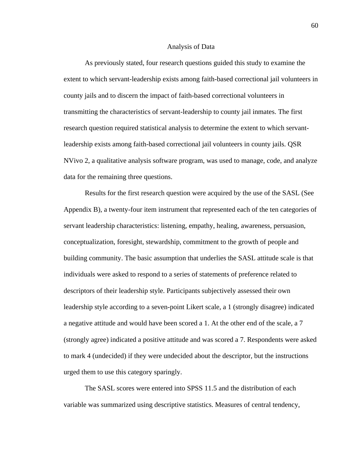#### Analysis of Data

 As previously stated, four research questions guided this study to examine the extent to which servant-leadership exists among faith-based correctional jail volunteers in county jails and to discern the impact of faith-based correctional volunteers in transmitting the characteristics of servant-leadership to county jail inmates. The first research question required statistical analysis to determine the extent to which servantleadership exists among faith-based correctional jail volunteers in county jails. QSR NVivo 2, a qualitative analysis software program, was used to manage, code, and analyze data for the remaining three questions.

 Results for the first research question were acquired by the use of the SASL (See Appendix B), a twenty-four item instrument that represented each of the ten categories of servant leadership characteristics: listening, empathy, healing, awareness, persuasion, conceptualization, foresight, stewardship, commitment to the growth of people and building community. The basic assumption that underlies the SASL attitude scale is that individuals were asked to respond to a series of statements of preference related to descriptors of their leadership style. Participants subjectively assessed their own leadership style according to a seven-point Likert scale, a 1 (strongly disagree) indicated a negative attitude and would have been scored a 1. At the other end of the scale, a 7 (strongly agree) indicated a positive attitude and was scored a 7. Respondents were asked to mark 4 (undecided) if they were undecided about the descriptor, but the instructions urged them to use this category sparingly.

 The SASL scores were entered into SPSS 11.5 and the distribution of each variable was summarized using descriptive statistics. Measures of central tendency,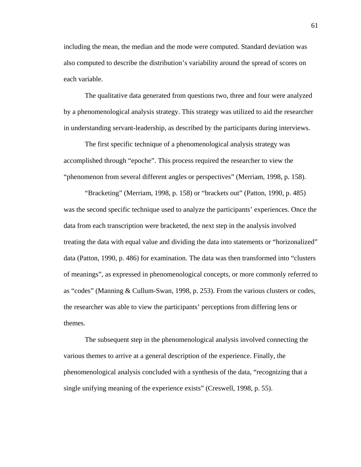including the mean, the median and the mode were computed. Standard deviation was also computed to describe the distribution's variability around the spread of scores on each variable.

 The qualitative data generated from questions two, three and four were analyzed by a phenomenological analysis strategy. This strategy was utilized to aid the researcher in understanding servant-leadership, as described by the participants during interviews.

 The first specific technique of a phenomenological analysis strategy was accomplished through "epoche". This process required the researcher to view the "phenomenon from several different angles or perspectives" (Merriam, 1998, p. 158).

 "Bracketing" (Merriam, 1998, p. 158) or "brackets out" (Patton, 1990, p. 485) was the second specific technique used to analyze the participants' experiences. Once the data from each transcription were bracketed, the next step in the analysis involved treating the data with equal value and dividing the data into statements or "horizonalized" data (Patton, 1990, p. 486) for examination. The data was then transformed into "clusters of meanings", as expressed in phenomenological concepts, or more commonly referred to as "codes" (Manning & Cullum-Swan, 1998, p. 253). From the various clusters or codes, the researcher was able to view the participants' perceptions from differing lens or themes.

 The subsequent step in the phenomenological analysis involved connecting the various themes to arrive at a general description of the experience. Finally, the phenomenological analysis concluded with a synthesis of the data, "recognizing that a single unifying meaning of the experience exists" (Creswell, 1998, p. 55).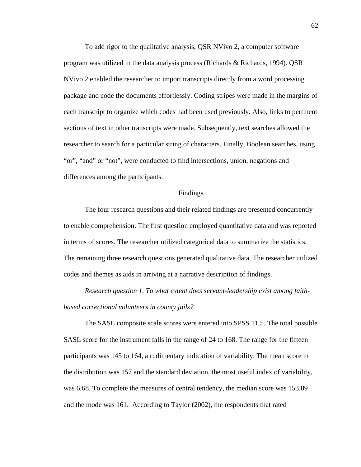To add rigor to the qualitative analysis, QSR NVivo 2, a computer software program was utilized in the data analysis process (Richards & Richards, 1994). QSR NVivo 2 enabled the researcher to import transcripts directly from a word processing package and code the documents effortlessly. Coding stripes were made in the margins of each transcript to organize which codes had been used previously. Also, links to pertinent sections of text in other transcripts were made. Subsequently, text searches allowed the researcher to search for a particular string of characters. Finally, Boolean searches, using "or", "and" or "not", were conducted to find intersections, union, negations and differences among the participants.

#### Findings

 The four research questions and their related findings are presented concurrently to enable comprehension. The first question employed quantitative data and was reported in terms of scores. The researcher utilized categorical data to summarize the statistics. The remaining three research questions generated qualitative data. The researcher utilized codes and themes as aids in arriving at a narrative description of findings.

 *Research question 1. To what extent does servant-leadership exist among faithbased correctional volunteers in county jails?*

The SASL composite scale scores were entered into SPSS 11.5. The total possible SASL score for the instrument falls in the range of 24 to 168. The range for the fifteen participants was 145 to 164, a rudimentary indication of variability. The mean score in the distribution was 157 and the standard deviation, the most useful index of variability, was 6.68. To complete the measures of central tendency, the median score was 153.89 and the mode was 161. According to Taylor (2002), the respondents that rated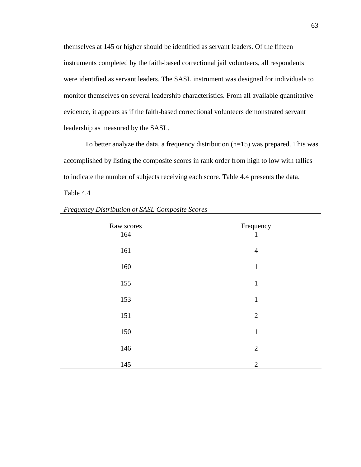themselves at 145 or higher should be identified as servant leaders. Of the fifteen instruments completed by the faith-based correctional jail volunteers, all respondents were identified as servant leaders. The SASL instrument was designed for individuals to monitor themselves on several leadership characteristics. From all available quantitative evidence, it appears as if the faith-based correctional volunteers demonstrated servant leadership as measured by the SASL.

To better analyze the data, a frequency distribution (n=15) was prepared. This was accomplished by listing the composite scores in rank order from high to low with tallies to indicate the number of subjects receiving each score. Table 4.4 presents the data. Table 4.4

| Raw scores | Frequency      |
|------------|----------------|
| 164        | $\mathbf{1}$   |
| 161        | $\overline{4}$ |
| 160        | $\mathbf{1}$   |
| 155        | $\mathbf{1}$   |
| 153        | $\mathbf{1}$   |
| 151        | $\overline{2}$ |
| 150        | $\mathbf{1}$   |
| 146        | $\overline{2}$ |
| 145        | $\mathbf{2}$   |

*Frequency Distribution of SASL Composite Scores*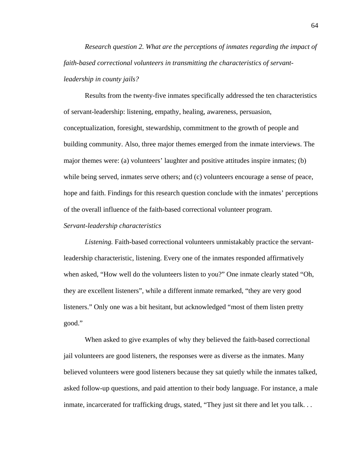*Research question 2. What are the perceptions of inmates regarding the impact of faith-based correctional volunteers in transmitting the characteristics of servantleadership in county jails?* 

Results from the twenty-five inmates specifically addressed the ten characteristics of servant-leadership: listening, empathy, healing, awareness, persuasion, conceptualization, foresight, stewardship, commitment to the growth of people and building community. Also, three major themes emerged from the inmate interviews. The major themes were: (a) volunteers' laughter and positive attitudes inspire inmates; (b) while being served, inmates serve others; and (c) volunteers encourage a sense of peace, hope and faith. Findings for this research question conclude with the inmates' perceptions of the overall influence of the faith-based correctional volunteer program.

#### *Servant-leadership characteristics*

 *Listening.* Faith-based correctional volunteers unmistakably practice the servantleadership characteristic, listening. Every one of the inmates responded affirmatively when asked, "How well do the volunteers listen to you?" One inmate clearly stated "Oh, they are excellent listeners", while a different inmate remarked, "they are very good listeners." Only one was a bit hesitant, but acknowledged "most of them listen pretty good."

 When asked to give examples of why they believed the faith-based correctional jail volunteers are good listeners, the responses were as diverse as the inmates. Many believed volunteers were good listeners because they sat quietly while the inmates talked, asked follow-up questions, and paid attention to their body language. For instance, a male inmate, incarcerated for trafficking drugs, stated, "They just sit there and let you talk...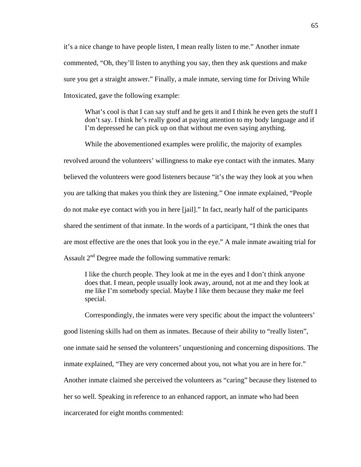it's a nice change to have people listen, I mean really listen to me." Another inmate commented, "Oh, they'll listen to anything you say, then they ask questions and make sure you get a straight answer." Finally, a male inmate, serving time for Driving While Intoxicated, gave the following example:

What's cool is that I can say stuff and he gets it and I think he even gets the stuff I don't say. I think he's really good at paying attention to my body language and if I'm depressed he can pick up on that without me even saying anything.

 While the abovementioned examples were prolific, the majority of examples revolved around the volunteers' willingness to make eye contact with the inmates. Many believed the volunteers were good listeners because "it's the way they look at you when you are talking that makes you think they are listening." One inmate explained, "People do not make eye contact with you in here [jail]." In fact, nearly half of the participants shared the sentiment of that inmate. In the words of a participant, "I think the ones that are most effective are the ones that look you in the eye." A male inmate awaiting trial for Assault  $2<sup>nd</sup>$  Degree made the following summative remark:

 I like the church people. They look at me in the eyes and I don't think anyone does that. I mean, people usually look away, around, not at me and they look at me like I'm somebody special. Maybe I like them because they make me feel special.

 Correspondingly, the inmates were very specific about the impact the volunteers' good listening skills had on them as inmates. Because of their ability to "really listen", one inmate said he sensed the volunteers' unquestioning and concerning dispositions. The inmate explained, "They are very concerned about you, not what you are in here for." Another inmate claimed she perceived the volunteers as "caring" because they listened to her so well. Speaking in reference to an enhanced rapport, an inmate who had been incarcerated for eight months commented: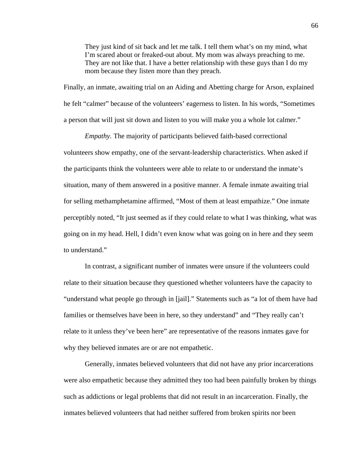They just kind of sit back and let me talk. I tell them what's on my mind, what I'm scared about or freaked-out about. My mom was always preaching to me. They are not like that. I have a better relationship with these guys than I do my mom because they listen more than they preach.

Finally, an inmate, awaiting trial on an Aiding and Abetting charge for Arson, explained he felt "calmer" because of the volunteers' eagerness to listen. In his words, "Sometimes a person that will just sit down and listen to you will make you a whole lot calmer."

*Empathy.* The majority of participants believed faith-based correctional volunteers show empathy, one of the servant-leadership characteristics. When asked if the participants think the volunteers were able to relate to or understand the inmate's situation, many of them answered in a positive manner. A female inmate awaiting trial for selling methamphetamine affirmed, "Most of them at least empathize." One inmate perceptibly noted, "It just seemed as if they could relate to what I was thinking, what was going on in my head. Hell, I didn't even know what was going on in here and they seem to understand."

In contrast, a significant number of inmates were unsure if the volunteers could relate to their situation because they questioned whether volunteers have the capacity to "understand what people go through in [jail]." Statements such as "a lot of them have had families or themselves have been in here, so they understand" and "They really can't relate to it unless they've been here" are representative of the reasons inmates gave for why they believed inmates are or are not empathetic.

Generally, inmates believed volunteers that did not have any prior incarcerations were also empathetic because they admitted they too had been painfully broken by things such as addictions or legal problems that did not result in an incarceration. Finally, the inmates believed volunteers that had neither suffered from broken spirits nor been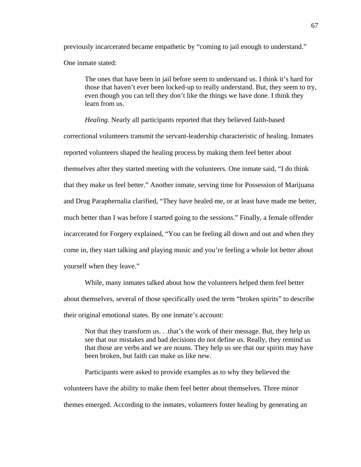previously incarcerated became empathetic by "coming to jail enough to understand." One inmate stated:

The ones that have been in jail before seem to understand us. I think it's hard for those that haven't ever been locked-up to really understand. But, they seem to try, even though you can tell they don't like the things we have done. I think they learn from us.

*Healing.* Nearly all participants reported that they believed faith-based correctional volunteers transmit the servant-leadership characteristic of healing. Inmates reported volunteers shaped the healing process by making them feel better about themselves after they started meeting with the volunteers. One inmate said, "I do think that they make us feel better." Another inmate, serving time for Possession of Marijuana and Drug Paraphernalia clarified, "They have healed me, or at least have made me better, much better than I was before I started going to the sessions." Finally, a female offender incarcerated for Forgery explained, "You can be feeling all down and out and when they come in, they start talking and playing music and you're feeling a whole lot better about yourself when they leave."

While, many inmates talked about how the volunteers helped them feel better about themselves, several of those specifically used the term "broken spirits" to describe their original emotional states. By one inmate's account:

Not that they transform us. . .that's the work of their message. But, they help us see that our mistakes and bad decisions do not define us. Really, they remind us that those are verbs and we are nouns. They help us see that our spirits may have been broken, but faith can make us like new.

Participants were asked to provide examples as to why they believed the volunteers have the ability to make them feel better about themselves. Three minor themes emerged. According to the inmates, volunteers foster healing by generating an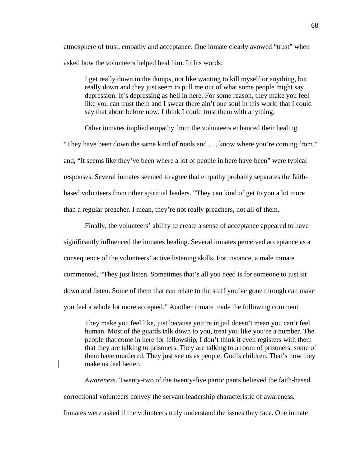atmosphere of trust, empathy and acceptance. One inmate clearly avowed "trust" when asked how the volunteers helped heal him. In his words:

I get really down in the dumps, not like wanting to kill myself or anything, but really down and they just seem to pull me out of what some people might say depression. It's depressing as hell in here. For some reason, they make you feel like you can trust them and I swear there ain't one soul in this world that I could say that about before now. I think I could trust them with anything.

Other inmates implied empathy from the volunteers enhanced their healing.

"They have been down the same kind of roads and . . . know where you're coming from." and, "It seems like they've been where a lot of people in here have been" were typical responses. Several inmates seemed to agree that empathy probably separates the faithbased volunteers from other spiritual leaders. "They can kind of get to you a lot more than a regular preacher. I mean, they're not really preachers, not all of them.

Finally, the volunteers' ability to create a sense of acceptance appeared to have significantly influenced the inmates healing. Several inmates perceived acceptance as a consequence of the volunteers' active listening skills. For instance, a male inmate commented, "They just listen. Sometimes that's all you need is for someone to just sit down and listen. Some of them that can relate to the stuff you've gone through can make you feel a whole lot more accepted." Another inmate made the following comment

They make you feel like, just because you're in jail doesn't mean you can't feel human. Most of the guards talk down to you, treat you like you're a number. The people that come in here for fellowship, I don't think it even registers with them that they are talking to prisoners. They are talking to a room of prisoners, some of them have murdered. They just see us as people, God's children. That's how they make us feel better.

*Awareness*. Twenty-two of the twenty-five participants believed the faith-based correctional volunteers convey the servant-leadership characteristic of awareness. Inmates were asked if the volunteers truly understand the issues they face. One inmate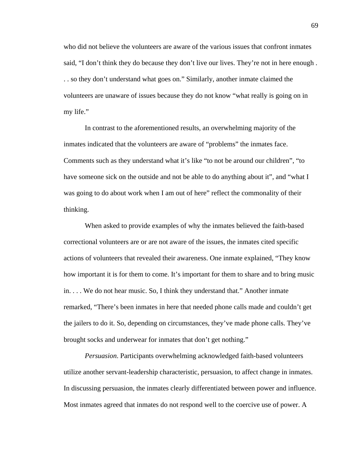who did not believe the volunteers are aware of the various issues that confront inmates said, "I don't think they do because they don't live our lives. They're not in here enough . . . so they don't understand what goes on." Similarly, another inmate claimed the volunteers are unaware of issues because they do not know "what really is going on in my life."

In contrast to the aforementioned results, an overwhelming majority of the inmates indicated that the volunteers are aware of "problems" the inmates face. Comments such as they understand what it's like "to not be around our children", "to have someone sick on the outside and not be able to do anything about it", and "what I was going to do about work when I am out of here" reflect the commonality of their thinking.

When asked to provide examples of why the inmates believed the faith-based correctional volunteers are or are not aware of the issues, the inmates cited specific actions of volunteers that revealed their awareness. One inmate explained, "They know how important it is for them to come. It's important for them to share and to bring music in. . . . We do not hear music. So, I think they understand that." Another inmate remarked, "There's been inmates in here that needed phone calls made and couldn't get the jailers to do it. So, depending on circumstances, they've made phone calls. They've brought socks and underwear for inmates that don't get nothing."

*Persuasion*. Participants overwhelming acknowledged faith-based volunteers utilize another servant-leadership characteristic, persuasion, to affect change in inmates. In discussing persuasion, the inmates clearly differentiated between power and influence. Most inmates agreed that inmates do not respond well to the coercive use of power. A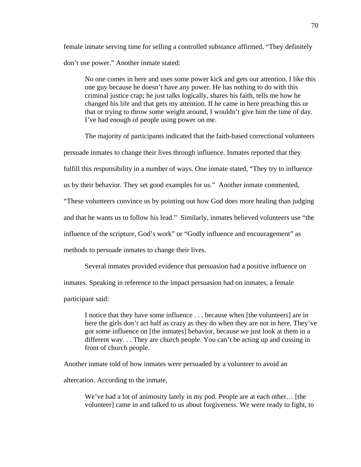female inmate serving time for selling a controlled substance affirmed, "They definitely don't use power." Another inmate stated:

No one comes in here and uses some power kick and gets our attention. I like this one guy because he doesn't have any power. He has nothing to do with this criminal justice crap; he just talks logically, shares his faith, tells me how he changed his life and that gets my attention. If he came in here preaching this or that or trying to throw some weight around, I wouldn't give him the time of day. I've had enough of people using power on me.

 The majority of participants indicated that the faith-based correctional volunteers persuade inmates to change their lives through influence. Inmates reported that they fulfill this responsibility in a number of ways. One inmate stated, "They try to influence us by their behavior. They set good examples for us." Another inmate commented, "These volunteers convince us by pointing out how God does more healing than judging and that he wants us to follow his lead." Similarly, inmates believed volunteers use "the influence of the scripture, God's work" or "Godly influence and encouragement" as methods to persuade inmates to change their lives.

Several inmates provided evidence that persuasion had a positive influence on

inmates. Speaking in reference to the impact persuasion had on inmates, a female

participant said:

I notice that they have some influence . . . because when [the volunteers] are in here the girls don't act half as crazy as they do when they are not in here. They've got some influence on [the inmates] behavior, because we just look at them in a different way. . . They are church people. You can't be acting up and cussing in front of church people.

Another inmate told of how inmates were persuaded by a volunteer to avoid an

altercation. According to the inmate,

We've had a lot of animosity lately in my pod. People are at each other... [the volunteer] came in and talked to us about forgiveness. We were ready to fight, to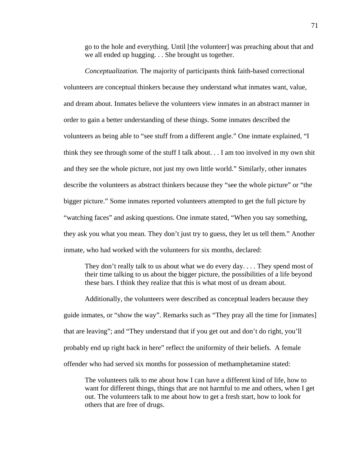go to the hole and everything. Until [the volunteer] was preaching about that and we all ended up hugging. . . She brought us together.

*Conceptualization.* The majority of participants think faith-based correctional volunteers are conceptual thinkers because they understand what inmates want, value, and dream about. Inmates believe the volunteers view inmates in an abstract manner in order to gain a better understanding of these things. Some inmates described the volunteers as being able to "see stuff from a different angle." One inmate explained, "I think they see through some of the stuff I talk about. . . I am too involved in my own shit and they see the whole picture, not just my own little world." Similarly, other inmates describe the volunteers as abstract thinkers because they "see the whole picture" or "the bigger picture." Some inmates reported volunteers attempted to get the full picture by "watching faces" and asking questions. One inmate stated, "When you say something, they ask you what you mean. They don't just try to guess, they let us tell them." Another inmate, who had worked with the volunteers for six months, declared:

 They don't really talk to us about what we do every day. . . . They spend most of their time talking to us about the bigger picture, the possibilities of a life beyond these bars. I think they realize that this is what most of us dream about.

Additionally, the volunteers were described as conceptual leaders because they guide inmates, or "show the way". Remarks such as "They pray all the time for [inmates] that are leaving"; and "They understand that if you get out and don't do right, you'll probably end up right back in here" reflect the uniformity of their beliefs. A female offender who had served six months for possession of methamphetamine stated:

The volunteers talk to me about how I can have a different kind of life, how to want for different things, things that are not harmful to me and others, when I get out. The volunteers talk to me about how to get a fresh start, how to look for others that are free of drugs.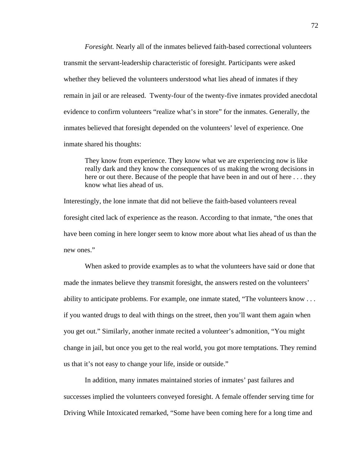*Foresight.* Nearly all of the inmates believed faith-based correctional volunteers transmit the servant-leadership characteristic of foresight. Participants were asked whether they believed the volunteers understood what lies ahead of inmates if they remain in jail or are released. Twenty-four of the twenty-five inmates provided anecdotal evidence to confirm volunteers "realize what's in store" for the inmates. Generally, the inmates believed that foresight depended on the volunteers' level of experience. One inmate shared his thoughts:

They know from experience. They know what we are experiencing now is like really dark and they know the consequences of us making the wrong decisions in here or out there. Because of the people that have been in and out of here ... they know what lies ahead of us.

Interestingly, the lone inmate that did not believe the faith-based volunteers reveal foresight cited lack of experience as the reason. According to that inmate, "the ones that have been coming in here longer seem to know more about what lies ahead of us than the new ones."

 When asked to provide examples as to what the volunteers have said or done that made the inmates believe they transmit foresight, the answers rested on the volunteers' ability to anticipate problems. For example, one inmate stated, "The volunteers know . . . if you wanted drugs to deal with things on the street, then you'll want them again when you get out." Similarly, another inmate recited a volunteer's admonition, "You might change in jail, but once you get to the real world, you got more temptations. They remind us that it's not easy to change your life, inside or outside."

 In addition, many inmates maintained stories of inmates' past failures and successes implied the volunteers conveyed foresight. A female offender serving time for Driving While Intoxicated remarked, "Some have been coming here for a long time and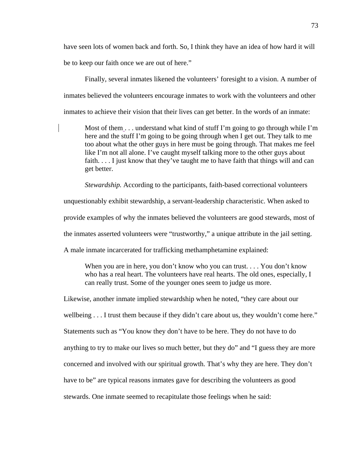have seen lots of women back and forth. So, I think they have an idea of how hard it will be to keep our faith once we are out of here."

 Finally, several inmates likened the volunteers' foresight to a vision. A number of inmates believed the volunteers encourage inmates to work with the volunteers and other inmates to achieve their vision that their lives can get better. In the words of an inmate:

Most of them  $\dots$  understand what kind of stuff I'm going to go through while I'm here and the stuff I'm going to be going through when I get out. They talk to me too about what the other guys in here must be going through. That makes me feel like I'm not all alone. I've caught myself talking more to the other guys about faith. . . . I just know that they've taught me to have faith that things will and can get better.

*Stewardship.* According to the participants, faith-based correctional volunteers

unquestionably exhibit stewardship, a servant-leadership characteristic. When asked to

provide examples of why the inmates believed the volunteers are good stewards, most of

the inmates asserted volunteers were "trustworthy," a unique attribute in the jail setting.

A male inmate incarcerated for trafficking methamphetamine explained:

When you are in here, you don't know who you can trust.... You don't know who has a real heart. The volunteers have real hearts. The old ones, especially, I can really trust. Some of the younger ones seem to judge us more.

Likewise, another inmate implied stewardship when he noted, "they care about our

wellbeing . . . I trust them because if they didn't care about us, they wouldn't come here."

Statements such as "You know they don't have to be here. They do not have to do

anything to try to make our lives so much better, but they do" and "I guess they are more

concerned and involved with our spiritual growth. That's why they are here. They don't

have to be" are typical reasons inmates gave for describing the volunteers as good

stewards. One inmate seemed to recapitulate those feelings when he said: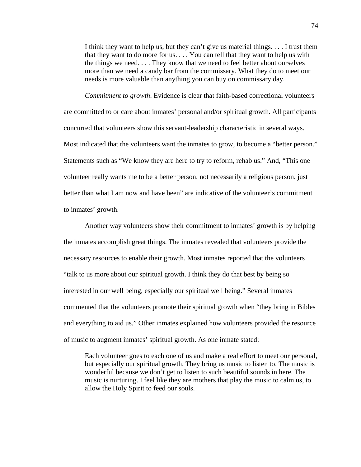I think they want to help us, but they can't give us material things. . . . I trust them that they want to do more for us. . . . You can tell that they want to help us with the things we need. . . . They know that we need to feel better about ourselves more than we need a candy bar from the commissary. What they do to meet our needs is more valuable than anything you can buy on commissary day.

*Commitment to growth*. Evidence is clear that faith-based correctional volunteers are committed to or care about inmates' personal and/or spiritual growth. All participants concurred that volunteers show this servant-leadership characteristic in several ways. Most indicated that the volunteers want the inmates to grow, to become a "better person." Statements such as "We know they are here to try to reform, rehab us." And, "This one volunteer really wants me to be a better person, not necessarily a religious person, just better than what I am now and have been" are indicative of the volunteer's commitment to inmates' growth.

 Another way volunteers show their commitment to inmates' growth is by helping the inmates accomplish great things. The inmates revealed that volunteers provide the necessary resources to enable their growth. Most inmates reported that the volunteers "talk to us more about our spiritual growth. I think they do that best by being so interested in our well being, especially our spiritual well being." Several inmates commented that the volunteers promote their spiritual growth when "they bring in Bibles and everything to aid us." Other inmates explained how volunteers provided the resource of music to augment inmates' spiritual growth. As one inmate stated:

 Each volunteer goes to each one of us and make a real effort to meet our personal, but especially our spiritual growth. They bring us music to listen to. The music is wonderful because we don't get to listen to such beautiful sounds in here. The music is nurturing. I feel like they are mothers that play the music to calm us, to allow the Holy Spirit to feed our souls.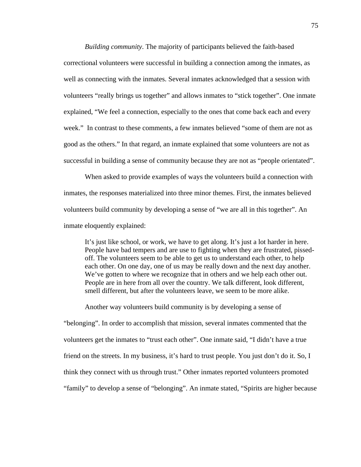*Building community*. The majority of participants believed the faith-based correctional volunteers were successful in building a connection among the inmates, as well as connecting with the inmates. Several inmates acknowledged that a session with volunteers "really brings us together" and allows inmates to "stick together". One inmate explained, "We feel a connection, especially to the ones that come back each and every week." In contrast to these comments, a few inmates believed "some of them are not as good as the others." In that regard, an inmate explained that some volunteers are not as successful in building a sense of community because they are not as "people orientated".

When asked to provide examples of ways the volunteers build a connection with inmates, the responses materialized into three minor themes. First, the inmates believed volunteers build community by developing a sense of "we are all in this together". An inmate eloquently explained:

It's just like school, or work, we have to get along. It's just a lot harder in here. People have bad tempers and are use to fighting when they are frustrated, pissedoff. The volunteers seem to be able to get us to understand each other, to help each other. On one day, one of us may be really down and the next day another. We've gotten to where we recognize that in others and we help each other out. People are in here from all over the country. We talk different, look different, smell different, but after the volunteers leave, we seem to be more alike.

Another way volunteers build community is by developing a sense of

"belonging". In order to accomplish that mission, several inmates commented that the volunteers get the inmates to "trust each other". One inmate said, "I didn't have a true friend on the streets. In my business, it's hard to trust people. You just don't do it. So, I think they connect with us through trust." Other inmates reported volunteers promoted "family" to develop a sense of "belonging". An inmate stated, "Spirits are higher because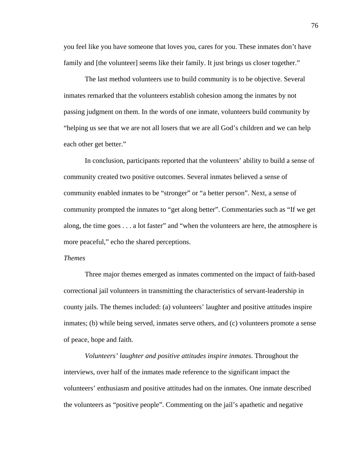you feel like you have someone that loves you, cares for you. These inmates don't have family and [the volunteer] seems like their family. It just brings us closer together."

 The last method volunteers use to build community is to be objective. Several inmates remarked that the volunteers establish cohesion among the inmates by not passing judgment on them. In the words of one inmate, volunteers build community by "helping us see that we are not all losers that we are all God's children and we can help each other get better."

 In conclusion, participants reported that the volunteers' ability to build a sense of community created two positive outcomes. Several inmates believed a sense of community enabled inmates to be "stronger" or "a better person". Next, a sense of community prompted the inmates to "get along better". Commentaries such as "If we get along, the time goes . . . a lot faster" and "when the volunteers are here, the atmosphere is more peaceful," echo the shared perceptions.

#### *Themes*

Three major themes emerged as inmates commented on the impact of faith-based correctional jail volunteers in transmitting the characteristics of servant-leadership in county jails. The themes included: (a) volunteers' laughter and positive attitudes inspire inmates; (b) while being served, inmates serve others, and (c) volunteers promote a sense of peace, hope and faith.

*Volunteers' laughter and positive attitudes inspire inmates*. Throughout the interviews, over half of the inmates made reference to the significant impact the volunteers' enthusiasm and positive attitudes had on the inmates. One inmate described the volunteers as "positive people". Commenting on the jail's apathetic and negative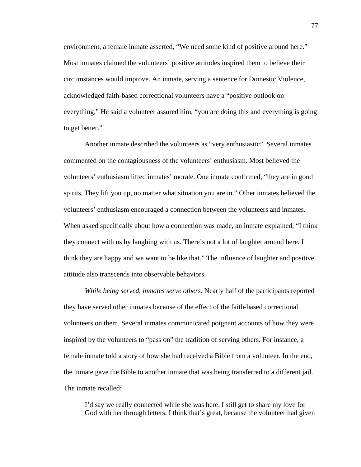environment, a female inmate asserted, "We need some kind of positive around here." Most inmates claimed the volunteers' positive attitudes inspired them to believe their circumstances would improve. An inmate, serving a sentence for Domestic Violence, acknowledged faith-based correctional volunteers have a "positive outlook on everything." He said a volunteer assured him, "you are doing this and everything is going to get better."

Another inmate described the volunteers as "very enthusiastic". Several inmates commented on the contagiousness of the volunteers' enthusiasm. Most believed the volunteers' enthusiasm lifted inmates' morale. One inmate confirmed, "they are in good spirits. They lift you up, no matter what situation you are in." Other inmates believed the volunteers' enthusiasm encouraged a connection between the volunteers and inmates. When asked specifically about how a connection was made, an inmate explained, "I think they connect with us by laughing with us. There's not a lot of laughter around here. I think they are happy and we want to be like that." The influence of laughter and positive attitude also transcends into observable behaviors.

*While being served, inmates serve others.* Nearly half of the participants reported they have served other inmates because of the effect of the faith-based correctional volunteers on them. Several inmates communicated poignant accounts of how they were inspired by the volunteers to "pass on" the tradition of serving others. For instance, a female inmate told a story of how she had received a Bible from a volunteer. In the end, the inmate gave the Bible to another inmate that was being transferred to a different jail. The inmate recalled:

I'd say we really connected while she was here. I still get to share my love for God with her through letters. I think that's great, because the volunteer had given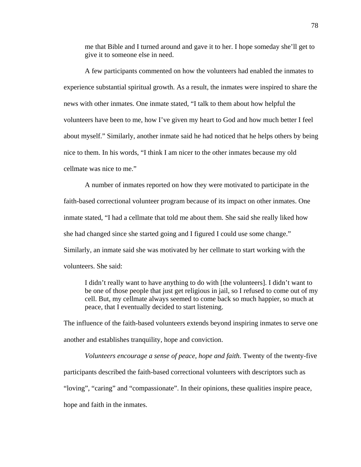me that Bible and I turned around and gave it to her. I hope someday she'll get to give it to someone else in need.

A few participants commented on how the volunteers had enabled the inmates to experience substantial spiritual growth. As a result, the inmates were inspired to share the news with other inmates. One inmate stated, "I talk to them about how helpful the volunteers have been to me, how I've given my heart to God and how much better I feel about myself." Similarly, another inmate said he had noticed that he helps others by being nice to them. In his words, "I think I am nicer to the other inmates because my old cellmate was nice to me."

A number of inmates reported on how they were motivated to participate in the faith-based correctional volunteer program because of its impact on other inmates. One inmate stated, "I had a cellmate that told me about them. She said she really liked how she had changed since she started going and I figured I could use some change." Similarly, an inmate said she was motivated by her cellmate to start working with the volunteers. She said:

I didn't really want to have anything to do with [the volunteers]. I didn't want to be one of those people that just get religious in jail, so I refused to come out of my cell. But, my cellmate always seemed to come back so much happier, so much at peace, that I eventually decided to start listening.

The influence of the faith-based volunteers extends beyond inspiring inmates to serve one another and establishes tranquility, hope and conviction.

*Volunteers encourage a sense of peace, hope and faith.* Twenty of the twenty-five participants described the faith-based correctional volunteers with descriptors such as "loving", "caring" and "compassionate". In their opinions, these qualities inspire peace, hope and faith in the inmates.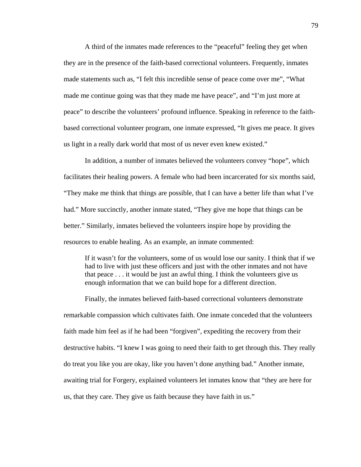A third of the inmates made references to the "peaceful" feeling they get when they are in the presence of the faith-based correctional volunteers. Frequently, inmates made statements such as, "I felt this incredible sense of peace come over me", "What made me continue going was that they made me have peace", and "I'm just more at peace" to describe the volunteers' profound influence. Speaking in reference to the faithbased correctional volunteer program, one inmate expressed, "It gives me peace. It gives us light in a really dark world that most of us never even knew existed."

In addition, a number of inmates believed the volunteers convey "hope", which facilitates their healing powers. A female who had been incarcerated for six months said, "They make me think that things are possible, that I can have a better life than what I've had." More succinctly, another inmate stated, "They give me hope that things can be better." Similarly, inmates believed the volunteers inspire hope by providing the resources to enable healing. As an example, an inmate commented:

If it wasn't for the volunteers, some of us would lose our sanity. I think that if we had to live with just these officers and just with the other inmates and not have that peace . . . it would be just an awful thing. I think the volunteers give us enough information that we can build hope for a different direction.

Finally, the inmates believed faith-based correctional volunteers demonstrate remarkable compassion which cultivates faith. One inmate conceded that the volunteers faith made him feel as if he had been "forgiven", expediting the recovery from their destructive habits. "I knew I was going to need their faith to get through this. They really do treat you like you are okay, like you haven't done anything bad." Another inmate, awaiting trial for Forgery, explained volunteers let inmates know that "they are here for us, that they care. They give us faith because they have faith in us."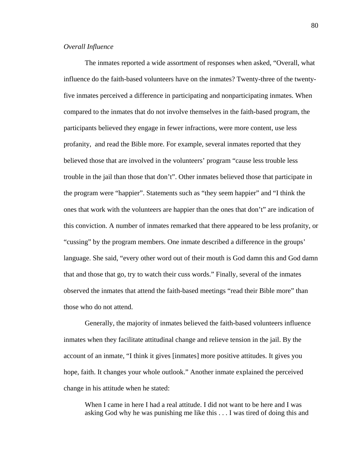# *Overall Influence*

 The inmates reported a wide assortment of responses when asked, "Overall, what influence do the faith-based volunteers have on the inmates? Twenty-three of the twentyfive inmates perceived a difference in participating and nonparticipating inmates. When compared to the inmates that do not involve themselves in the faith-based program, the participants believed they engage in fewer infractions, were more content, use less profanity, and read the Bible more. For example, several inmates reported that they believed those that are involved in the volunteers' program "cause less trouble less trouble in the jail than those that don't". Other inmates believed those that participate in the program were "happier". Statements such as "they seem happier" and "I think the ones that work with the volunteers are happier than the ones that don't" are indication of this conviction. A number of inmates remarked that there appeared to be less profanity, or "cussing" by the program members. One inmate described a difference in the groups' language. She said, "every other word out of their mouth is God damn this and God damn that and those that go, try to watch their cuss words." Finally, several of the inmates observed the inmates that attend the faith-based meetings "read their Bible more" than those who do not attend.

 Generally, the majority of inmates believed the faith-based volunteers influence inmates when they facilitate attitudinal change and relieve tension in the jail. By the account of an inmate, "I think it gives [inmates] more positive attitudes. It gives you hope, faith. It changes your whole outlook." Another inmate explained the perceived change in his attitude when he stated:

When I came in here I had a real attitude. I did not want to be here and I was asking God why he was punishing me like this . . . I was tired of doing this and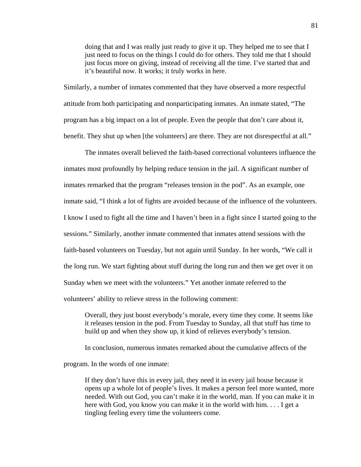doing that and I was really just ready to give it up. They helped me to see that I just need to focus on the things I could do for others. They told me that I should just focus more on giving, instead of receiving all the time. I've started that and it's beautiful now. It works; it truly works in here.

Similarly, a number of inmates commented that they have observed a more respectful attitude from both participating and nonparticipating inmates. An inmate stated, "The program has a big impact on a lot of people. Even the people that don't care about it, benefit. They shut up when [the volunteers] are there. They are not disrespectful at all."

 The inmates overall believed the faith-based correctional volunteers influence the inmates most profoundly by helping reduce tension in the jail. A significant number of inmates remarked that the program "releases tension in the pod". As an example, one inmate said, "I think a lot of fights are avoided because of the influence of the volunteers. I know I used to fight all the time and I haven't been in a fight since I started going to the sessions." Similarly, another inmate commented that inmates attend sessions with the faith-based volunteers on Tuesday, but not again until Sunday. In her words, "We call it the long run. We start fighting about stuff during the long run and then we get over it on Sunday when we meet with the volunteers." Yet another inmate referred to the volunteers' ability to relieve stress in the following comment:

 Overall, they just boost everybody's morale, every time they come. It seems like it releases tension in the pod. From Tuesday to Sunday, all that stuff has time to build up and when they show up, it kind of relieves everybody's tension.

In conclusion, numerous inmates remarked about the cumulative affects of the

program. In the words of one inmate:

 If they don't have this in every jail, they need it in every jail house because it opens up a whole lot of people's lives. It makes a person feel more wanted, more needed. With out God, you can't make it in the world, man. If you can make it in here with God, you know you can make it in the world with him. . . . I get a tingling feeling every time the volunteers come.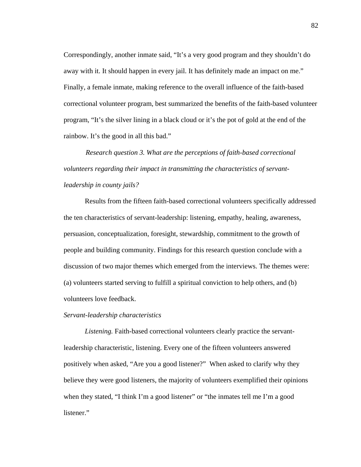Correspondingly, another inmate said, "It's a very good program and they shouldn't do away with it. It should happen in every jail. It has definitely made an impact on me." Finally, a female inmate, making reference to the overall influence of the faith-based correctional volunteer program, best summarized the benefits of the faith-based volunteer program, "It's the silver lining in a black cloud or it's the pot of gold at the end of the rainbow. It's the good in all this bad."

*Research question 3. What are the perceptions of faith-based correctional volunteers regarding their impact in transmitting the characteristics of servantleadership in county jails?* 

Results from the fifteen faith-based correctional volunteers specifically addressed the ten characteristics of servant-leadership: listening, empathy, healing, awareness, persuasion, conceptualization, foresight, stewardship, commitment to the growth of people and building community. Findings for this research question conclude with a discussion of two major themes which emerged from the interviews. The themes were: (a) volunteers started serving to fulfill a spiritual conviction to help others, and (b) volunteers love feedback.

### *Servant-leadership characteristics*

*Listening.* Faith-based correctional volunteers clearly practice the servantleadership characteristic, listening. Every one of the fifteen volunteers answered positively when asked, "Are you a good listener?" When asked to clarify why they believe they were good listeners, the majority of volunteers exemplified their opinions when they stated, "I think I'm a good listener" or "the inmates tell me I'm a good listener."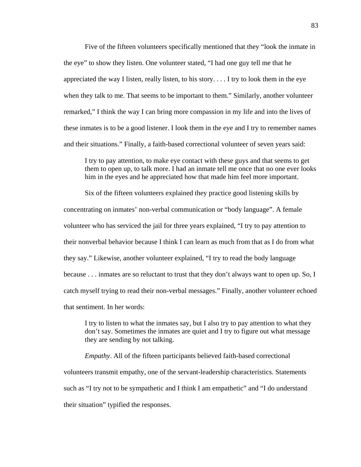Five of the fifteen volunteers specifically mentioned that they "look the inmate in the eye" to show they listen. One volunteer stated, "I had one guy tell me that he appreciated the way I listen, really listen, to his story.... I try to look them in the eye when they talk to me. That seems to be important to them." Similarly, another volunteer remarked," I think the way I can bring more compassion in my life and into the lives of these inmates is to be a good listener. I look them in the eye and I try to remember names and their situations." Finally, a faith-based correctional volunteer of seven years said:

I try to pay attention, to make eye contact with these guys and that seems to get them to open up, to talk more. I had an inmate tell me once that no one ever looks him in the eyes and he appreciated how that made him feel more important.

Six of the fifteen volunteers explained they practice good listening skills by concentrating on inmates' non-verbal communication or "body language". A female volunteer who has serviced the jail for three years explained, "I try to pay attention to their nonverbal behavior because I think I can learn as much from that as I do from what they say." Likewise, another volunteer explained, "I try to read the body language because . . . inmates are so reluctant to trust that they don't always want to open up. So, I catch myself trying to read their non-verbal messages." Finally, another volunteer echoed that sentiment. In her words:

I try to listen to what the inmates say, but I also try to pay attention to what they don't say. Sometimes the inmates are quiet and I try to figure out what message they are sending by not talking.

*Empathy*. All of the fifteen participants believed faith-based correctional volunteers transmit empathy, one of the servant-leadership characteristics. Statements such as "I try not to be sympathetic and I think I am empathetic" and "I do understand their situation" typified the responses.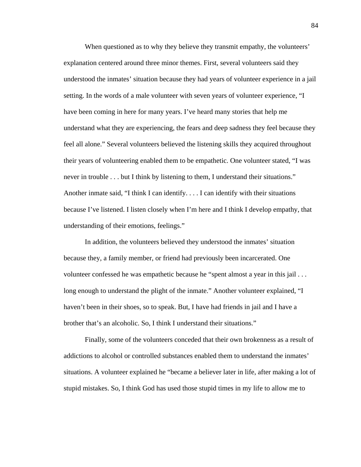When questioned as to why they believe they transmit empathy, the volunteers' explanation centered around three minor themes. First, several volunteers said they understood the inmates' situation because they had years of volunteer experience in a jail setting. In the words of a male volunteer with seven years of volunteer experience, "I have been coming in here for many years. I've heard many stories that help me understand what they are experiencing, the fears and deep sadness they feel because they feel all alone." Several volunteers believed the listening skills they acquired throughout their years of volunteering enabled them to be empathetic. One volunteer stated, "I was never in trouble . . . but I think by listening to them, I understand their situations." Another inmate said, "I think I can identify. . . . I can identify with their situations because I've listened. I listen closely when I'm here and I think I develop empathy, that understanding of their emotions, feelings."

In addition, the volunteers believed they understood the inmates' situation because they, a family member, or friend had previously been incarcerated. One volunteer confessed he was empathetic because he "spent almost a year in this jail . . . long enough to understand the plight of the inmate." Another volunteer explained, "I haven't been in their shoes, so to speak. But, I have had friends in jail and I have a brother that's an alcoholic. So, I think I understand their situations."

Finally, some of the volunteers conceded that their own brokenness as a result of addictions to alcohol or controlled substances enabled them to understand the inmates' situations. A volunteer explained he "became a believer later in life, after making a lot of stupid mistakes. So, I think God has used those stupid times in my life to allow me to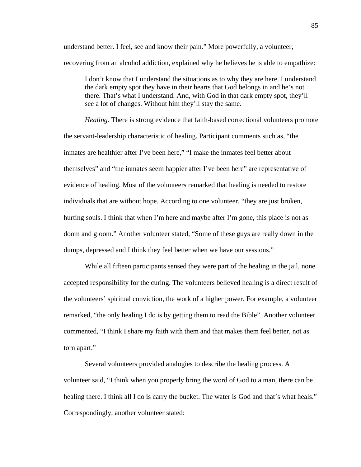understand better. I feel, see and know their pain." More powerfully, a volunteer, recovering from an alcohol addiction, explained why he believes he is able to empathize:

I don't know that I understand the situations as to why they are here. I understand the dark empty spot they have in their hearts that God belongs in and he's not there. That's what I understand. And, with God in that dark empty spot, they'll see a lot of changes. Without him they'll stay the same.

*Healing*. There is strong evidence that faith-based correctional volunteers promote the servant-leadership characteristic of healing. Participant comments such as, "the inmates are healthier after I've been here," "I make the inmates feel better about themselves" and "the inmates seem happier after I've been here" are representative of evidence of healing. Most of the volunteers remarked that healing is needed to restore individuals that are without hope. According to one volunteer, "they are just broken, hurting souls. I think that when I'm here and maybe after I'm gone, this place is not as doom and gloom." Another volunteer stated, "Some of these guys are really down in the dumps, depressed and I think they feel better when we have our sessions."

While all fifteen participants sensed they were part of the healing in the jail, none accepted responsibility for the curing. The volunteers believed healing is a direct result of the volunteers' spiritual conviction, the work of a higher power. For example, a volunteer remarked, "the only healing I do is by getting them to read the Bible". Another volunteer commented, "I think I share my faith with them and that makes them feel better, not as torn apart."

Several volunteers provided analogies to describe the healing process. A volunteer said, "I think when you properly bring the word of God to a man, there can be healing there. I think all I do is carry the bucket. The water is God and that's what heals." Correspondingly, another volunteer stated: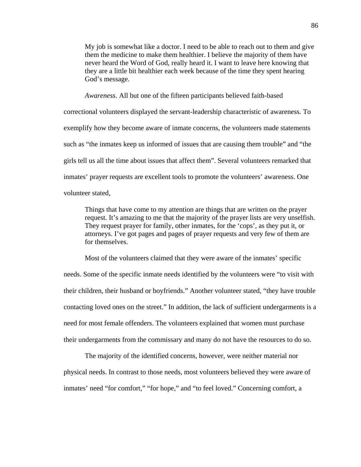My job is somewhat like a doctor. I need to be able to reach out to them and give them the medicine to make them healthier. I believe the majority of them have never heard the Word of God, really heard it. I want to leave here knowing that they are a little bit healthier each week because of the time they spent hearing God's message.

*Awareness*. All but one of the fifteen participants believed faith-based correctional volunteers displayed the servant-leadership characteristic of awareness. To exemplify how they become aware of inmate concerns, the volunteers made statements such as "the inmates keep us informed of issues that are causing them trouble" and "the girls tell us all the time about issues that affect them". Several volunteers remarked that inmates' prayer requests are excellent tools to promote the volunteers' awareness. One volunteer stated,

Things that have come to my attention are things that are written on the prayer request. It's amazing to me that the majority of the prayer lists are very unselfish. They request prayer for family, other inmates, for the 'cops', as they put it, or attorneys. I've got pages and pages of prayer requests and very few of them are for themselves.

Most of the volunteers claimed that they were aware of the inmates' specific needs. Some of the specific inmate needs identified by the volunteers were "to visit with their children, their husband or boyfriends." Another volunteer stated, "they have trouble contacting loved ones on the street." In addition, the lack of sufficient undergarments is a need for most female offenders. The volunteers explained that women must purchase their undergarments from the commissary and many do not have the resources to do so.

The majority of the identified concerns, however, were neither material nor physical needs. In contrast to those needs, most volunteers believed they were aware of inmates' need "for comfort," "for hope," and "to feel loved." Concerning comfort, a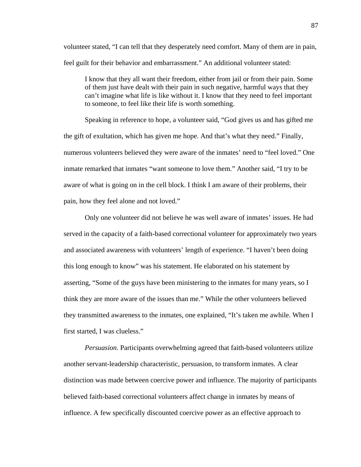volunteer stated, "I can tell that they desperately need comfort. Many of them are in pain, feel guilt for their behavior and embarrassment." An additional volunteer stated:

I know that they all want their freedom, either from jail or from their pain. Some of them just have dealt with their pain in such negative, harmful ways that they can't imagine what life is like without it. I know that they need to feel important to someone, to feel like their life is worth something.

Speaking in reference to hope, a volunteer said, "God gives us and has gifted me the gift of exultation, which has given me hope. And that's what they need." Finally, numerous volunteers believed they were aware of the inmates' need to "feel loved." One inmate remarked that inmates "want someone to love them." Another said, "I try to be aware of what is going on in the cell block. I think I am aware of their problems, their pain, how they feel alone and not loved."

Only one volunteer did not believe he was well aware of inmates' issues. He had served in the capacity of a faith-based correctional volunteer for approximately two years and associated awareness with volunteers' length of experience. "I haven't been doing this long enough to know" was his statement. He elaborated on his statement by asserting, "Some of the guys have been ministering to the inmates for many years, so I think they are more aware of the issues than me." While the other volunteers believed they transmitted awareness to the inmates, one explained, "It's taken me awhile. When I first started, I was clueless."

*Persuasion.* Participants overwhelming agreed that faith-based volunteers utilize another servant-leadership characteristic, persuasion, to transform inmates. A clear distinction was made between coercive power and influence. The majority of participants believed faith-based correctional volunteers affect change in inmates by means of influence. A few specifically discounted coercive power as an effective approach to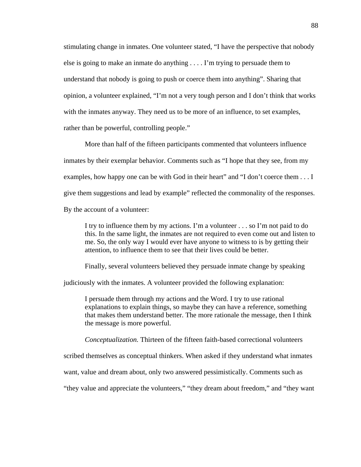stimulating change in inmates. One volunteer stated, "I have the perspective that nobody else is going to make an inmate do anything . . . . I'm trying to persuade them to understand that nobody is going to push or coerce them into anything". Sharing that opinion, a volunteer explained, "I'm not a very tough person and I don't think that works with the inmates anyway. They need us to be more of an influence, to set examples, rather than be powerful, controlling people."

More than half of the fifteen participants commented that volunteers influence inmates by their exemplar behavior. Comments such as "I hope that they see, from my examples, how happy one can be with God in their heart" and "I don't coerce them . . . I give them suggestions and lead by example" reflected the commonality of the responses. By the account of a volunteer:

I try to influence them by my actions. I'm a volunteer . . . so I'm not paid to do this. In the same light, the inmates are not required to even come out and listen to me. So, the only way I would ever have anyone to witness to is by getting their attention, to influence them to see that their lives could be better.

Finally, several volunteers believed they persuade inmate change by speaking

judiciously with the inmates. A volunteer provided the following explanation:

I persuade them through my actions and the Word. I try to use rational explanations to explain things, so maybe they can have a reference, something that makes them understand better. The more rationale the message, then I think the message is more powerful.

*Conceptualization.* Thirteen of the fifteen faith-based correctional volunteers

scribed themselves as conceptual thinkers. When asked if they understand what inmates

want, value and dream about, only two answered pessimistically. Comments such as

"they value and appreciate the volunteers," "they dream about freedom," and "they want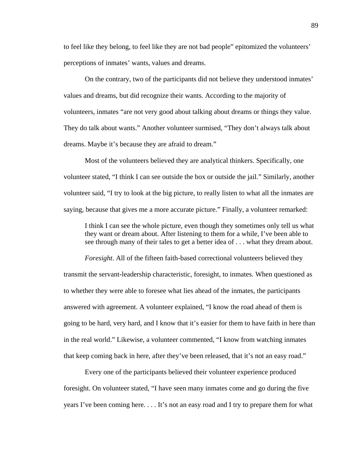to feel like they belong, to feel like they are not bad people" epitomized the volunteers' perceptions of inmates' wants, values and dreams.

On the contrary, two of the participants did not believe they understood inmates' values and dreams, but did recognize their wants. According to the majority of volunteers, inmates "are not very good about talking about dreams or things they value. They do talk about wants." Another volunteer surmised, "They don't always talk about dreams. Maybe it's because they are afraid to dream."

Most of the volunteers believed they are analytical thinkers. Specifically, one volunteer stated, "I think I can see outside the box or outside the jail." Similarly, another volunteer said, "I try to look at the big picture, to really listen to what all the inmates are saying, because that gives me a more accurate picture." Finally, a volunteer remarked:

I think I can see the whole picture, even though they sometimes only tell us what they want or dream about. After listening to them for a while, I've been able to see through many of their tales to get a better idea of . . . what they dream about.

*Foresight*. All of the fifteen faith-based correctional volunteers believed they transmit the servant-leadership characteristic, foresight, to inmates. When questioned as to whether they were able to foresee what lies ahead of the inmates, the participants answered with agreement. A volunteer explained, "I know the road ahead of them is going to be hard, very hard, and I know that it's easier for them to have faith in here than in the real world." Likewise, a volunteer commented, "I know from watching inmates that keep coming back in here, after they've been released, that it's not an easy road."

Every one of the participants believed their volunteer experience produced foresight. On volunteer stated, "I have seen many inmates come and go during the five years I've been coming here. . . . It's not an easy road and I try to prepare them for what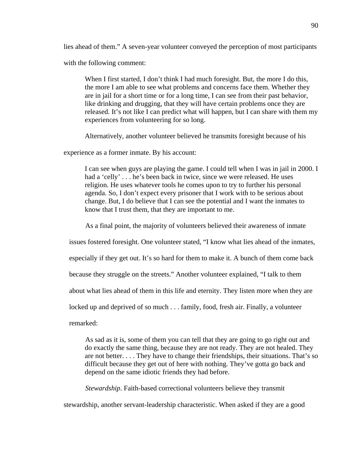lies ahead of them." A seven-year volunteer conveyed the perception of most participants

with the following comment:

When I first started, I don't think I had much foresight. But, the more I do this, the more I am able to see what problems and concerns face them. Whether they are in jail for a short time or for a long time, I can see from their past behavior, like drinking and drugging, that they will have certain problems once they are released. It's not like I can predict what will happen, but I can share with them my experiences from volunteering for so long.

Alternatively, another volunteer believed he transmits foresight because of his

experience as a former inmate. By his account:

I can see when guys are playing the game. I could tell when I was in jail in 2000. I had a 'celly' . . . he's been back in twice, since we were released. He uses religion. He uses whatever tools he comes upon to try to further his personal agenda. So, I don't expect every prisoner that I work with to be serious about change. But, I do believe that I can see the potential and I want the inmates to know that I trust them, that they are important to me.

As a final point, the majority of volunteers believed their awareness of inmate

issues fostered foresight. One volunteer stated, "I know what lies ahead of the inmates,

especially if they get out. It's so hard for them to make it. A bunch of them come back

because they struggle on the streets." Another volunteer explained, "I talk to them

about what lies ahead of them in this life and eternity. They listen more when they are

locked up and deprived of so much . . . family, food, fresh air. Finally, a volunteer

remarked:

As sad as it is, some of them you can tell that they are going to go right out and do exactly the same thing, because they are not ready. They are not healed. They are not better. . . . They have to change their friendships, their situations. That's so difficult because they get out of here with nothing. They've gotta go back and depend on the same idiotic friends they had before.

*Stewardship*. Faith-based correctional volunteers believe they transmit

stewardship, another servant-leadership characteristic. When asked if they are a good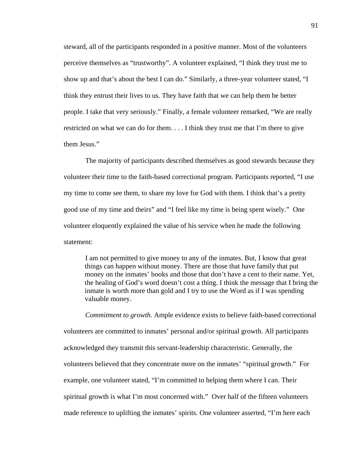steward, all of the participants responded in a positive manner. Most of the volunteers perceive themselves as "trustworthy". A volunteer explained, "I think they trust me to show up and that's about the best I can do." Similarly, a three-year volunteer stated, "I think they entrust their lives to us. They have faith that we can help them be better people. I take that very seriously." Finally, a female volunteer remarked, "We are really restricted on what we can do for them. . . . I think they trust me that I'm there to give them Jesus."

The majority of participants described themselves as good stewards because they volunteer their time to the faith-based correctional program. Participants reported, "I use my time to come see them, to share my love for God with them. I think that's a pretty good use of my time and theirs" and "I feel like my time is being spent wisely." One volunteer eloquently explained the value of his service when he made the following statement:

I am not permitted to give money to any of the inmates. But, I know that great things can happen without money. There are those that have family that put money on the inmates' books and those that don't have a cent to their name. Yet, the healing of God's word doesn't cost a thing. I think the message that I bring the inmate is worth more than gold and I try to use the Word as if I was spending valuable money.

*Commitment to growth*. Ample evidence exists to believe faith-based correctional volunteers are committed to inmates' personal and/or spiritual growth. All participants acknowledged they transmit this servant-leadership characteristic. Generally, the volunteers believed that they concentrate more on the inmates' "spiritual growth." For example, one volunteer stated, "I'm committed to helping them where I can. Their spiritual growth is what I'm most concerned with." Over half of the fifteen volunteers made reference to uplifting the inmates' spirits. One volunteer asserted, "I'm here each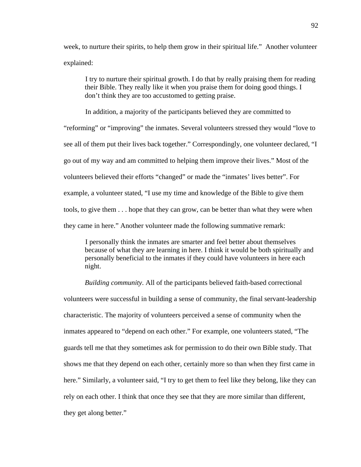week, to nurture their spirits, to help them grow in their spiritual life." Another volunteer explained:

I try to nurture their spiritual growth. I do that by really praising them for reading their Bible. They really like it when you praise them for doing good things. I don't think they are too accustomed to getting praise.

In addition, a majority of the participants believed they are committed to "reforming" or "improving" the inmates. Several volunteers stressed they would "love to see all of them put their lives back together." Correspondingly, one volunteer declared, "I go out of my way and am committed to helping them improve their lives." Most of the volunteers believed their efforts "changed" or made the "inmates' lives better". For example, a volunteer stated, "I use my time and knowledge of the Bible to give them tools, to give them . . . hope that they can grow, can be better than what they were when they came in here." Another volunteer made the following summative remark:

I personally think the inmates are smarter and feel better about themselves because of what they are learning in here. I think it would be both spiritually and personally beneficial to the inmates if they could have volunteers in here each night.

*Building community*. All of the participants believed faith-based correctional volunteers were successful in building a sense of community, the final servant-leadership characteristic. The majority of volunteers perceived a sense of community when the inmates appeared to "depend on each other." For example, one volunteers stated, "The guards tell me that they sometimes ask for permission to do their own Bible study. That shows me that they depend on each other, certainly more so than when they first came in here." Similarly, a volunteer said, "I try to get them to feel like they belong, like they can rely on each other. I think that once they see that they are more similar than different, they get along better."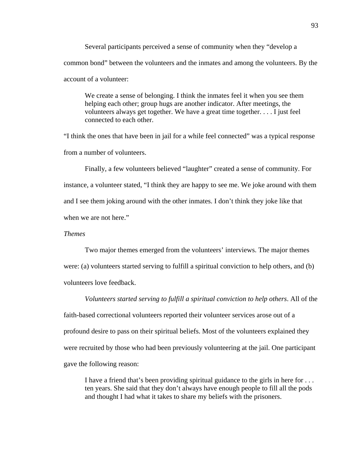Several participants perceived a sense of community when they "develop a common bond" between the volunteers and the inmates and among the volunteers. By the account of a volunteer:

 We create a sense of belonging. I think the inmates feel it when you see them helping each other; group hugs are another indicator. After meetings, the volunteers always get together. We have a great time together. . . . I just feel connected to each other.

"I think the ones that have been in jail for a while feel connected" was a typical response from a number of volunteers.

Finally, a few volunteers believed "laughter" created a sense of community. For instance, a volunteer stated, "I think they are happy to see me. We joke around with them and I see them joking around with the other inmates. I don't think they joke like that when we are not here."

# *Themes*

Two major themes emerged from the volunteers' interviews. The major themes were: (a) volunteers started serving to fulfill a spiritual conviction to help others, and (b) volunteers love feedback.

 *Volunteers started serving to fulfill a spiritual conviction to help others*. All of the faith-based correctional volunteers reported their volunteer services arose out of a profound desire to pass on their spiritual beliefs. Most of the volunteers explained they were recruited by those who had been previously volunteering at the jail. One participant gave the following reason:

 I have a friend that's been providing spiritual guidance to the girls in here for . . . ten years. She said that they don't always have enough people to fill all the pods and thought I had what it takes to share my beliefs with the prisoners.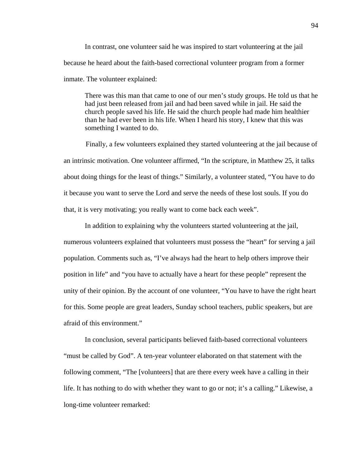In contrast, one volunteer said he was inspired to start volunteering at the jail because he heard about the faith-based correctional volunteer program from a former inmate. The volunteer explained:

 There was this man that came to one of our men's study groups. He told us that he had just been released from jail and had been saved while in jail. He said the church people saved his life. He said the church people had made him healthier than he had ever been in his life. When I heard his story, I knew that this was something I wanted to do.

Finally, a few volunteers explained they started volunteering at the jail because of an intrinsic motivation. One volunteer affirmed, "In the scripture, in Matthew 25, it talks about doing things for the least of things." Similarly, a volunteer stated, "You have to do it because you want to serve the Lord and serve the needs of these lost souls. If you do that, it is very motivating; you really want to come back each week".

In addition to explaining why the volunteers started volunteering at the jail, numerous volunteers explained that volunteers must possess the "heart" for serving a jail population. Comments such as, "I've always had the heart to help others improve their position in life" and "you have to actually have a heart for these people" represent the unity of their opinion. By the account of one volunteer, "You have to have the right heart for this. Some people are great leaders, Sunday school teachers, public speakers, but are afraid of this environment."

 In conclusion, several participants believed faith-based correctional volunteers "must be called by God". A ten-year volunteer elaborated on that statement with the following comment, "The [volunteers] that are there every week have a calling in their life. It has nothing to do with whether they want to go or not; it's a calling." Likewise, a long-time volunteer remarked: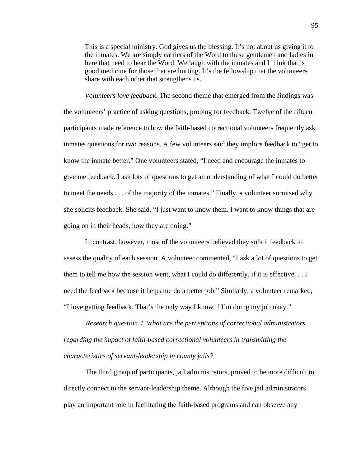This is a special ministry. God gives us the blessing. It's not about us giving it to the inmates. We are simply carriers of the Word to these gentlemen and ladies in here that need to hear the Word. We laugh with the inmates and I think that is good medicine for those that are hurting. It's the fellowship that the volunteers share with each other that strengthens us.

*Volunteers love feedback*. The second theme that emerged from the findings was the volunteers' practice of asking questions, probing for feedback. Twelve of the fifteen participants made reference to how the faith-based correctional volunteers frequently ask inmates questions for two reasons. A few volunteers said they implore feedback to "get to know the inmate better." One volunteers stated, "I need and encourage the inmates to give me feedback. I ask lots of questions to get an understanding of what I could do better to meet the needs . . . of the majority of the inmates." Finally, a volunteer surmised why she solicits feedback. She said, "I just want to know them. I want to know things that are going on in their heads, how they are doing."

In contrast, however, most of the volunteers believed they solicit feedback to assess the quality of each session. A volunteer commented, "I ask a lot of questions to get them to tell me how the session went, what I could do differently, if it is effective. . . I need the feedback because it helps me do a better job." Similarly, a volunteer remarked, "I love getting feedback. That's the only way I know if I'm doing my job okay."

*Research question 4. What are the perceptions of correctional administrators regarding the impact of faith-based correctional volunteers in transmitting the characteristics of servant-leadership in county jails?* 

The third group of participants, jail administrators, proved to be more difficult to directly connect to the servant-leadership theme. Although the five jail administrators play an important role in facilitating the faith-based programs and can observe any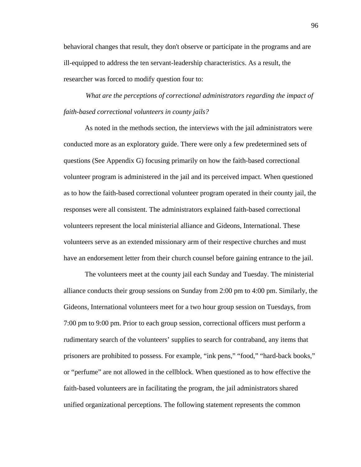behavioral changes that result, they don't observe or participate in the programs and are ill-equipped to address the ten servant-leadership characteristics. As a result, the researcher was forced to modify question four to:

*What are the perceptions of correctional administrators regarding the impact of faith-based correctional volunteers in county jails?* 

As noted in the methods section, the interviews with the jail administrators were conducted more as an exploratory guide. There were only a few predetermined sets of questions (See Appendix G) focusing primarily on how the faith-based correctional volunteer program is administered in the jail and its perceived impact. When questioned as to how the faith-based correctional volunteer program operated in their county jail, the responses were all consistent. The administrators explained faith-based correctional volunteers represent the local ministerial alliance and Gideons, International. These volunteers serve as an extended missionary arm of their respective churches and must have an endorsement letter from their church counsel before gaining entrance to the jail.

The volunteers meet at the county jail each Sunday and Tuesday. The ministerial alliance conducts their group sessions on Sunday from 2:00 pm to 4:00 pm. Similarly, the Gideons, International volunteers meet for a two hour group session on Tuesdays, from 7:00 pm to 9:00 pm. Prior to each group session, correctional officers must perform a rudimentary search of the volunteers' supplies to search for contraband, any items that prisoners are prohibited to possess. For example, "ink pens," "food," "hard-back books," or "perfume" are not allowed in the cellblock. When questioned as to how effective the faith-based volunteers are in facilitating the program, the jail administrators shared unified organizational perceptions. The following statement represents the common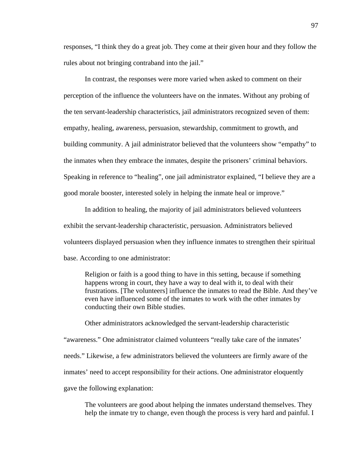responses, "I think they do a great job. They come at their given hour and they follow the rules about not bringing contraband into the jail."

In contrast, the responses were more varied when asked to comment on their perception of the influence the volunteers have on the inmates. Without any probing of the ten servant-leadership characteristics, jail administrators recognized seven of them: empathy, healing, awareness, persuasion, stewardship, commitment to growth, and building community. A jail administrator believed that the volunteers show "empathy" to the inmates when they embrace the inmates, despite the prisoners' criminal behaviors. Speaking in reference to "healing", one jail administrator explained, "I believe they are a good morale booster, interested solely in helping the inmate heal or improve."

In addition to healing, the majority of jail administrators believed volunteers exhibit the servant-leadership characteristic, persuasion. Administrators believed volunteers displayed persuasion when they influence inmates to strengthen their spiritual base. According to one administrator:

Religion or faith is a good thing to have in this setting, because if something happens wrong in court, they have a way to deal with it, to deal with their frustrations. [The volunteers] influence the inmates to read the Bible. And they've even have influenced some of the inmates to work with the other inmates by conducting their own Bible studies.

Other administrators acknowledged the servant-leadership characteristic "awareness." One administrator claimed volunteers "really take care of the inmates' needs." Likewise, a few administrators believed the volunteers are firmly aware of the inmates' need to accept responsibility for their actions. One administrator eloquently gave the following explanation:

The volunteers are good about helping the inmates understand themselves. They help the inmate try to change, even though the process is very hard and painful. I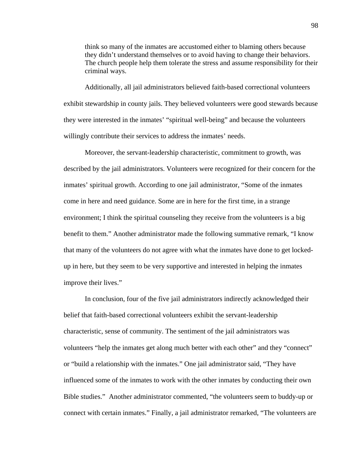think so many of the inmates are accustomed either to blaming others because they didn't understand themselves or to avoid having to change their behaviors. The church people help them tolerate the stress and assume responsibility for their criminal ways.

Additionally, all jail administrators believed faith-based correctional volunteers exhibit stewardship in county jails. They believed volunteers were good stewards because they were interested in the inmates' "spiritual well-being" and because the volunteers willingly contribute their services to address the inmates' needs.

Moreover, the servant-leadership characteristic, commitment to growth, was described by the jail administrators. Volunteers were recognized for their concern for the inmates' spiritual growth. According to one jail administrator, "Some of the inmates come in here and need guidance. Some are in here for the first time, in a strange environment; I think the spiritual counseling they receive from the volunteers is a big benefit to them." Another administrator made the following summative remark, "I know that many of the volunteers do not agree with what the inmates have done to get lockedup in here, but they seem to be very supportive and interested in helping the inmates improve their lives."

In conclusion, four of the five jail administrators indirectly acknowledged their belief that faith-based correctional volunteers exhibit the servant-leadership characteristic, sense of community. The sentiment of the jail administrators was volunteers "help the inmates get along much better with each other" and they "connect" or "build a relationship with the inmates." One jail administrator said, "They have influenced some of the inmates to work with the other inmates by conducting their own Bible studies." Another administrator commented, "the volunteers seem to buddy-up or connect with certain inmates." Finally, a jail administrator remarked, "The volunteers are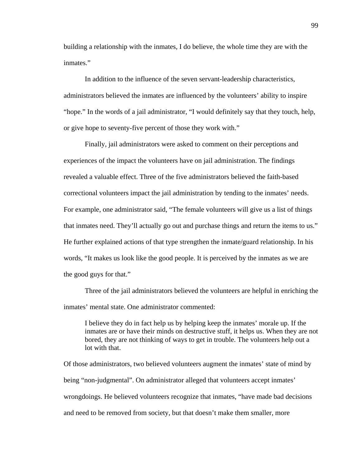building a relationship with the inmates, I do believe, the whole time they are with the inmates."

In addition to the influence of the seven servant-leadership characteristics, administrators believed the inmates are influenced by the volunteers' ability to inspire "hope." In the words of a jail administrator, "I would definitely say that they touch, help, or give hope to seventy-five percent of those they work with."

Finally, jail administrators were asked to comment on their perceptions and experiences of the impact the volunteers have on jail administration. The findings revealed a valuable effect. Three of the five administrators believed the faith-based correctional volunteers impact the jail administration by tending to the inmates' needs. For example, one administrator said, "The female volunteers will give us a list of things that inmates need. They'll actually go out and purchase things and return the items to us." He further explained actions of that type strengthen the inmate/guard relationship. In his words, "It makes us look like the good people. It is perceived by the inmates as we are the good guys for that."

Three of the jail administrators believed the volunteers are helpful in enriching the inmates' mental state. One administrator commented:

I believe they do in fact help us by helping keep the inmates' morale up. If the inmates are or have their minds on destructive stuff, it helps us. When they are not bored, they are not thinking of ways to get in trouble. The volunteers help out a lot with that.

Of those administrators, two believed volunteers augment the inmates' state of mind by being "non-judgmental". On administrator alleged that volunteers accept inmates' wrongdoings. He believed volunteers recognize that inmates, "have made bad decisions and need to be removed from society, but that doesn't make them smaller, more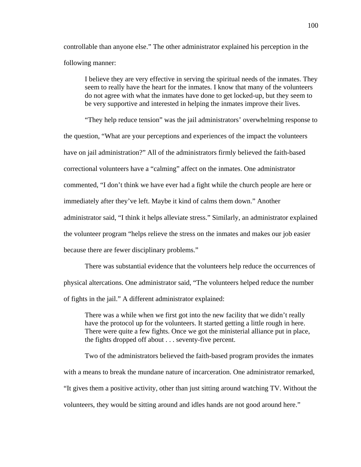controllable than anyone else." The other administrator explained his perception in the following manner:

I believe they are very effective in serving the spiritual needs of the inmates. They seem to really have the heart for the inmates. I know that many of the volunteers do not agree with what the inmates have done to get locked-up, but they seem to be very supportive and interested in helping the inmates improve their lives.

"They help reduce tension" was the jail administrators' overwhelming response to the question, "What are your perceptions and experiences of the impact the volunteers have on jail administration?" All of the administrators firmly believed the faith-based correctional volunteers have a "calming" affect on the inmates. One administrator commented, "I don't think we have ever had a fight while the church people are here or immediately after they've left. Maybe it kind of calms them down." Another administrator said, "I think it helps alleviate stress." Similarly, an administrator explained the volunteer program "helps relieve the stress on the inmates and makes our job easier because there are fewer disciplinary problems."

There was substantial evidence that the volunteers help reduce the occurrences of physical altercations. One administrator said, "The volunteers helped reduce the number of fights in the jail." A different administrator explained:

There was a while when we first got into the new facility that we didn't really have the protocol up for the volunteers. It started getting a little rough in here. There were quite a few fights. Once we got the ministerial alliance put in place, the fights dropped off about . . . seventy-five percent.

Two of the administrators believed the faith-based program provides the inmates with a means to break the mundane nature of incarceration. One administrator remarked, "It gives them a positive activity, other than just sitting around watching TV. Without the volunteers, they would be sitting around and idles hands are not good around here."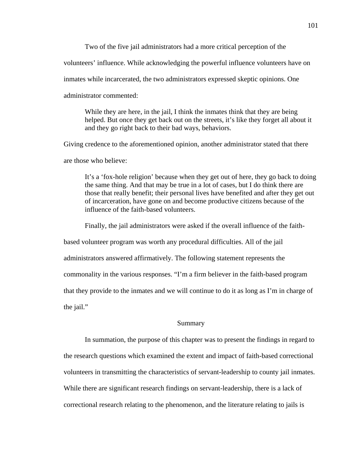Two of the five jail administrators had a more critical perception of the

volunteers' influence. While acknowledging the powerful influence volunteers have on

inmates while incarcerated, the two administrators expressed skeptic opinions. One

administrator commented:

While they are here, in the jail, I think the inmates think that they are being helped. But once they get back out on the streets, it's like they forget all about it and they go right back to their bad ways, behaviors.

Giving credence to the aforementioned opinion, another administrator stated that there

are those who believe:

It's a 'fox-hole religion' because when they get out of here, they go back to doing the same thing. And that may be true in a lot of cases, but I do think there are those that really benefit; their personal lives have benefited and after they get out of incarceration, have gone on and become productive citizens because of the influence of the faith-based volunteers.

Finally, the jail administrators were asked if the overall influence of the faith-

based volunteer program was worth any procedural difficulties. All of the jail

administrators answered affirmatively. The following statement represents the

commonality in the various responses. "I'm a firm believer in the faith-based program

that they provide to the inmates and we will continue to do it as long as I'm in charge of

the jail."

#### Summary

In summation, the purpose of this chapter was to present the findings in regard to the research questions which examined the extent and impact of faith-based correctional volunteers in transmitting the characteristics of servant-leadership to county jail inmates. While there are significant research findings on servant-leadership, there is a lack of correctional research relating to the phenomenon, and the literature relating to jails is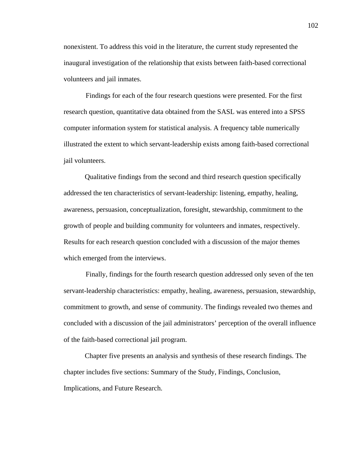nonexistent. To address this void in the literature, the current study represented the inaugural investigation of the relationship that exists between faith-based correctional volunteers and jail inmates.

Findings for each of the four research questions were presented. For the first research question, quantitative data obtained from the SASL was entered into a SPSS computer information system for statistical analysis. A frequency table numerically illustrated the extent to which servant-leadership exists among faith-based correctional jail volunteers.

Qualitative findings from the second and third research question specifically addressed the ten characteristics of servant-leadership: listening, empathy, healing, awareness, persuasion, conceptualization, foresight, stewardship, commitment to the growth of people and building community for volunteers and inmates, respectively. Results for each research question concluded with a discussion of the major themes which emerged from the interviews.

Finally, findings for the fourth research question addressed only seven of the ten servant-leadership characteristics: empathy, healing, awareness, persuasion, stewardship, commitment to growth, and sense of community. The findings revealed two themes and concluded with a discussion of the jail administrators' perception of the overall influence of the faith-based correctional jail program.

Chapter five presents an analysis and synthesis of these research findings. The chapter includes five sections: Summary of the Study, Findings, Conclusion, Implications, and Future Research.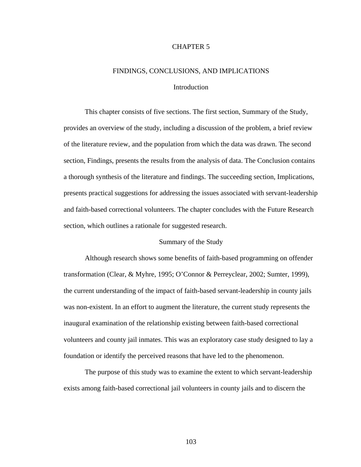## CHAPTER 5

# FINDINGS, CONCLUSIONS, AND IMPLICATIONS Introduction

This chapter consists of five sections. The first section, Summary of the Study, provides an overview of the study, including a discussion of the problem, a brief review of the literature review, and the population from which the data was drawn. The second section, Findings, presents the results from the analysis of data. The Conclusion contains a thorough synthesis of the literature and findings. The succeeding section, Implications, presents practical suggestions for addressing the issues associated with servant-leadership and faith-based correctional volunteers. The chapter concludes with the Future Research section, which outlines a rationale for suggested research.

# Summary of the Study

Although research shows some benefits of faith-based programming on offender transformation (Clear, & Myhre, 1995; O'Connor & Perreyclear, 2002; Sumter, 1999), the current understanding of the impact of faith-based servant-leadership in county jails was non-existent. In an effort to augment the literature, the current study represents the inaugural examination of the relationship existing between faith-based correctional volunteers and county jail inmates. This was an exploratory case study designed to lay a foundation or identify the perceived reasons that have led to the phenomenon.

The purpose of this study was to examine the extent to which servant-leadership exists among faith-based correctional jail volunteers in county jails and to discern the

103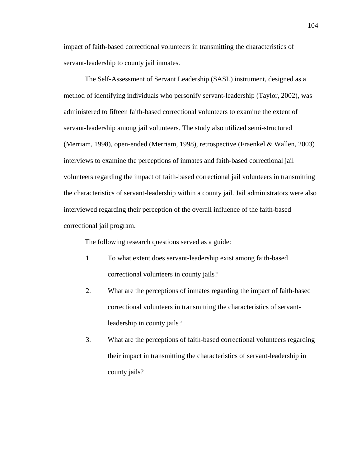impact of faith-based correctional volunteers in transmitting the characteristics of servant-leadership to county jail inmates.

 The Self-Assessment of Servant Leadership (SASL) instrument, designed as a method of identifying individuals who personify servant-leadership (Taylor, 2002), was administered to fifteen faith-based correctional volunteers to examine the extent of servant-leadership among jail volunteers. The study also utilized semi-structured (Merriam, 1998), open-ended (Merriam, 1998), retrospective (Fraenkel & Wallen, 2003) interviews to examine the perceptions of inmates and faith-based correctional jail volunteers regarding the impact of faith-based correctional jail volunteers in transmitting the characteristics of servant-leadership within a county jail. Jail administrators were also interviewed regarding their perception of the overall influence of the faith-based correctional jail program.

The following research questions served as a guide:

- 1. To what extent does servant-leadership exist among faith-based correctional volunteers in county jails?
- 2. What are the perceptions of inmates regarding the impact of faith-based correctional volunteers in transmitting the characteristics of servantleadership in county jails?
- 3. What are the perceptions of faith-based correctional volunteers regarding their impact in transmitting the characteristics of servant-leadership in county jails?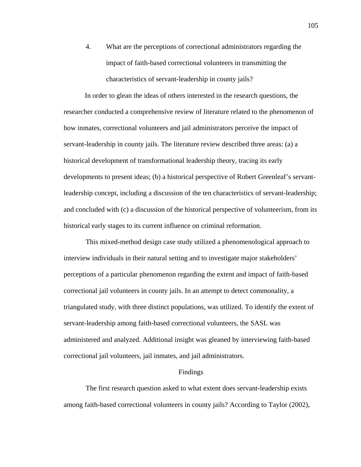4. What are the perceptions of correctional administrators regarding the impact of faith-based correctional volunteers in transmitting the characteristics of servant-leadership in county jails?

In order to glean the ideas of others interested in the research questions, the researcher conducted a comprehensive review of literature related to the phenomenon of how inmates, correctional volunteers and jail administrators perceive the impact of servant-leadership in county jails. The literature review described three areas: (a) a historical development of transformational leadership theory, tracing its early developments to present ideas; (b) a historical perspective of Robert Greenleaf's servantleadership concept, including a discussion of the ten characteristics of servant-leadership; and concluded with (c) a discussion of the historical perspective of volunteerism, from its historical early stages to its current influence on criminal reformation.

This mixed-method design case study utilized a phenomenological approach to interview individuals in their natural setting and to investigate major stakeholders' perceptions of a particular phenomenon regarding the extent and impact of faith-based correctional jail volunteers in county jails. In an attempt to detect commonality, a triangulated study, with three distinct populations, was utilized. To identify the extent of servant-leadership among faith-based correctional volunteers, the SASL was administered and analyzed. Additional insight was gleaned by interviewing faith-based correctional jail volunteers, jail inmates, and jail administrators.

## Findings

The first research question asked to what extent does servant-leadership exists among faith-based correctional volunteers in county jails? According to Taylor (2002),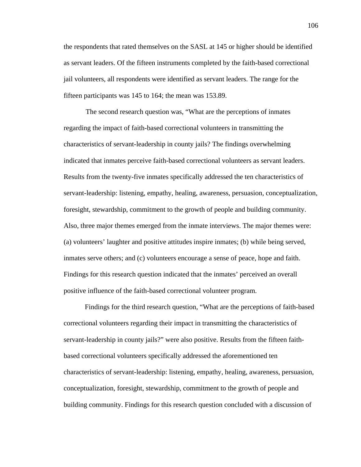the respondents that rated themselves on the SASL at 145 or higher should be identified as servant leaders. Of the fifteen instruments completed by the faith-based correctional jail volunteers, all respondents were identified as servant leaders. The range for the fifteen participants was 145 to 164; the mean was 153.89.

The second research question was, "What are the perceptions of inmates regarding the impact of faith-based correctional volunteers in transmitting the characteristics of servant-leadership in county jails? The findings overwhelming indicated that inmates perceive faith-based correctional volunteers as servant leaders. Results from the twenty-five inmates specifically addressed the ten characteristics of servant-leadership: listening, empathy, healing, awareness, persuasion, conceptualization, foresight, stewardship, commitment to the growth of people and building community. Also, three major themes emerged from the inmate interviews. The major themes were: (a) volunteers' laughter and positive attitudes inspire inmates; (b) while being served, inmates serve others; and (c) volunteers encourage a sense of peace, hope and faith. Findings for this research question indicated that the inmates' perceived an overall positive influence of the faith-based correctional volunteer program.

Findings for the third research question, "What are the perceptions of faith-based correctional volunteers regarding their impact in transmitting the characteristics of servant-leadership in county jails?" were also positive. Results from the fifteen faithbased correctional volunteers specifically addressed the aforementioned ten characteristics of servant-leadership: listening, empathy, healing, awareness, persuasion, conceptualization, foresight, stewardship, commitment to the growth of people and building community. Findings for this research question concluded with a discussion of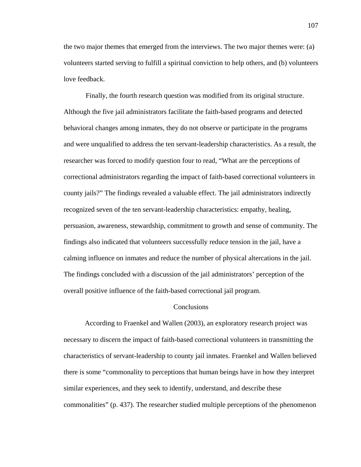the two major themes that emerged from the interviews. The two major themes were: (a) volunteers started serving to fulfill a spiritual conviction to help others, and (b) volunteers love feedback.

Finally, the fourth research question was modified from its original structure. Although the five jail administrators facilitate the faith-based programs and detected behavioral changes among inmates, they do not observe or participate in the programs and were unqualified to address the ten servant-leadership characteristics. As a result, the researcher was forced to modify question four to read, "What are the perceptions of correctional administrators regarding the impact of faith-based correctional volunteers in county jails?" The findings revealed a valuable effect. The jail administrators indirectly recognized seven of the ten servant-leadership characteristics: empathy, healing, persuasion, awareness, stewardship, commitment to growth and sense of community. The findings also indicated that volunteers successfully reduce tension in the jail, have a calming influence on inmates and reduce the number of physical altercations in the jail. The findings concluded with a discussion of the jail administrators' perception of the overall positive influence of the faith-based correctional jail program.

#### **Conclusions**

According to Fraenkel and Wallen (2003), an exploratory research project was necessary to discern the impact of faith-based correctional volunteers in transmitting the characteristics of servant-leadership to county jail inmates. Fraenkel and Wallen believed there is some "commonality to perceptions that human beings have in how they interpret similar experiences, and they seek to identify, understand, and describe these commonalities" (p. 437). The researcher studied multiple perceptions of the phenomenon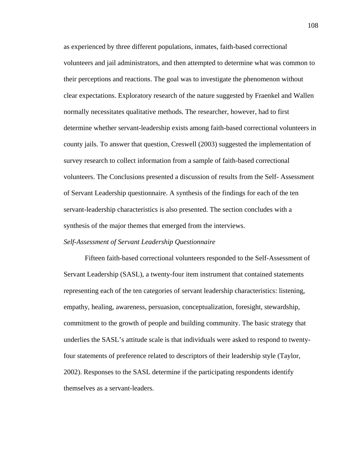as experienced by three different populations, inmates, faith-based correctional volunteers and jail administrators, and then attempted to determine what was common to their perceptions and reactions. The goal was to investigate the phenomenon without clear expectations. Exploratory research of the nature suggested by Fraenkel and Wallen normally necessitates qualitative methods. The researcher, however, had to first determine whether servant-leadership exists among faith-based correctional volunteers in county jails. To answer that question, Creswell (2003) suggested the implementation of survey research to collect information from a sample of faith-based correctional volunteers. The Conclusions presented a discussion of results from the Self- Assessment of Servant Leadership questionnaire. A synthesis of the findings for each of the ten servant-leadership characteristics is also presented. The section concludes with a synthesis of the major themes that emerged from the interviews.

## *Self-Assessment of Servant Leadership Questionnaire*

Fifteen faith-based correctional volunteers responded to the Self-Assessment of Servant Leadership (SASL), a twenty-four item instrument that contained statements representing each of the ten categories of servant leadership characteristics: listening, empathy, healing, awareness, persuasion, conceptualization, foresight, stewardship, commitment to the growth of people and building community. The basic strategy that underlies the SASL's attitude scale is that individuals were asked to respond to twentyfour statements of preference related to descriptors of their leadership style (Taylor, 2002). Responses to the SASL determine if the participating respondents identify themselves as a servant-leaders.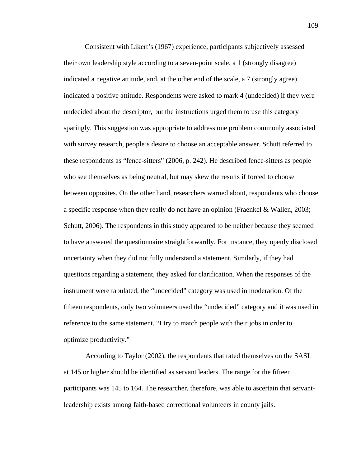Consistent with Likert's (1967) experience, participants subjectively assessed their own leadership style according to a seven-point scale, a 1 (strongly disagree) indicated a negative attitude, and, at the other end of the scale, a 7 (strongly agree) indicated a positive attitude. Respondents were asked to mark 4 (undecided) if they were undecided about the descriptor, but the instructions urged them to use this category sparingly. This suggestion was appropriate to address one problem commonly associated with survey research, people's desire to choose an acceptable answer. Schutt referred to these respondents as "fence-sitters" (2006, p. 242). He described fence-sitters as people who see themselves as being neutral, but may skew the results if forced to choose between opposites. On the other hand, researchers warned about, respondents who choose a specific response when they really do not have an opinion (Fraenkel & Wallen, 2003; Schutt, 2006). The respondents in this study appeared to be neither because they seemed to have answered the questionnaire straightforwardly. For instance, they openly disclosed uncertainty when they did not fully understand a statement. Similarly, if they had questions regarding a statement, they asked for clarification. When the responses of the instrument were tabulated, the "undecided" category was used in moderation. Of the fifteen respondents, only two volunteers used the "undecided" category and it was used in reference to the same statement, "I try to match people with their jobs in order to optimize productivity."

According to Taylor (2002), the respondents that rated themselves on the SASL at 145 or higher should be identified as servant leaders. The range for the fifteen participants was 145 to 164. The researcher, therefore, was able to ascertain that servantleadership exists among faith-based correctional volunteers in county jails.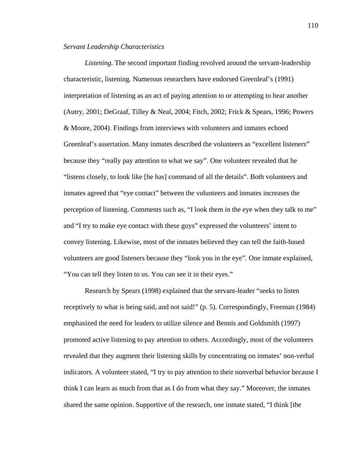## *Servant Leadership Characteristics*

 *Listening.* The second important finding revolved around the servant-leadership characteristic, listening. Numerous researchers have endorsed Greenleaf's (1991) interpretation of listening as an act of paying attention to or attempting to hear another (Autry, 2001; DeGraaf, Tilley & Neal, 2004; Fitch, 2002; Frick & Spears, 1996; Powers & Moore, 2004). Findings from interviews with volunteers and inmates echoed Greenleaf's assertation. Many inmates described the volunteers as "excellent listeners" because they "really pay attention to what we say". One volunteer revealed that he "listens closely, to look like [he has] command of all the details". Both volunteers and inmates agreed that "eye contact" between the volunteers and inmates increases the perception of listening. Comments such as, "I look them in the eye when they talk to me" and "I try to make eye contact with these guys" expressed the volunteers' intent to convey listening. Likewise, most of the inmates believed they can tell the faith-based volunteers are good listeners because they "look you in the eye". One inmate explained, "You can tell they listen to us. You can see it in their eyes."

Research by Spears (1998) explained that the servant-leader "seeks to listen receptively to what is being said, and not said!" (p. 5). Correspondingly, Freeman (1984) emphasized the need for leaders to utilize silence and Bennis and Goldsmith (1997) promoted active listening to pay attention to others. Accordingly, most of the volunteers revealed that they augment their listening skills by concentrating on inmates' non-verbal indicators. A volunteer stated, "I try to pay attention to their nonverbal behavior because I think I can learn as much from that as I do from what they say." Moreover, the inmates shared the same opinion. Supportive of the research, one inmate stated, "I think [the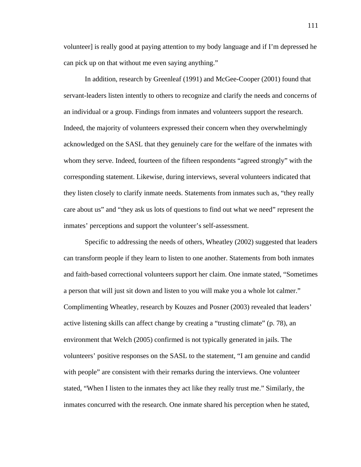volunteer] is really good at paying attention to my body language and if I'm depressed he can pick up on that without me even saying anything."

In addition, research by Greenleaf (1991) and McGee-Cooper (2001) found that servant-leaders listen intently to others to recognize and clarify the needs and concerns of an individual or a group. Findings from inmates and volunteers support the research. Indeed, the majority of volunteers expressed their concern when they overwhelmingly acknowledged on the SASL that they genuinely care for the welfare of the inmates with whom they serve. Indeed, fourteen of the fifteen respondents "agreed strongly" with the corresponding statement. Likewise, during interviews, several volunteers indicated that they listen closely to clarify inmate needs. Statements from inmates such as, "they really care about us" and "they ask us lots of questions to find out what we need" represent the inmates' perceptions and support the volunteer's self-assessment.

Specific to addressing the needs of others, Wheatley (2002) suggested that leaders can transform people if they learn to listen to one another. Statements from both inmates and faith-based correctional volunteers support her claim. One inmate stated, "Sometimes a person that will just sit down and listen to you will make you a whole lot calmer." Complimenting Wheatley, research by Kouzes and Posner (2003) revealed that leaders' active listening skills can affect change by creating a "trusting climate" (p. 78), an environment that Welch (2005) confirmed is not typically generated in jails. The volunteers' positive responses on the SASL to the statement, "I am genuine and candid with people" are consistent with their remarks during the interviews. One volunteer stated, "When I listen to the inmates they act like they really trust me." Similarly, the inmates concurred with the research. One inmate shared his perception when he stated,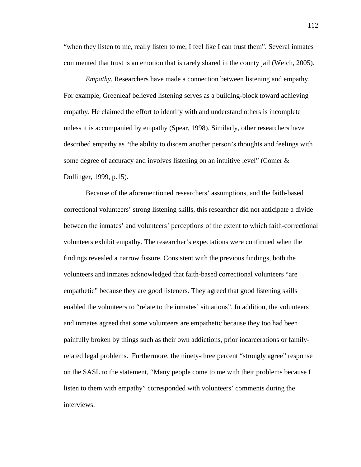"when they listen to me, really listen to me, I feel like I can trust them". Several inmates commented that trust is an emotion that is rarely shared in the county jail (Welch, 2005).

*Empathy*. Researchers have made a connection between listening and empathy. For example, Greenleaf believed listening serves as a building-block toward achieving empathy. He claimed the effort to identify with and understand others is incomplete unless it is accompanied by empathy (Spear, 1998). Similarly, other researchers have described empathy as "the ability to discern another person's thoughts and feelings with some degree of accuracy and involves listening on an intuitive level" (Comer & Dollinger, 1999, p.15).

Because of the aforementioned researchers' assumptions, and the faith-based correctional volunteers' strong listening skills, this researcher did not anticipate a divide between the inmates' and volunteers' perceptions of the extent to which faith-correctional volunteers exhibit empathy. The researcher's expectations were confirmed when the findings revealed a narrow fissure. Consistent with the previous findings, both the volunteers and inmates acknowledged that faith-based correctional volunteers "are empathetic" because they are good listeners. They agreed that good listening skills enabled the volunteers to "relate to the inmates' situations". In addition, the volunteers and inmates agreed that some volunteers are empathetic because they too had been painfully broken by things such as their own addictions, prior incarcerations or familyrelated legal problems. Furthermore, the ninety-three percent "strongly agree" response on the SASL to the statement, "Many people come to me with their problems because I listen to them with empathy" corresponded with volunteers' comments during the interviews.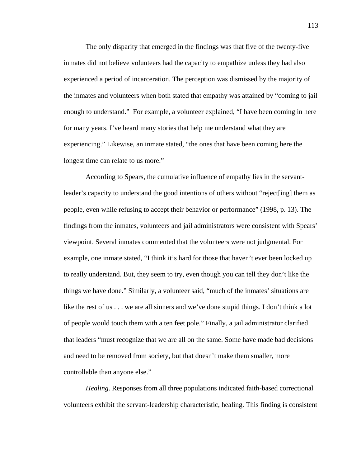The only disparity that emerged in the findings was that five of the twenty-five inmates did not believe volunteers had the capacity to empathize unless they had also experienced a period of incarceration. The perception was dismissed by the majority of the inmates and volunteers when both stated that empathy was attained by "coming to jail enough to understand." For example, a volunteer explained, "I have been coming in here for many years. I've heard many stories that help me understand what they are experiencing." Likewise, an inmate stated, "the ones that have been coming here the longest time can relate to us more."

According to Spears, the cumulative influence of empathy lies in the servantleader's capacity to understand the good intentions of others without "reject[ing] them as people, even while refusing to accept their behavior or performance" (1998, p. 13). The findings from the inmates, volunteers and jail administrators were consistent with Spears' viewpoint. Several inmates commented that the volunteers were not judgmental. For example, one inmate stated, "I think it's hard for those that haven't ever been locked up to really understand. But, they seem to try, even though you can tell they don't like the things we have done." Similarly, a volunteer said, "much of the inmates' situations are like the rest of us . . . we are all sinners and we've done stupid things. I don't think a lot of people would touch them with a ten feet pole." Finally, a jail administrator clarified that leaders "must recognize that we are all on the same. Some have made bad decisions and need to be removed from society, but that doesn't make them smaller, more controllable than anyone else."

*Healing*. Responses from all three populations indicated faith-based correctional volunteers exhibit the servant-leadership characteristic, healing. This finding is consistent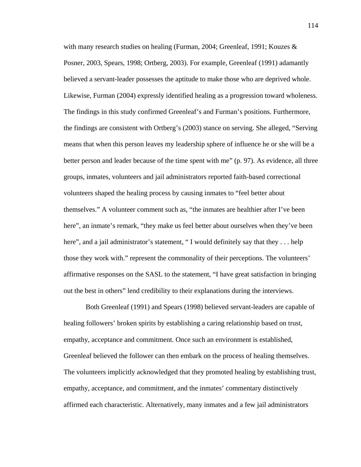with many research studies on healing (Furman, 2004; Greenleaf, 1991; Kouzes & Posner, 2003, Spears, 1998; Ortberg, 2003). For example, Greenleaf (1991) adamantly believed a servant-leader possesses the aptitude to make those who are deprived whole. Likewise, Furman (2004) expressly identified healing as a progression toward wholeness. The findings in this study confirmed Greenleaf's and Furman's positions. Furthermore, the findings are consistent with Ortberg's (2003) stance on serving. She alleged, "Serving means that when this person leaves my leadership sphere of influence he or she will be a better person and leader because of the time spent with me" (p. 97). As evidence, all three groups, inmates, volunteers and jail administrators reported faith-based correctional volunteers shaped the healing process by causing inmates to "feel better about themselves." A volunteer comment such as, "the inmates are healthier after I've been here", an inmate's remark, "they make us feel better about ourselves when they've been here", and a jail administrator's statement, "I would definitely say that they . . . help those they work with." represent the commonality of their perceptions. The volunteers' affirmative responses on the SASL to the statement, "I have great satisfaction in bringing out the best in others" lend credibility to their explanations during the interviews.

Both Greenleaf (1991) and Spears (1998) believed servant-leaders are capable of healing followers' broken spirits by establishing a caring relationship based on trust, empathy, acceptance and commitment. Once such an environment is established, Greenleaf believed the follower can then embark on the process of healing themselves. The volunteers implicitly acknowledged that they promoted healing by establishing trust, empathy, acceptance, and commitment, and the inmates' commentary distinctively affirmed each characteristic. Alternatively, many inmates and a few jail administrators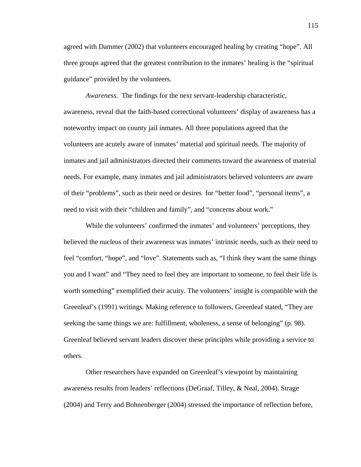agreed with Dammer (2002) that volunteers encouraged healing by creating "hope". All three groups agreed that the greatest contribution to the inmates' healing is the "spiritual guidance" provided by the volunteers.

*Awareness.* The findings for the next servant-leadership characteristic, awareness, reveal that the faith-based correctional volunteers' display of awareness has a noteworthy impact on county jail inmates. All three populations agreed that the volunteers are acutely aware of inmates' material and spiritual needs. The majority of inmates and jail administrators directed their comments toward the awareness of material needs. For example, many inmates and jail administrators believed volunteers are aware of their "problems", such as their need or desires for "better food", "personal items", a need to visit with their "children and family", and "concerns about work."

While the volunteers' confirmed the inmates' and volunteers' perceptions, they believed the nucleus of their awareness was inmates' intrinsic needs, such as their need to feel "comfort, "hope", and "love". Statements such as, "I think they want the same things you and I want" and "They need to feel they are important to someone, to feel their life is worth something" exemplified their acuity. The volunteers' insight is compatible with the Greenleaf's (1991) writings. Making reference to followers, Greenleaf stated, "They are seeking the same things we are: fulfillment, wholeness, a sense of belonging" (p. 98). Greenleaf believed servant leaders discover these principles while providing a service to others.

Other researchers have expanded on Greenleaf's viewpoint by maintaining awareness results from leaders' reflections (DeGraaf, Tilley, & Neal, 2004). Strage (2004) and Terry and Bohnenberger (2004) stressed the importance of reflection before,

115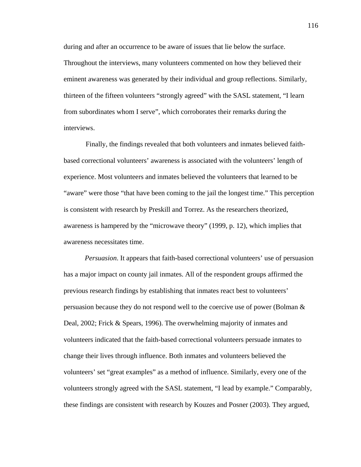during and after an occurrence to be aware of issues that lie below the surface. Throughout the interviews, many volunteers commented on how they believed their eminent awareness was generated by their individual and group reflections. Similarly, thirteen of the fifteen volunteers "strongly agreed" with the SASL statement, "I learn from subordinates whom I serve", which corroborates their remarks during the interviews.

Finally, the findings revealed that both volunteers and inmates believed faithbased correctional volunteers' awareness is associated with the volunteers' length of experience. Most volunteers and inmates believed the volunteers that learned to be "aware" were those "that have been coming to the jail the longest time." This perception is consistent with research by Preskill and Torrez. As the researchers theorized, awareness is hampered by the "microwave theory" (1999, p. 12), which implies that awareness necessitates time.

 *Persuasion*. It appears that faith-based correctional volunteers' use of persuasion has a major impact on county jail inmates. All of the respondent groups affirmed the previous research findings by establishing that inmates react best to volunteers' persuasion because they do not respond well to the coercive use of power (Bolman & Deal, 2002; Frick & Spears, 1996). The overwhelming majority of inmates and volunteers indicated that the faith-based correctional volunteers persuade inmates to change their lives through influence. Both inmates and volunteers believed the volunteers' set "great examples" as a method of influence. Similarly, every one of the volunteers strongly agreed with the SASL statement, "I lead by example." Comparably, these findings are consistent with research by Kouzes and Posner (2003). They argued,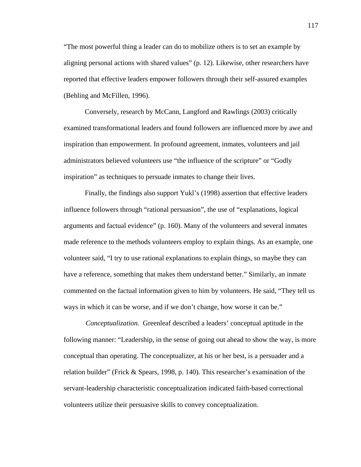"The most powerful thing a leader can do to mobilize others is to set an example by aligning personal actions with shared values" (p. 12). Likewise, other researchers have reported that effective leaders empower followers through their self-assured examples (Behling and McFillen, 1996).

 Conversely, research by McCann, Langford and Rawlings (2003) critically examined transformational leaders and found followers are influenced more by awe and inspiration than empowerment. In profound agreement, inmates, volunteers and jail administrators believed volunteers use "the influence of the scripture" or "Godly inspiration" as techniques to persuade inmates to change their lives.

 Finally, the findings also support Yukl's (1998) assertion that effective leaders influence followers through "rational persuasion", the use of "explanations, logical arguments and factual evidence" (p. 160). Many of the volunteers and several inmates made reference to the methods volunteers employ to explain things. As an example, one volunteer said, "I try to use rational explanations to explain things, so maybe they can have a reference, something that makes them understand better." Similarly, an inmate commented on the factual information given to him by volunteers. He said, "They tell us ways in which it can be worse, and if we don't change, how worse it can be."

*Conceptualization.* Greenleaf described a leaders' conceptual aptitude in the following manner: "Leadership, in the sense of going out ahead to show the way, is more conceptual than operating. The conceptualizer, at his or her best, is a persuader and a relation builder" (Frick & Spears, 1998, p. 140). This researcher's examination of the servant-leadership characteristic conceptualization indicated faith-based correctional volunteers utilize their persuasive skills to convey conceptualization.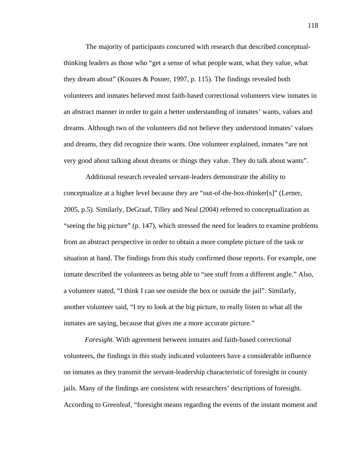The majority of participants concurred with research that described conceptualthinking leaders as those who "get a sense of what people want, what they value, what they dream about" (Kouzes & Posner, 1997, p. 115). The findings revealed both volunteers and inmates believed most faith-based correctional volunteers view inmates in an abstract manner in order to gain a better understanding of inmates' wants, values and dreams. Although two of the volunteers did not believe they understood inmates' values and dreams, they did recognize their wants. One volunteer explained, inmates "are not very good about talking about dreams or things they value. They do talk about wants".

Additional research revealed servant-leaders demonstrate the ability to conceptualize at a higher level because they are "out-of-the-box-thinker[s]" (Lerner, 2005, p.5). Similarly, DeGraaf, Tilley and Neal (2004) referred to conceptualization as "seeing the big picture" (p. 147), which stressed the need for leaders to examine problems from an abstract perspective in order to obtain a more complete picture of the task or situation at hand. The findings from this study confirmed those reports. For example, one inmate described the volunteers as being able to "see stuff from a different angle." Also, a volunteer stated, "I think I can see outside the box or outside the jail". Similarly, another volunteer said, "I try to look at the big picture, to really listen to what all the inmates are saying, because that gives me a more accurate picture."

*Foresigh*t. With agreement between inmates and faith-based correctional volunteers, the findings in this study indicated volunteers have a considerable influence on inmates as they transmit the servant-leadership characteristic of foresight in county jails. Many of the findings are consistent with researchers' descriptions of foresight. According to Greenleaf, "foresight means regarding the events of the instant moment and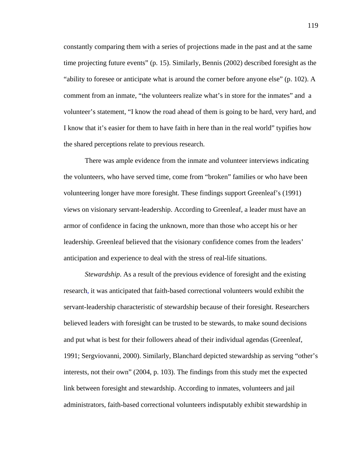constantly comparing them with a series of projections made in the past and at the same time projecting future events" (p. 15). Similarly, Bennis (2002) described foresight as the "ability to foresee or anticipate what is around the corner before anyone else" (p. 102). A comment from an inmate, "the volunteers realize what's in store for the inmates" and a volunteer's statement, "I know the road ahead of them is going to be hard, very hard, and I know that it's easier for them to have faith in here than in the real world" typifies how the shared perceptions relate to previous research.

There was ample evidence from the inmate and volunteer interviews indicating the volunteers, who have served time, come from "broken" families or who have been volunteering longer have more foresight. These findings support Greenleaf's (1991) views on visionary servant-leadership. According to Greenleaf, a leader must have an armor of confidence in facing the unknown, more than those who accept his or her leadership. Greenleaf believed that the visionary confidence comes from the leaders' anticipation and experience to deal with the stress of real-life situations.

*Stewardship*. As a result of the previous evidence of foresight and the existing research, it was anticipated that faith-based correctional volunteers would exhibit the servant-leadership characteristic of stewardship because of their foresight. Researchers believed leaders with foresight can be trusted to be stewards, to make sound decisions and put what is best for their followers ahead of their individual agendas (Greenleaf, 1991; Sergviovanni, 2000). Similarly, Blanchard depicted stewardship as serving "other's interests, not their own" (2004, p. 103). The findings from this study met the expected link between foresight and stewardship. According to inmates, volunteers and jail administrators, faith-based correctional volunteers indisputably exhibit stewardship in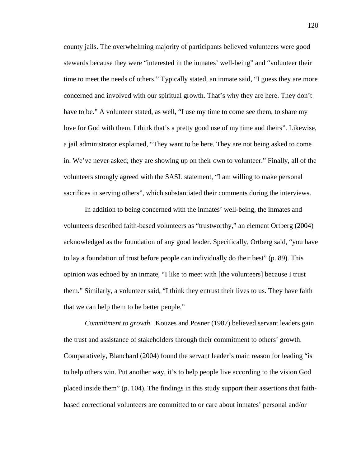county jails. The overwhelming majority of participants believed volunteers were good stewards because they were "interested in the inmates' well-being" and "volunteer their time to meet the needs of others." Typically stated, an inmate said, "I guess they are more concerned and involved with our spiritual growth. That's why they are here. They don't have to be." A volunteer stated, as well, "I use my time to come see them, to share my love for God with them. I think that's a pretty good use of my time and theirs". Likewise, a jail administrator explained, "They want to be here. They are not being asked to come in. We've never asked; they are showing up on their own to volunteer." Finally, all of the volunteers strongly agreed with the SASL statement, "I am willing to make personal sacrifices in serving others", which substantiated their comments during the interviews.

In addition to being concerned with the inmates' well-being, the inmates and volunteers described faith-based volunteers as "trustworthy," an element Ortberg (2004) acknowledged as the foundation of any good leader. Specifically, Ortberg said, "you have to lay a foundation of trust before people can individually do their best" (p. 89). This opinion was echoed by an inmate, "I like to meet with [the volunteers] because I trust them." Similarly, a volunteer said, "I think they entrust their lives to us. They have faith that we can help them to be better people."

*Commitment to growth*. Kouzes and Posner (1987) believed servant leaders gain the trust and assistance of stakeholders through their commitment to others' growth. Comparatively, Blanchard (2004) found the servant leader's main reason for leading "is to help others win. Put another way, it's to help people live according to the vision God placed inside them" (p. 104). The findings in this study support their assertions that faithbased correctional volunteers are committed to or care about inmates' personal and/or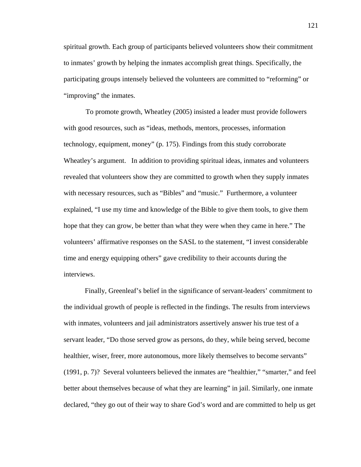spiritual growth. Each group of participants believed volunteers show their commitment to inmates' growth by helping the inmates accomplish great things. Specifically, the participating groups intensely believed the volunteers are committed to "reforming" or "improving" the inmates.

To promote growth, Wheatley (2005) insisted a leader must provide followers with good resources, such as "ideas, methods, mentors, processes, information technology, equipment, money" (p. 175). Findings from this study corroborate Wheatley's argument. In addition to providing spiritual ideas, inmates and volunteers revealed that volunteers show they are committed to growth when they supply inmates with necessary resources, such as "Bibles" and "music." Furthermore, a volunteer explained, "I use my time and knowledge of the Bible to give them tools, to give them hope that they can grow, be better than what they were when they came in here." The volunteers' affirmative responses on the SASL to the statement, "I invest considerable time and energy equipping others" gave credibility to their accounts during the interviews.

Finally, Greenleaf's belief in the significance of servant-leaders' commitment to the individual growth of people is reflected in the findings. The results from interviews with inmates, volunteers and jail administrators assertively answer his true test of a servant leader, "Do those served grow as persons, do they, while being served, become healthier, wiser, freer, more autonomous, more likely themselves to become servants" (1991, p. 7)? Several volunteers believed the inmates are "healthier," "smarter," and feel better about themselves because of what they are learning" in jail. Similarly, one inmate declared, "they go out of their way to share God's word and are committed to help us get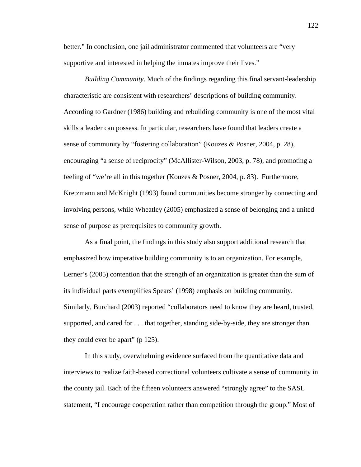better." In conclusion, one jail administrator commented that volunteers are "very supportive and interested in helping the inmates improve their lives."

*Building Community*. Much of the findings regarding this final servant-leadership characteristic are consistent with researchers' descriptions of building community. According to Gardner (1986) building and rebuilding community is one of the most vital skills a leader can possess. In particular, researchers have found that leaders create a sense of community by "fostering collaboration" (Kouzes & Posner, 2004, p. 28), encouraging "a sense of reciprocity" (McAllister-Wilson, 2003, p. 78), and promoting a feeling of "we're all in this together (Kouzes & Posner, 2004, p. 83). Furthermore, Kretzmann and McKnight (1993) found communities become stronger by connecting and involving persons, while Wheatley (2005) emphasized a sense of belonging and a united sense of purpose as prerequisites to community growth.

As a final point, the findings in this study also support additional research that emphasized how imperative building community is to an organization. For example, Lerner's (2005) contention that the strength of an organization is greater than the sum of its individual parts exemplifies Spears' (1998) emphasis on building community. Similarly, Burchard (2003) reported "collaborators need to know they are heard, trusted, supported, and cared for . . . that together, standing side-by-side, they are stronger than they could ever be apart" (p 125).

In this study, overwhelming evidence surfaced from the quantitative data and interviews to realize faith-based correctional volunteers cultivate a sense of community in the county jail. Each of the fifteen volunteers answered "strongly agree" to the SASL statement, "I encourage cooperation rather than competition through the group." Most of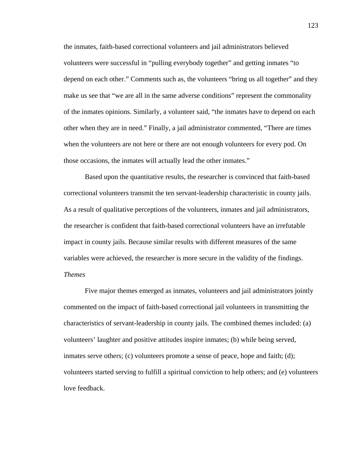the inmates, faith-based correctional volunteers and jail administrators believed volunteers were successful in "pulling everybody together" and getting inmates "to depend on each other." Comments such as, the volunteers "bring us all together" and they make us see that "we are all in the same adverse conditions" represent the commonality of the inmates opinions. Similarly, a volunteer said, "the inmates have to depend on each other when they are in need." Finally, a jail administrator commented, "There are times when the volunteers are not here or there are not enough volunteers for every pod. On those occasions, the inmates will actually lead the other inmates."

Based upon the quantitative results, the researcher is convinced that faith-based correctional volunteers transmit the ten servant-leadership characteristic in county jails. As a result of qualitative perceptions of the volunteers, inmates and jail administrators, the researcher is confident that faith-based correctional volunteers have an irrefutable impact in county jails. Because similar results with different measures of the same variables were achieved, the researcher is more secure in the validity of the findings. *Themes* 

 Five major themes emerged as inmates, volunteers and jail administrators jointly commented on the impact of faith-based correctional jail volunteers in transmitting the characteristics of servant-leadership in county jails. The combined themes included: (a) volunteers' laughter and positive attitudes inspire inmates; (b) while being served, inmates serve others; (c) volunteers promote a sense of peace, hope and faith; (d); volunteers started serving to fulfill a spiritual conviction to help others; and (e) volunteers love feedback.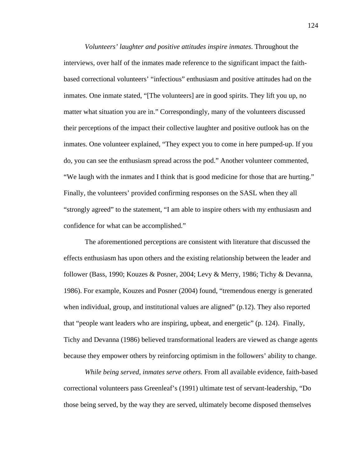*Volunteers' laughter and positive attitudes inspire inmates*. Throughout the interviews, over half of the inmates made reference to the significant impact the faithbased correctional volunteers' "infectious" enthusiasm and positive attitudes had on the inmates. One inmate stated, "[The volunteers] are in good spirits. They lift you up, no matter what situation you are in." Correspondingly, many of the volunteers discussed their perceptions of the impact their collective laughter and positive outlook has on the inmates. One volunteer explained, "They expect you to come in here pumped-up. If you do, you can see the enthusiasm spread across the pod." Another volunteer commented, "We laugh with the inmates and I think that is good medicine for those that are hurting." Finally, the volunteers' provided confirming responses on the SASL when they all "strongly agreed" to the statement, "I am able to inspire others with my enthusiasm and confidence for what can be accomplished."

 The aforementioned perceptions are consistent with literature that discussed the effects enthusiasm has upon others and the existing relationship between the leader and follower (Bass, 1990; Kouzes & Posner, 2004; Levy & Merry, 1986; Tichy & Devanna, 1986). For example, Kouzes and Posner (2004) found, "tremendous energy is generated when individual, group, and institutional values are aligned"  $(p.12)$ . They also reported that "people want leaders who are inspiring, upbeat, and energetic" (p. 124). Finally, Tichy and Devanna (1986) believed transformational leaders are viewed as change agents because they empower others by reinforcing optimism in the followers' ability to change.

*While being served, inmates serve others.* From all available evidence, faith-based correctional volunteers pass Greenleaf's (1991) ultimate test of servant-leadership, "Do those being served, by the way they are served, ultimately become disposed themselves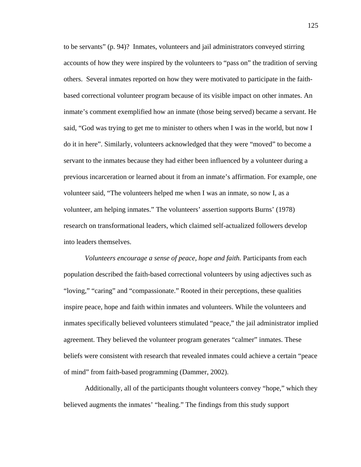to be servants" (p. 94)? Inmates, volunteers and jail administrators conveyed stirring accounts of how they were inspired by the volunteers to "pass on" the tradition of serving others. Several inmates reported on how they were motivated to participate in the faithbased correctional volunteer program because of its visible impact on other inmates. An inmate's comment exemplified how an inmate (those being served) became a servant. He said, "God was trying to get me to minister to others when I was in the world, but now I do it in here". Similarly, volunteers acknowledged that they were "moved" to become a servant to the inmates because they had either been influenced by a volunteer during a previous incarceration or learned about it from an inmate's affirmation. For example, one volunteer said, "The volunteers helped me when I was an inmate, so now I, as a volunteer, am helping inmates." The volunteers' assertion supports Burns' (1978) research on transformational leaders, which claimed self-actualized followers develop into leaders themselves.

*Volunteers encourage a sense of peace, hope and faith.* Participants from each population described the faith-based correctional volunteers by using adjectives such as "loving," "caring" and "compassionate." Rooted in their perceptions, these qualities inspire peace, hope and faith within inmates and volunteers. While the volunteers and inmates specifically believed volunteers stimulated "peace," the jail administrator implied agreement. They believed the volunteer program generates "calmer" inmates. These beliefs were consistent with research that revealed inmates could achieve a certain "peace of mind" from faith-based programming (Dammer, 2002).

Additionally, all of the participants thought volunteers convey "hope," which they believed augments the inmates' "healing." The findings from this study support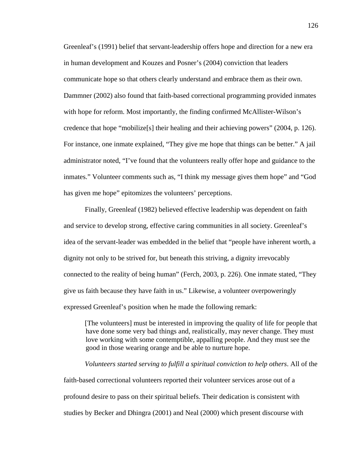Greenleaf's (1991) belief that servant-leadership offers hope and direction for a new era in human development and Kouzes and Posner's (2004) conviction that leaders communicate hope so that others clearly understand and embrace them as their own. Dammner (2002) also found that faith-based correctional programming provided inmates with hope for reform. Most importantly, the finding confirmed McAllister-Wilson's credence that hope "mobilize[s] their healing and their achieving powers" (2004, p. 126). For instance, one inmate explained, "They give me hope that things can be better." A jail administrator noted, "I've found that the volunteers really offer hope and guidance to the inmates." Volunteer comments such as, "I think my message gives them hope" and "God has given me hope" epitomizes the volunteers' perceptions.

Finally, Greenleaf (1982) believed effective leadership was dependent on faith and service to develop strong, effective caring communities in all society. Greenleaf's idea of the servant-leader was embedded in the belief that "people have inherent worth, a dignity not only to be strived for, but beneath this striving, a dignity irrevocably connected to the reality of being human" (Ferch, 2003, p. 226). One inmate stated, "They give us faith because they have faith in us." Likewise, a volunteer overpoweringly expressed Greenleaf's position when he made the following remark:

[The volunteers] must be interested in improving the quality of life for people that have done some very bad things and, realistically, may never change. They must love working with some contemptible, appalling people. And they must see the good in those wearing orange and be able to nurture hope.

*Volunteers started serving to fulfill a spiritual conviction to help others*. All of the faith-based correctional volunteers reported their volunteer services arose out of a profound desire to pass on their spiritual beliefs. Their dedication is consistent with studies by Becker and Dhingra (2001) and Neal (2000) which present discourse with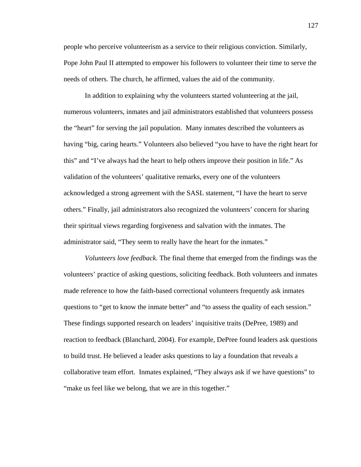people who perceive volunteerism as a service to their religious conviction. Similarly, Pope John Paul II attempted to empower his followers to volunteer their time to serve the needs of others. The church, he affirmed, values the aid of the community.

In addition to explaining why the volunteers started volunteering at the jail, numerous volunteers, inmates and jail administrators established that volunteers possess the "heart" for serving the jail population. Many inmates described the volunteers as having "big, caring hearts." Volunteers also believed "you have to have the right heart for this" and "I've always had the heart to help others improve their position in life." As validation of the volunteers' qualitative remarks, every one of the volunteers acknowledged a strong agreement with the SASL statement, "I have the heart to serve others." Finally, jail administrators also recognized the volunteers' concern for sharing their spiritual views regarding forgiveness and salvation with the inmates. The administrator said, "They seem to really have the heart for the inmates."

*Volunteers love feedback*. The final theme that emerged from the findings was the volunteers' practice of asking questions, soliciting feedback. Both volunteers and inmates made reference to how the faith-based correctional volunteers frequently ask inmates questions to "get to know the inmate better" and "to assess the quality of each session." These findings supported research on leaders' inquisitive traits (DePree, 1989) and reaction to feedback (Blanchard, 2004). For example, DePree found leaders ask questions to build trust. He believed a leader asks questions to lay a foundation that reveals a collaborative team effort. Inmates explained, "They always ask if we have questions" to "make us feel like we belong, that we are in this together."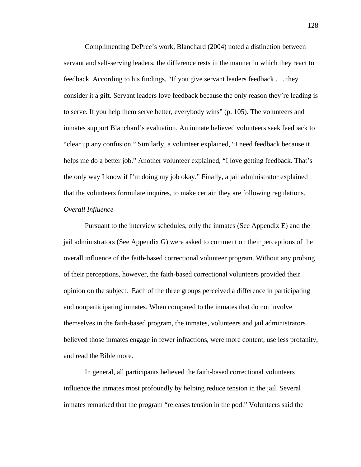Complimenting DePree's work, Blanchard (2004) noted a distinction between servant and self-serving leaders; the difference rests in the manner in which they react to feedback. According to his findings, "If you give servant leaders feedback . . . they consider it a gift. Servant leaders love feedback because the only reason they're leading is to serve. If you help them serve better, everybody wins" (p. 105). The volunteers and inmates support Blanchard's evaluation. An inmate believed volunteers seek feedback to "clear up any confusion." Similarly, a volunteer explained, "I need feedback because it helps me do a better job." Another volunteer explained, "I love getting feedback. That's the only way I know if I'm doing my job okay." Finally, a jail administrator explained that the volunteers formulate inquires, to make certain they are following regulations. *Overall Influence*

Pursuant to the interview schedules, only the inmates (See Appendix E) and the jail administrators (See Appendix G) were asked to comment on their perceptions of the overall influence of the faith-based correctional volunteer program. Without any probing of their perceptions, however, the faith-based correctional volunteers provided their opinion on the subject. Each of the three groups perceived a difference in participating and nonparticipating inmates. When compared to the inmates that do not involve themselves in the faith-based program, the inmates, volunteers and jail administrators believed those inmates engage in fewer infractions, were more content, use less profanity, and read the Bible more.

In general, all participants believed the faith-based correctional volunteers influence the inmates most profoundly by helping reduce tension in the jail. Several inmates remarked that the program "releases tension in the pod." Volunteers said the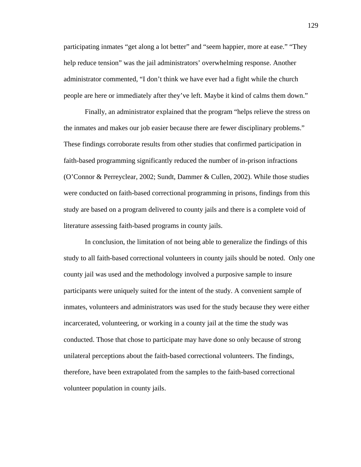participating inmates "get along a lot better" and "seem happier, more at ease." "They help reduce tension" was the jail administrators' overwhelming response. Another administrator commented, "I don't think we have ever had a fight while the church people are here or immediately after they've left. Maybe it kind of calms them down."

 Finally, an administrator explained that the program "helps relieve the stress on the inmates and makes our job easier because there are fewer disciplinary problems." These findings corroborate results from other studies that confirmed participation in faith-based programming significantly reduced the number of in-prison infractions (O'Connor & Perreyclear, 2002; Sundt, Dammer & Cullen, 2002). While those studies were conducted on faith-based correctional programming in prisons, findings from this study are based on a program delivered to county jails and there is a complete void of literature assessing faith-based programs in county jails.

 In conclusion, the limitation of not being able to generalize the findings of this study to all faith-based correctional volunteers in county jails should be noted. Only one county jail was used and the methodology involved a purposive sample to insure participants were uniquely suited for the intent of the study. A convenient sample of inmates, volunteers and administrators was used for the study because they were either incarcerated, volunteering, or working in a county jail at the time the study was conducted. Those that chose to participate may have done so only because of strong unilateral perceptions about the faith-based correctional volunteers. The findings, therefore, have been extrapolated from the samples to the faith-based correctional volunteer population in county jails.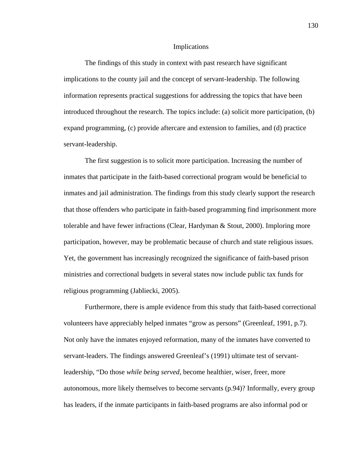#### Implications

The findings of this study in context with past research have significant implications to the county jail and the concept of servant-leadership. The following information represents practical suggestions for addressing the topics that have been introduced throughout the research. The topics include: (a) solicit more participation, (b) expand programming, (c) provide aftercare and extension to families, and (d) practice servant-leadership.

 The first suggestion is to solicit more participation. Increasing the number of inmates that participate in the faith-based correctional program would be beneficial to inmates and jail administration. The findings from this study clearly support the research that those offenders who participate in faith-based programming find imprisonment more tolerable and have fewer infractions (Clear, Hardyman & Stout, 2000). Imploring more participation, however, may be problematic because of church and state religious issues. Yet, the government has increasingly recognized the significance of faith-based prison ministries and correctional budgets in several states now include public tax funds for religious programming (Jabliecki, 2005).

Furthermore, there is ample evidence from this study that faith-based correctional volunteers have appreciably helped inmates "grow as persons" (Greenleaf, 1991, p.7). Not only have the inmates enjoyed reformation, many of the inmates have converted to servant-leaders. The findings answered Greenleaf's (1991) ultimate test of servantleadership, "Do those *while being served*, become healthier, wiser, freer, more autonomous, more likely themselves to become servants (p.94)? Informally, every group has leaders, if the inmate participants in faith-based programs are also informal pod or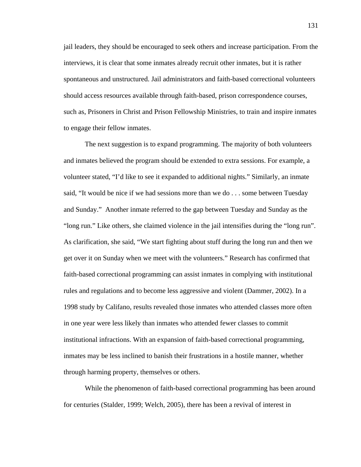jail leaders, they should be encouraged to seek others and increase participation. From the interviews, it is clear that some inmates already recruit other inmates, but it is rather spontaneous and unstructured. Jail administrators and faith-based correctional volunteers should access resources available through faith-based, prison correspondence courses, such as, Prisoners in Christ and Prison Fellowship Ministries, to train and inspire inmates to engage their fellow inmates.

The next suggestion is to expand programming. The majority of both volunteers and inmates believed the program should be extended to extra sessions. For example, a volunteer stated, "I'd like to see it expanded to additional nights." Similarly, an inmate said, "It would be nice if we had sessions more than we do . . . some between Tuesday and Sunday." Another inmate referred to the gap between Tuesday and Sunday as the "long run." Like others, she claimed violence in the jail intensifies during the "long run". As clarification, she said, "We start fighting about stuff during the long run and then we get over it on Sunday when we meet with the volunteers." Research has confirmed that faith-based correctional programming can assist inmates in complying with institutional rules and regulations and to become less aggressive and violent (Dammer, 2002). In a 1998 study by Califano, results revealed those inmates who attended classes more often in one year were less likely than inmates who attended fewer classes to commit institutional infractions. With an expansion of faith-based correctional programming, inmates may be less inclined to banish their frustrations in a hostile manner, whether through harming property, themselves or others.

While the phenomenon of faith-based correctional programming has been around for centuries (Stalder, 1999; Welch, 2005), there has been a revival of interest in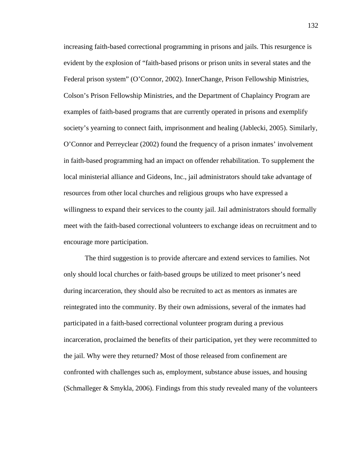increasing faith-based correctional programming in prisons and jails. This resurgence is evident by the explosion of "faith-based prisons or prison units in several states and the Federal prison system" (O'Connor, 2002). InnerChange, Prison Fellowship Ministries, Colson's Prison Fellowship Ministries, and the Department of Chaplaincy Program are examples of faith-based programs that are currently operated in prisons and exemplify society's yearning to connect faith, imprisonment and healing (Jablecki, 2005). Similarly, O'Connor and Perreyclear (2002) found the frequency of a prison inmates' involvement in faith-based programming had an impact on offender rehabilitation. To supplement the local ministerial alliance and Gideons, Inc., jail administrators should take advantage of resources from other local churches and religious groups who have expressed a willingness to expand their services to the county jail. Jail administrators should formally meet with the faith-based correctional volunteers to exchange ideas on recruitment and to encourage more participation.

The third suggestion is to provide aftercare and extend services to families. Not only should local churches or faith-based groups be utilized to meet prisoner's need during incarceration, they should also be recruited to act as mentors as inmates are reintegrated into the community. By their own admissions, several of the inmates had participated in a faith-based correctional volunteer program during a previous incarceration, proclaimed the benefits of their participation, yet they were recommitted to the jail. Why were they returned? Most of those released from confinement are confronted with challenges such as, employment, substance abuse issues, and housing (Schmalleger & Smykla, 2006). Findings from this study revealed many of the volunteers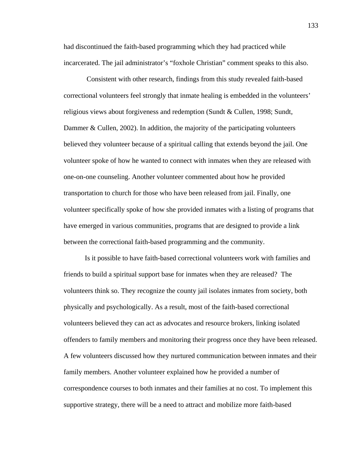had discontinued the faith-based programming which they had practiced while incarcerated. The jail administrator's "foxhole Christian" comment speaks to this also.

 Consistent with other research, findings from this study revealed faith-based correctional volunteers feel strongly that inmate healing is embedded in the volunteers' religious views about forgiveness and redemption (Sundt & Cullen, 1998; Sundt, Dammer & Cullen, 2002). In addition, the majority of the participating volunteers believed they volunteer because of a spiritual calling that extends beyond the jail. One volunteer spoke of how he wanted to connect with inmates when they are released with one-on-one counseling. Another volunteer commented about how he provided transportation to church for those who have been released from jail. Finally, one volunteer specifically spoke of how she provided inmates with a listing of programs that have emerged in various communities, programs that are designed to provide a link between the correctional faith-based programming and the community.

Is it possible to have faith-based correctional volunteers work with families and friends to build a spiritual support base for inmates when they are released? The volunteers think so. They recognize the county jail isolates inmates from society, both physically and psychologically. As a result, most of the faith-based correctional volunteers believed they can act as advocates and resource brokers, linking isolated offenders to family members and monitoring their progress once they have been released. A few volunteers discussed how they nurtured communication between inmates and their family members. Another volunteer explained how he provided a number of correspondence courses to both inmates and their families at no cost. To implement this supportive strategy, there will be a need to attract and mobilize more faith-based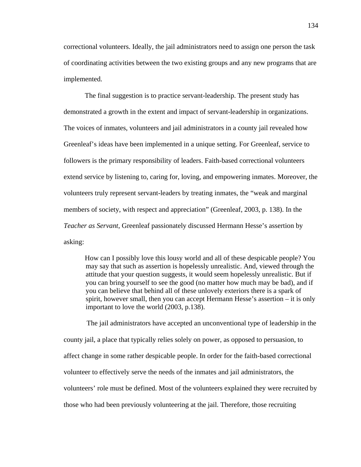correctional volunteers. Ideally, the jail administrators need to assign one person the task of coordinating activities between the two existing groups and any new programs that are implemented.

The final suggestion is to practice servant-leadership. The present study has demonstrated a growth in the extent and impact of servant-leadership in organizations. The voices of inmates, volunteers and jail administrators in a county jail revealed how Greenleaf's ideas have been implemented in a unique setting. For Greenleaf, service to followers is the primary responsibility of leaders. Faith-based correctional volunteers extend service by listening to, caring for, loving, and empowering inmates. Moreover, the volunteers truly represent servant-leaders by treating inmates, the "weak and marginal members of society, with respect and appreciation" (Greenleaf, 2003, p. 138). In the *Teacher as Servant*, Greenleaf passionately discussed Hermann Hesse's assertion by asking:

How can I possibly love this lousy world and all of these despicable people? You may say that such as assertion is hopelessly unrealistic. And, viewed through the attitude that your question suggests, it would seem hopelessly unrealistic. But if you can bring yourself to see the good (no matter how much may be bad), and if you can believe that behind all of these unlovely exteriors there is a spark of spirit, however small, then you can accept Hermann Hesse's assertion – it is only important to love the world (2003, p.138).

 The jail administrators have accepted an unconventional type of leadership in the county jail, a place that typically relies solely on power, as opposed to persuasion, to affect change in some rather despicable people. In order for the faith-based correctional volunteer to effectively serve the needs of the inmates and jail administrators, the volunteers' role must be defined. Most of the volunteers explained they were recruited by those who had been previously volunteering at the jail. Therefore, those recruiting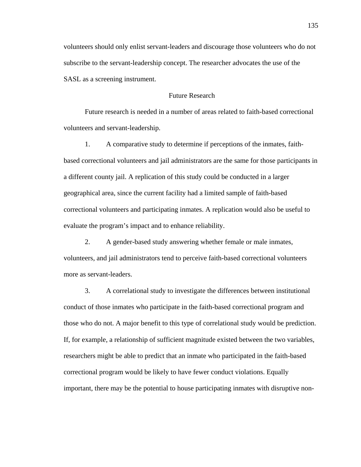volunteers should only enlist servant-leaders and discourage those volunteers who do not subscribe to the servant-leadership concept. The researcher advocates the use of the SASL as a screening instrument.

#### Future Research

 Future research is needed in a number of areas related to faith-based correctional volunteers and servant-leadership.

 1. A comparative study to determine if perceptions of the inmates, faithbased correctional volunteers and jail administrators are the same for those participants in a different county jail. A replication of this study could be conducted in a larger geographical area, since the current facility had a limited sample of faith-based correctional volunteers and participating inmates. A replication would also be useful to evaluate the program's impact and to enhance reliability.

 2. A gender-based study answering whether female or male inmates, volunteers, and jail administrators tend to perceive faith-based correctional volunteers more as servant-leaders.

 3. A correlational study to investigate the differences between institutional conduct of those inmates who participate in the faith-based correctional program and those who do not. A major benefit to this type of correlational study would be prediction. If, for example, a relationship of sufficient magnitude existed between the two variables, researchers might be able to predict that an inmate who participated in the faith-based correctional program would be likely to have fewer conduct violations. Equally important, there may be the potential to house participating inmates with disruptive non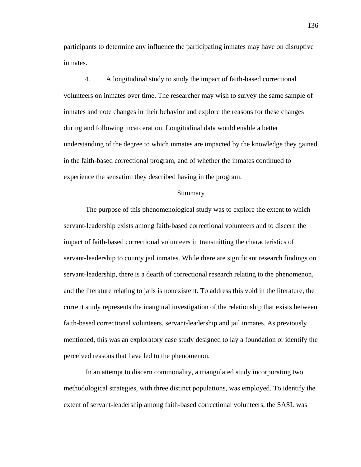participants to determine any influence the participating inmates may have on disruptive inmates.

 4. A longitudinal study to study the impact of faith-based correctional volunteers on inmates over time. The researcher may wish to survey the same sample of inmates and note changes in their behavior and explore the reasons for these changes during and following incarceration. Longitudinal data would enable a better understanding of the degree to which inmates are impacted by the knowledge they gained in the faith-based correctional program, and of whether the inmates continued to experience the sensation they described having in the program.

#### Summary

The purpose of this phenomenological study was to explore the extent to which servant-leadership exists among faith-based correctional volunteers and to discern the impact of faith-based correctional volunteers in transmitting the characteristics of servant-leadership to county jail inmates. While there are significant research findings on servant-leadership, there is a dearth of correctional research relating to the phenomenon, and the literature relating to jails is nonexistent. To address this void in the literature, the current study represents the inaugural investigation of the relationship that exists between faith-based correctional volunteers, servant-leadership and jail inmates. As previously mentioned, this was an exploratory case study designed to lay a foundation or identify the perceived reasons that have led to the phenomenon.

In an attempt to discern commonality, a triangulated study incorporating two methodological strategies, with three distinct populations, was employed. To identify the extent of servant-leadership among faith-based correctional volunteers, the SASL was

136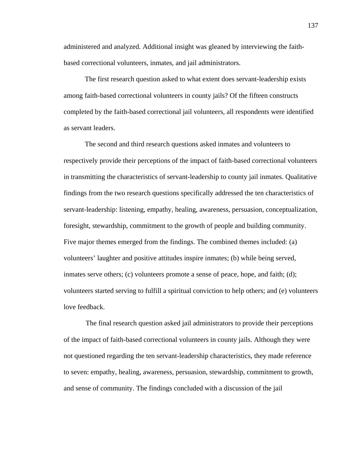administered and analyzed. Additional insight was gleaned by interviewing the faithbased correctional volunteers, inmates, and jail administrators.

The first research question asked to what extent does servant-leadership exists among faith-based correctional volunteers in county jails? Of the fifteen constructs completed by the faith-based correctional jail volunteers, all respondents were identified as servant leaders.

The second and third research questions asked inmates and volunteers to respectively provide their perceptions of the impact of faith-based correctional volunteers in transmitting the characteristics of servant-leadership to county jail inmates. Qualitative findings from the two research questions specifically addressed the ten characteristics of servant-leadership: listening, empathy, healing, awareness, persuasion, conceptualization, foresight, stewardship, commitment to the growth of people and building community. Five major themes emerged from the findings. The combined themes included: (a) volunteers' laughter and positive attitudes inspire inmates; (b) while being served, inmates serve others; (c) volunteers promote a sense of peace, hope, and faith; (d); volunteers started serving to fulfill a spiritual conviction to help others; and (e) volunteers love feedback.

The final research question asked jail administrators to provide their perceptions of the impact of faith-based correctional volunteers in county jails. Although they were not questioned regarding the ten servant-leadership characteristics, they made reference to seven: empathy, healing, awareness, persuasion, stewardship, commitment to growth, and sense of community. The findings concluded with a discussion of the jail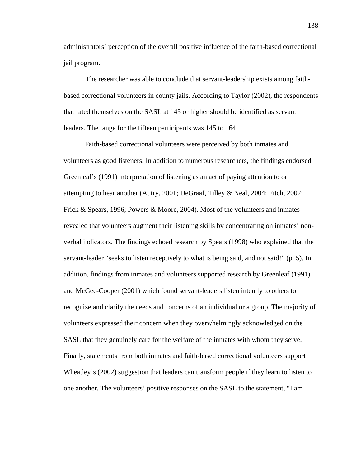administrators' perception of the overall positive influence of the faith-based correctional jail program.

The researcher was able to conclude that servant-leadership exists among faithbased correctional volunteers in county jails. According to Taylor (2002), the respondents that rated themselves on the SASL at 145 or higher should be identified as servant leaders. The range for the fifteen participants was 145 to 164.

Faith-based correctional volunteers were perceived by both inmates and volunteers as good listeners. In addition to numerous researchers, the findings endorsed Greenleaf's (1991) interpretation of listening as an act of paying attention to or attempting to hear another (Autry, 2001; DeGraaf, Tilley & Neal, 2004; Fitch, 2002; Frick & Spears, 1996; Powers & Moore, 2004). Most of the volunteers and inmates revealed that volunteers augment their listening skills by concentrating on inmates' nonverbal indicators. The findings echoed research by Spears (1998) who explained that the servant-leader "seeks to listen receptively to what is being said, and not said!" (p. 5). In addition, findings from inmates and volunteers supported research by Greenleaf (1991) and McGee-Cooper (2001) which found servant-leaders listen intently to others to recognize and clarify the needs and concerns of an individual or a group. The majority of volunteers expressed their concern when they overwhelmingly acknowledged on the SASL that they genuinely care for the welfare of the inmates with whom they serve. Finally, statements from both inmates and faith-based correctional volunteers support Wheatley's (2002) suggestion that leaders can transform people if they learn to listen to one another. The volunteers' positive responses on the SASL to the statement, "I am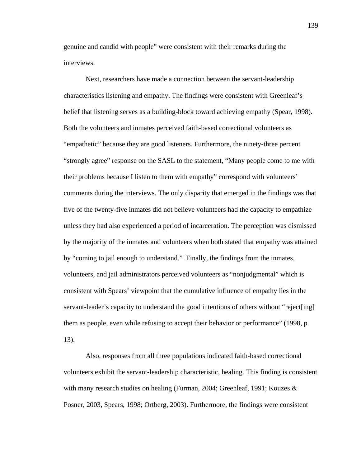genuine and candid with people" were consistent with their remarks during the interviews.

Next, researchers have made a connection between the servant-leadership characteristics listening and empathy. The findings were consistent with Greenleaf's belief that listening serves as a building-block toward achieving empathy (Spear, 1998). Both the volunteers and inmates perceived faith-based correctional volunteers as "empathetic" because they are good listeners. Furthermore, the ninety-three percent "strongly agree" response on the SASL to the statement, "Many people come to me with their problems because I listen to them with empathy" correspond with volunteers' comments during the interviews. The only disparity that emerged in the findings was that five of the twenty-five inmates did not believe volunteers had the capacity to empathize unless they had also experienced a period of incarceration. The perception was dismissed by the majority of the inmates and volunteers when both stated that empathy was attained by "coming to jail enough to understand." Finally, the findings from the inmates, volunteers, and jail administrators perceived volunteers as "nonjudgmental" which is consistent with Spears' viewpoint that the cumulative influence of empathy lies in the servant-leader's capacity to understand the good intentions of others without "reject[ing] them as people, even while refusing to accept their behavior or performance" (1998, p. 13).

Also, responses from all three populations indicated faith-based correctional volunteers exhibit the servant-leadership characteristic, healing. This finding is consistent with many research studies on healing (Furman, 2004; Greenleaf, 1991; Kouzes  $\&$ Posner, 2003, Spears, 1998; Ortberg, 2003). Furthermore, the findings were consistent

139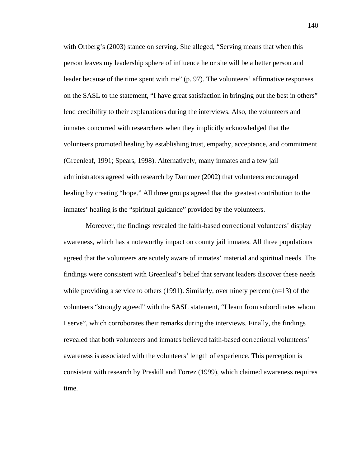with Ortberg's (2003) stance on serving. She alleged, "Serving means that when this person leaves my leadership sphere of influence he or she will be a better person and leader because of the time spent with me" (p. 97). The volunteers' affirmative responses on the SASL to the statement, "I have great satisfaction in bringing out the best in others" lend credibility to their explanations during the interviews. Also, the volunteers and inmates concurred with researchers when they implicitly acknowledged that the volunteers promoted healing by establishing trust, empathy, acceptance, and commitment (Greenleaf, 1991; Spears, 1998). Alternatively, many inmates and a few jail administrators agreed with research by Dammer (2002) that volunteers encouraged healing by creating "hope." All three groups agreed that the greatest contribution to the inmates' healing is the "spiritual guidance" provided by the volunteers.

Moreover, the findings revealed the faith-based correctional volunteers' display awareness, which has a noteworthy impact on county jail inmates. All three populations agreed that the volunteers are acutely aware of inmates' material and spiritual needs. The findings were consistent with Greenleaf's belief that servant leaders discover these needs while providing a service to others  $(1991)$ . Similarly, over ninety percent  $(n=13)$  of the volunteers "strongly agreed" with the SASL statement, "I learn from subordinates whom I serve", which corroborates their remarks during the interviews. Finally, the findings revealed that both volunteers and inmates believed faith-based correctional volunteers' awareness is associated with the volunteers' length of experience. This perception is consistent with research by Preskill and Torrez (1999), which claimed awareness requires time.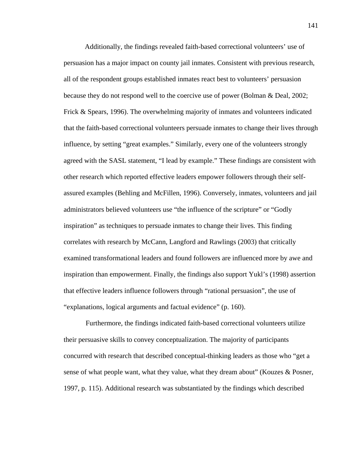Additionally, the findings revealed faith-based correctional volunteers' use of persuasion has a major impact on county jail inmates. Consistent with previous research, all of the respondent groups established inmates react best to volunteers' persuasion because they do not respond well to the coercive use of power (Bolman & Deal, 2002; Frick & Spears, 1996). The overwhelming majority of inmates and volunteers indicated that the faith-based correctional volunteers persuade inmates to change their lives through influence, by setting "great examples." Similarly, every one of the volunteers strongly agreed with the SASL statement, "I lead by example." These findings are consistent with other research which reported effective leaders empower followers through their selfassured examples (Behling and McFillen, 1996). Conversely, inmates, volunteers and jail administrators believed volunteers use "the influence of the scripture" or "Godly inspiration" as techniques to persuade inmates to change their lives. This finding correlates with research by McCann, Langford and Rawlings (2003) that critically examined transformational leaders and found followers are influenced more by awe and inspiration than empowerment. Finally, the findings also support Yukl's (1998) assertion that effective leaders influence followers through "rational persuasion", the use of "explanations, logical arguments and factual evidence" (p. 160).

Furthermore, the findings indicated faith-based correctional volunteers utilize their persuasive skills to convey conceptualization. The majority of participants concurred with research that described conceptual-thinking leaders as those who "get a sense of what people want, what they value, what they dream about" (Kouzes & Posner, 1997, p. 115). Additional research was substantiated by the findings which described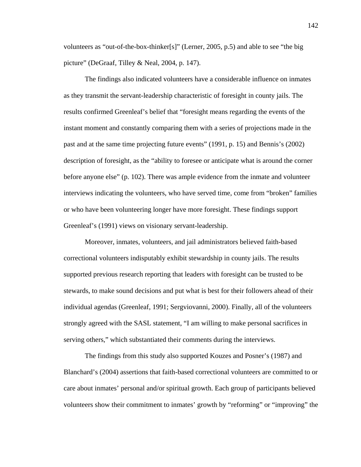volunteers as "out-of-the-box-thinker[s]" (Lerner, 2005, p.5) and able to see "the big picture" (DeGraaf, Tilley & Neal, 2004, p. 147).

The findings also indicated volunteers have a considerable influence on inmates as they transmit the servant-leadership characteristic of foresight in county jails. The results confirmed Greenleaf's belief that "foresight means regarding the events of the instant moment and constantly comparing them with a series of projections made in the past and at the same time projecting future events" (1991, p. 15) and Bennis's (2002) description of foresight, as the "ability to foresee or anticipate what is around the corner before anyone else" (p. 102). There was ample evidence from the inmate and volunteer interviews indicating the volunteers, who have served time, come from "broken" families or who have been volunteering longer have more foresight. These findings support Greenleaf's (1991) views on visionary servant-leadership.

Moreover, inmates, volunteers, and jail administrators believed faith-based correctional volunteers indisputably exhibit stewardship in county jails. The results supported previous research reporting that leaders with foresight can be trusted to be stewards, to make sound decisions and put what is best for their followers ahead of their individual agendas (Greenleaf, 1991; Sergviovanni, 2000). Finally, all of the volunteers strongly agreed with the SASL statement, "I am willing to make personal sacrifices in serving others," which substantiated their comments during the interviews.

The findings from this study also supported Kouzes and Posner's (1987) and Blanchard's (2004) assertions that faith-based correctional volunteers are committed to or care about inmates' personal and/or spiritual growth. Each group of participants believed volunteers show their commitment to inmates' growth by "reforming" or "improving" the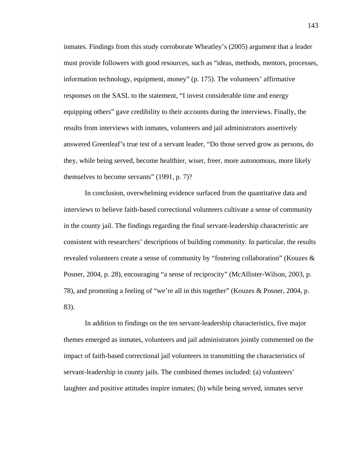inmates. Findings from this study corroborate Wheatley's (2005) argument that a leader must provide followers with good resources, such as "ideas, methods, mentors, processes, information technology, equipment, money" (p. 175). The volunteers' affirmative responses on the SASL to the statement, "I invest considerable time and energy equipping others" gave credibility to their accounts during the interviews. Finally, the results from interviews with inmates, volunteers and jail administrators assertively answered Greenleaf's true test of a servant leader, "Do those served grow as persons, do they, while being served, become healthier, wiser, freer, more autonomous, more likely themselves to become servants" (1991, p. 7)?

In conclusion, overwhelming evidence surfaced from the quantitative data and interviews to believe faith-based correctional volunteers cultivate a sense of community in the county jail. The findings regarding the final servant-leadership characteristic are consistent with researchers' descriptions of building community. In particular, the results revealed volunteers create a sense of community by "fostering collaboration" (Kouzes & Posner, 2004, p. 28), encouraging "a sense of reciprocity" (McAllister-Wilson, 2003, p. 78), and promoting a feeling of "we're all in this together" (Kouzes & Posner, 2004, p. 83).

In addition to findings on the ten servant-leadership characteristics, five major themes emerged as inmates, volunteers and jail administrators jointly commented on the impact of faith-based correctional jail volunteers in transmitting the characteristics of servant-leadership in county jails. The combined themes included: (a) volunteers' laughter and positive attitudes inspire inmates; (b) while being served, inmates serve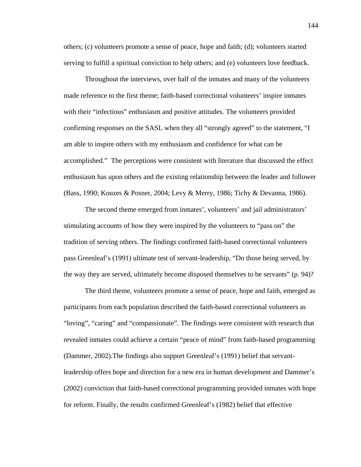others; (c) volunteers promote a sense of peace, hope and faith; (d); volunteers started serving to fulfill a spiritual conviction to help others; and (e) volunteers love feedback.

Throughout the interviews, over half of the inmates and many of the volunteers made reference to the first theme; faith-based correctional volunteers' inspire inmates with their "infectious" enthusiasm and positive attitudes. The volunteers provided confirming responses on the SASL when they all "strongly agreed" to the statement, "I am able to inspire others with my enthusiasm and confidence for what can be accomplished." The perceptions were consistent with literature that discussed the effect enthusiasm has upon others and the existing relationship between the leader and follower (Bass, 1990; Kouzes & Posner, 2004; Levy & Merry, 1986; Tichy & Devanna, 1986).

 The second theme emerged from inmates', volunteers' and jail administrators' stimulating accounts of how they were inspired by the volunteers to "pass on" the tradition of serving others. The findings confirmed faith-based correctional volunteers pass Greenleaf's (1991) ultimate test of servant-leadership, "Do those being served, by the way they are served, ultimately become disposed themselves to be servants" (p. 94)?

The third theme, volunteers promote a sense of peace, hope and faith, emerged as participants from each population described the faith-based correctional volunteers as "loving", "caring" and "compassionate". The findings were consistent with research that revealed inmates could achieve a certain "peace of mind" from faith-based programming (Dammer, 2002).The findings also support Greenleaf's (1991) belief that servantleadership offers hope and direction for a new era in human development and Dammer's (2002) conviction that faith-based correctional programming provided inmates with hope for reform. Finally, the results confirmed Greenleaf's (1982) belief that effective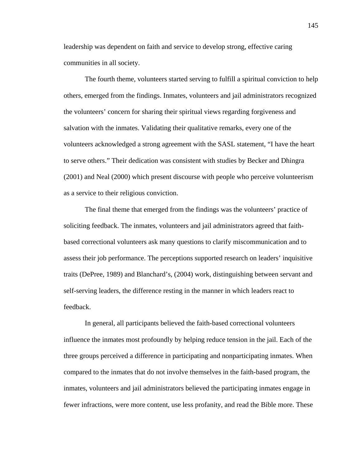leadership was dependent on faith and service to develop strong, effective caring communities in all society.

The fourth theme, volunteers started serving to fulfill a spiritual conviction to help others, emerged from the findings. Inmates, volunteers and jail administrators recognized the volunteers' concern for sharing their spiritual views regarding forgiveness and salvation with the inmates. Validating their qualitative remarks, every one of the volunteers acknowledged a strong agreement with the SASL statement, "I have the heart to serve others." Their dedication was consistent with studies by Becker and Dhingra (2001) and Neal (2000) which present discourse with people who perceive volunteerism as a service to their religious conviction.

The final theme that emerged from the findings was the volunteers' practice of soliciting feedback. The inmates, volunteers and jail administrators agreed that faithbased correctional volunteers ask many questions to clarify miscommunication and to assess their job performance. The perceptions supported research on leaders' inquisitive traits (DePree, 1989) and Blanchard's, (2004) work, distinguishing between servant and self-serving leaders, the difference resting in the manner in which leaders react to feedback.

In general, all participants believed the faith-based correctional volunteers influence the inmates most profoundly by helping reduce tension in the jail. Each of the three groups perceived a difference in participating and nonparticipating inmates. When compared to the inmates that do not involve themselves in the faith-based program, the inmates, volunteers and jail administrators believed the participating inmates engage in fewer infractions, were more content, use less profanity, and read the Bible more. These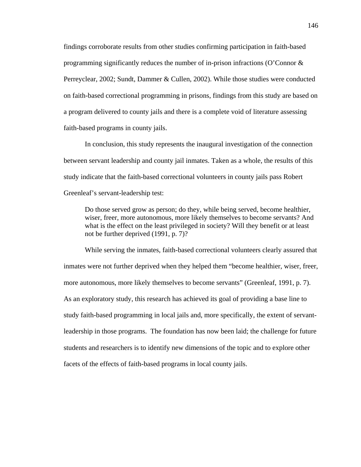findings corroborate results from other studies confirming participation in faith-based programming significantly reduces the number of in-prison infractions (O'Connor & Perreyclear, 2002; Sundt, Dammer & Cullen, 2002). While those studies were conducted on faith-based correctional programming in prisons, findings from this study are based on a program delivered to county jails and there is a complete void of literature assessing faith-based programs in county jails.

 In conclusion, this study represents the inaugural investigation of the connection between servant leadership and county jail inmates. Taken as a whole, the results of this study indicate that the faith-based correctional volunteers in county jails pass Robert Greenleaf's servant-leadership test:

 Do those served grow as person; do they, while being served, become healthier, wiser, freer, more autonomous, more likely themselves to become servants? And what is the effect on the least privileged in society? Will they benefit or at least not be further deprived (1991, p. 7)?

 While serving the inmates, faith-based correctional volunteers clearly assured that inmates were not further deprived when they helped them "become healthier, wiser, freer, more autonomous, more likely themselves to become servants" (Greenleaf, 1991, p. 7). As an exploratory study, this research has achieved its goal of providing a base line to study faith-based programming in local jails and, more specifically, the extent of servantleadership in those programs. The foundation has now been laid; the challenge for future students and researchers is to identify new dimensions of the topic and to explore other facets of the effects of faith-based programs in local county jails.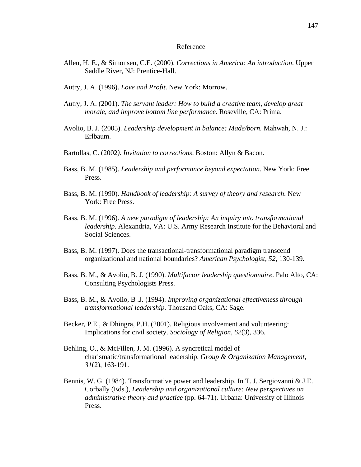#### Reference

- Allen, H. E., & Simonsen, C.E. (2000). *Corrections in America: An introduction*. Upper Saddle River, NJ: Prentice-Hall.
- Autry, J. A. (1996). *Love and Profit*. New York: Morrow.
- Autry, J. A. (2001). *The servant leader: How to build a creative team, develop great morale, and improve bottom line performance.* Roseville, CA: Prima.
- Avolio, B. J. (2005). *Leadership development in balance: Made/born.* Mahwah, N. J.: Erlbaum.
- Bartollas, C. (2002*). Invitation to corrections*. Boston: Allyn & Bacon.
- Bass, B. M. (1985). *Leadership and performance beyond expectation*. New York: Free Press.
- Bass, B. M. (1990). *Handbook of leadership: A survey of theory and research*. New York: Free Press.
- Bass, B. M. (1996). *A new paradigm of leadership: An inquiry into transformational leadership.* Alexandria, VA: U.S. Army Research Institute for the Behavioral and Social Sciences.
- Bass, B. M. (1997). Does the transactional-transformational paradigm transcend organizational and national boundaries? *American Psychologist, 52*, 130-139.
- Bass, B. M., & Avolio, B. J. (1990). *Multifactor leadership questionnaire*. Palo Alto, CA: Consulting Psychologists Press.
- Bass, B. M., & Avolio, B .J. (1994). *Improving organizational effectiveness through transformational leadership*. Thousand Oaks, CA: Sage.
- Becker, P.E., & Dhingra, P.H. (2001). Religious involvement and volunteering: Implications for civil society. *Sociology of Religion, 62*(3), 336.
- Behling, O., & McFillen, J. M. (1996). A syncretical model of charismatic/transformational leadership. *Group & Organization Management, 31*(2), 163-191.
- Bennis, W. G. (1984). Transformative power and leadership. In T. J. Sergiovanni & J.E. Corbally (Eds.), *Leadership and organizational culture: New perspectives on administrative theory and practice* (pp. 64-71). Urbana: University of Illinois Press.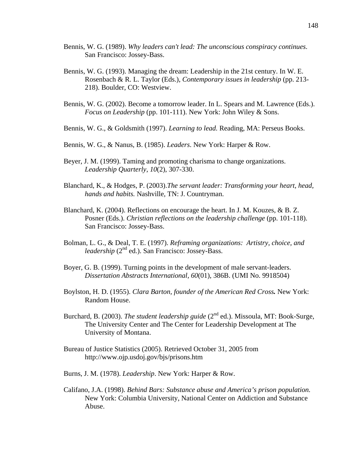- Bennis, W. G. (1989). *Why leaders can't lead: The unconscious conspiracy continues*. San Francisco: Jossey-Bass.
- Bennis, W. G. (1993). Managing the dream: Leadership in the 21st century. In W. E. Rosenbach & R. L. Taylor (Eds.), *Contemporary issues in leadership* (pp. 213- 218). Boulder, CO: Westview.
- Bennis, W. G. (2002). Become a tomorrow leader. In L. Spears and M. Lawrence (Eds.). *Focus on Leadership* (pp. 101-111). New York: John Wiley & Sons.
- Bennis, W. G., & Goldsmith (1997). *Learning to lead.* Reading, MA: Perseus Books.
- Bennis, W. G., & Nanus, B. (1985). *Leaders*. New York: Harper & Row.
- Beyer, J. M. (1999). Taming and promoting charisma to change organizations. *Leadership Quarterly*, *10*(2), 307-330.
- Blanchard, K., & Hodges, P. (2003).*The servant leader: Transforming your heart, head, hands and habits.* Nashville, TN: J. Countryman.
- Blanchard, K. (2004). Reflections on encourage the heart. In J. M. Kouzes, & B. Z. Posner (Eds.). *Christian reflections on the leadership challenge* (pp. 101-118). San Francisco: Jossey-Bass.
- Bolman, L. G., & Deal, T. E. (1997). *Reframing organizations: Artistry, choice, and leadership* (2<sup>nd</sup> ed.). San Francisco: Jossey-Bass.
- Boyer, G. B. (1999). Turning points in the development of male servant-leaders. *Dissertation Abstracts International, 60*(01), 386B. (UMI No. 9918504)
- Boylston, H. D. (1955). *Clara Barton, founder of the American Red Cross.* New York: Random House.
- Burchard, B. (2003). *The student leadership guide* (2nd ed.). Missoula, MT: Book-Surge, The University Center and The Center for Leadership Development at The University of Montana.
- Bureau of Justice Statistics (2005). Retrieved October 31, 2005 from http://www.ojp.usdoj.gov/bjs/prisons.htm
- Burns, J. M. (1978). *Leadership*. New York: Harper & Row.
- Califano, J.A. (1998). *Behind Bars: Substance abuse and America's prison population.*  New York: Columbia University, National Center on Addiction and Substance Abuse.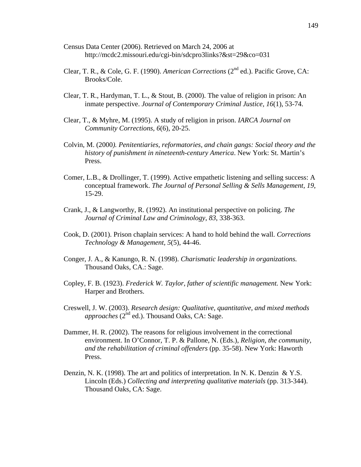- Census Data Center (2006). Retrieved on March 24, 2006 at http://mcdc2.missouri.edu/cgi-bin/sdcpro3links?&st=29&co=031
- Clear, T. R., & Cole, G. F. (1990). *American Corrections* (2nd ed.). Pacific Grove, CA: Brooks/Cole.
- Clear, T. R., Hardyman, T. L., & Stout, B. (2000). The value of religion in prison: An inmate perspective. *Journal of Contemporary Criminal Justice, 16*(1), 53-74.
- Clear, T., & Myhre, M. (1995). A study of religion in prison. *IARCA Journal on Community Corrections, 6*(6), 20-25.
- Colvin, M. (2000*). Penitentiaries, reformatories, and chain gangs: Social theory and the history of punishment in nineteenth-century America*. New York: St. Martin's Press.
- Comer, L.B., & Drollinger, T. (1999). Active empathetic listening and selling success: A conceptual framework. *The Journal of Personal Selling & Sells Management, 19*, 15-29.
- Crank, J., & Langworthy, R. (1992). An institutional perspective on policing. *The Journal of Criminal Law and Criminology*, *83*, 338-363.
- Cook, D. (2001). Prison chaplain services: A hand to hold behind the wall. *Corrections Technology & Management, 5*(5), 44-46.
- Conger, J. A., & Kanungo, R. N. (1998). *Charismatic leadership in organizations.*  Thousand Oaks, CA.: Sage.
- Copley, F. B. (1923). *Frederick W. Taylor, father of scientific management.* New York: Harper and Brothers.
- Creswell, J. W. (2003). *Research design: Qualitative, quantitative, and mixed methods approaches* (2<sup>nd</sup> ed.). Thousand Oaks, CA: Sage.
- Dammer, H. R. (2002). The reasons for religious involvement in the correctional environment. In O'Connor, T. P. & Pallone, N. (Eds.), *Religion, the community, and the rehabilitation of criminal offenders* (pp. 35-58). New York: Haworth Press.
- Denzin, N. K. (1998). The art and politics of interpretation. In N. K. Denzin & Y.S. Lincoln (Eds.) *Collecting and interpreting qualitative materials* (pp. 313-344). Thousand Oaks, CA: Sage.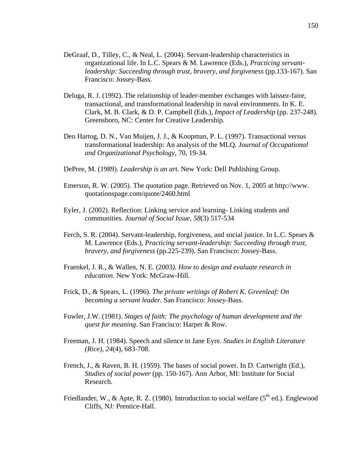- DeGraaf, D., Tilley, C., & Neal, L. (2004). Servant-leadership characteristics in organizational life. In L.C. Spears & M. Lawrence (Eds.), *Practicing servantleadership: Succeeding through trust, bravery, and forgiveness (pp.133-167). San* Francisco: Jossey-Bass.
- Deluga, R. J. (1992). The relationship of leader-member exchanges with laissez-faire, transactional, and transformational leadership in naval environments. In K. E. Clark, M. B. Clark, & D. P. Campbell (Eds.), *Impact of Leadership* (pp. 237-248). Greensboro, NC: Center for Creative Leadership.
- Den Hartog, D. N., Van Muijen, J. J., & Koopman, P. L. (1997). Transactional versus transformational leadership: An analysis of the MLQ. *Journal of Occupational and Organizational Psychology*, 70, 19-34.
- DePree, M. (1989). *Leadership is an art*. New York: Dell Publishing Group.
- Emerson, R. W. (2005). The quotation page. Retrieved on Nov. 1, 2005 at http://www. quotationspage.com/quote/2460.html
- Eyler, J. (2002). Reflection: Linking service and learning- Linking students and communities. *Journal of Social Issue, 58*(3) 517-534
- Ferch, S. R. (2004). Servant-leadership, forgiveness, and social justice. In L.C. Spears & M. Lawrence (Eds.), *Practicing servant-leadership: Succeeding through trust, bravery, and forgiveness* (pp.225-239). San Francisco: Jossey-Bass.
- Fraenkel, J. R., & Wallen, N. E. (2003*). How to design and evaluate research in education*. New York: McGraw-Hill.
- Frick, D., & Spears, L. (1996). *The private writings of Robert K. Greenleaf: On becoming a servant leader.* San Francisco: Jossey-Bass.
- Fowler, J.W. (1981). *Stages of faith: The psychology of human development and the quest for meaning*. San Francisco: Harper & Row.
- Freeman, J. H. (1984). Speech and silence in Jane Eyre. *Studies in English Literature (Rice)*, *24*(4), 683-708.
- French, J., & Raven, B. H. (1959). The bases of social power. In D. Cartwright (Ed.), *Studies of social power* (pp. 150-167). Ann Arbor, MI: Institute for Social Research.
- Friedlander, W., & Apte, R. Z. (1980). Introduction to social welfare  $(5<sup>th</sup>$  ed.). Englewood Cliffs, NJ: Prentice-Hall.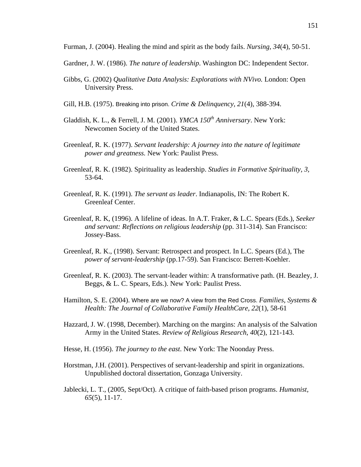Furman, J. (2004). Healing the mind and spirit as the body fails. *Nursing, 34*(4), 50-51.

- Gardner, J. W. (1986). *The nature of leadership*. Washington DC: Independent Sector.
- Gibbs, G. (2002) *Qualitative Data Analysis: Explorations with NVivo.* London: Open University Press.
- Gill, H.B. (1975). Breaking into prison. *Crime & Delinquency, 21*(4), 388-394.
- Gladdish, K. L., & Ferrell, J. M. (2001). *YMCA 150<sup>th</sup> Anniversary*. New York: Newcomen Society of the United States.
- Greenleaf, R. K. (1977). *Servant leadership: A journey into the nature of legitimate power and greatness.* New York: Paulist Press.
- Greenleaf, R. K. (1982). Spirituality as leadership. *Studies in Formative Spirituality, 3,* 53-64.
- Greenleaf, R. K. (1991). *The servant as leader*. Indianapolis, IN: The Robert K. Greenleaf Center.
- Greenleaf, R. K, (1996). A lifeline of ideas. In A.T. Fraker, & L.C. Spears (Eds.), *Seeker and servant: Reflections on religious leadership* (pp. 311-314). San Francisco: Jossey-Bass.
- Greenleaf, R. K., (1998). Servant: Retrospect and prospect. In L.C. Spears (Ed.), The *power of servant-leadership* (pp.17-59). San Francisco: Berrett-Koehler.
- Greenleaf, R. K. (2003). The servant-leader within: A transformative path. (H. Beazley, J. Beggs, & L. C. Spears, Eds.). New York: Paulist Press.
- Hamilton, S. E. (2004). Where are we now? A view from the Red Cross. *Families, Systems & Health: The Journal of Collaborative Family HealthCare, 22*(1), 58-61
- Hazzard, J. W. (1998, December). Marching on the margins: An analysis of the Salvation Army in the United States. *Review of Religious Research*, *40*(2), 121-143.
- Hesse, H. (1956). *The journey to the east*. New York: The Noonday Press.
- Horstman, J.H. (2001). Perspectives of servant-leadership and spirit in organizations. Unpublished doctoral dissertation, Gonzaga University.
- Jablecki, L. T., (2005, Sept/Oct). A critique of faith-based prison programs. *Humanist, 65*(5), 11-17.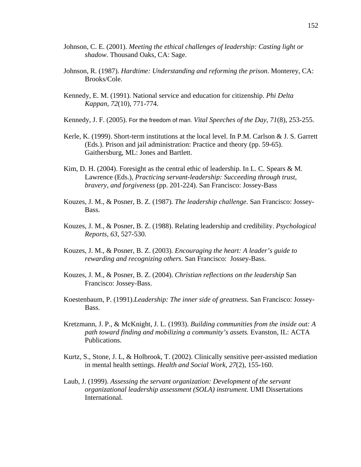- Johnson, C. E. (2001). *Meeting the ethical challenges of leadership: Casting light or shadow*. Thousand Oaks, CA: Sage.
- Johnson, R. (1987). *Hardtime: Understanding and reforming the prison*. Monterey, CA: Brooks/Cole.
- Kennedy, E. M. (1991). National service and education for citizenship. *Phi Delta Kappan, 72*(10), 771-774.
- Kennedy, J. F. (2005). For the freedom of man. *Vital Speeches of the Day, 71*(8), 253-255.
- Kerle, K. (1999). Short-term institutions at the local level. In P.M. Carlson & J. S. Garrett (Eds.). Prison and jail administration: Practice and theory (pp. 59-65). Gaithersburg, ML: Jones and Bartlett.
- Kim, D. H. (2004). Foresight as the central ethic of leadership. In L. C. Spears & M. Lawrence (Eds.), *Practicing servant-leadership: Succeeding through trust, bravery, and forgiveness* (pp. 201-224). San Francisco: Jossey-Bass
- Kouzes, J. M., & Posner, B. Z. (1987). *The leadership challenge*. San Francisco: Jossey-Bass.
- Kouzes, J. M., & Posner, B. Z. (1988). Relating leadership and credibility. *Psychological Reports*, *63*, 527-530.
- Kouzes, J. M., & Posner, B. Z. (2003). *Encouraging the heart: A leader's guide to rewarding and recognizing others*. San Francisco: Jossey-Bass.
- Kouzes, J. M., & Posner, B. Z. (2004). *Christian reflections on the leadership* San Francisco: Jossey-Bass.
- Koestenbaum, P. (1991).*Leadership: The inner side of greatness*. San Francisco: Jossey-Bass.
- Kretzmann, J. P., & McKnight, J. L. (1993). *Building communities from the inside out: A path toward finding and mobilizing a community's assets.* Evanston, IL: ACTA Publications.
- Kurtz, S., Stone, J. L, & Holbrook, T. (2002). Clinically sensitive peer-assisted mediation in mental health settings. *Health and Social Work*, *27*(2), 155-160.
- Laub, J. (1999). *Assessing the servant organization: Development of the servant organizational leadership assessment (SOLA) instrument.* UMI Dissertations International.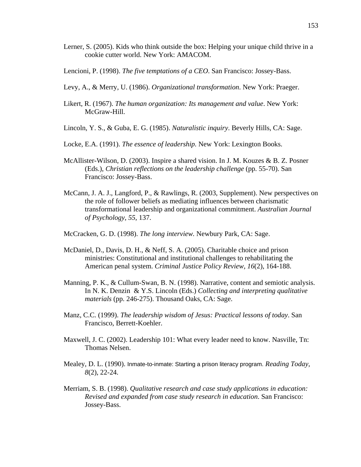- Lerner, S. (2005). Kids who think outside the box: Helping your unique child thrive in a cookie cutter world. New York: AMACOM.
- Lencioni, P. (1998). *The five temptations of a CEO*. San Francisco: Jossey-Bass.
- Levy, A., & Merry, U. (1986). *Organizational transformation*. New York: Praeger.
- Likert, R. (1967). *The human organization: Its management and value*. New York: McGraw-Hill.
- Lincoln, Y. S., & Guba, E. G. (1985). *Naturalistic inquiry*. Beverly Hills, CA: Sage.
- Locke, E.A. (1991). *The essence of leadership.* New York: Lexington Books.
- McAllister-Wilson, D. (2003). Inspire a shared vision. In J. M. Kouzes & B. Z. Posner (Eds.), *Christian reflections on the leadership challenge* (pp. 55-70). San Francisco: Jossey-Bass.
- McCann, J. A. J., Langford, P., & Rawlings, R. (2003, Supplement). New perspectives on the role of follower beliefs as mediating influences between charismatic transformational leadership and organizational commitment. *Australian Journal of Psychology, 55*, 137.
- McCracken, G. D. (1998). *The long interview.* Newbury Park, CA: Sage.
- McDaniel, D., Davis, D. H., & Neff, S. A. (2005). Charitable choice and prison ministries: Constitutional and institutional challenges to rehabilitating the American penal system. *Criminal Justice Policy Review, 16*(2), 164-188.
- Manning, P. K., & Cullum-Swan, B. N. (1998). Narrative, content and semiotic analysis. In N. K. Denzin & Y.S. Lincoln (Eds.) *Collecting and interpreting qualitative materials* (pp. 246-275). Thousand Oaks, CA: Sage.
- Manz, C.C. (1999). *The leadership wisdom of Jesus: Practical lessons of today*. San Francisco, Berrett-Koehler.
- Maxwell, J. C. (2002). Leadership 101: What every leader need to know. Nasville, Tn: Thomas Nelsen.
- Mealey, D. L. (1990). Inmate-to-inmate: Starting a prison literacy program. *Reading Today, 8*(2), 22-24.
- Merriam, S. B. (1998). *Qualitative research and case study applications in education: Revised and expanded from case study research in education*. San Francisco: Jossey-Bass.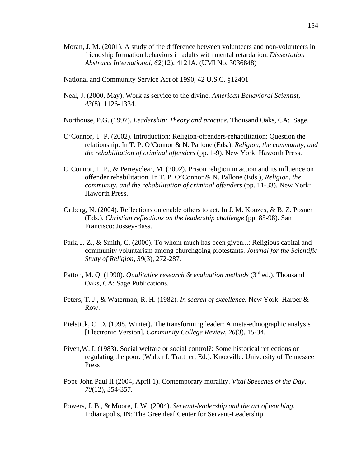- Moran, J. M. (2001). A study of the difference between volunteers and non-volunteers in friendship formation behaviors in adults with mental retardation. *Dissertation Abstracts International, 62*(12), 4121A. (UMI No. 3036848)
- National and Community Service Act of 1990, 42 U.S.C. §12401
- Neal, J. (2000, May). Work as service to the divine. *American Behavioral Scientist*, *43*(8), 1126-1334.
- Northouse, P.G. (1997). *Leadership: Theory and practice*. Thousand Oaks, CA: Sage.
- O'Connor, T. P. (2002). Introduction: Religion-offenders-rehabilitation: Question the relationship. In T. P. O'Connor & N. Pallone (Eds.), *Religion, the community, and the rehabilitation of criminal offenders* (pp. 1-9). New York: Haworth Press.
- O'Connor, T. P., & Perreyclear, M. (2002). Prison religion in action and its influence on offender rehabilitation. In T. P. O'Connor & N. Pallone (Eds.), *Religion, the community, and the rehabilitation of criminal offenders* (pp. 11-33). New York: Haworth Press.
- Ortberg, N. (2004). Reflections on enable others to act. In J. M. Kouzes, & B. Z. Posner (Eds.). *Christian reflections on the leadership challenge* (pp. 85-98). San Francisco: Jossey-Bass.
- Park, J. Z., & Smith, C. (2000). To whom much has been given...: Religious capital and community voluntarism among churchgoing protestants. *Journal for the Scientific Study of Religion, 39*(3), 272-287.
- Patton, M. Q. (1990). *Qualitative research & evaluation methods* (3<sup>rd</sup> ed.). Thousand Oaks, CA: Sage Publications.
- Peters, T. J., & Waterman, R. H. (1982). *In search of excellence.* New York: Harper & Row.
- Pielstick, C. D. (1998, Winter). The transforming leader: A meta-ethnographic analysis [Electronic Version]. *Community College Review, 26*(3), 15-34.
- Piven,W. I. (1983). Social welfare or social control?: Some historical reflections on regulating the poor. (Walter I. Trattner, Ed.). Knoxville: University of Tennessee Press
- Pope John Paul II (2004, April 1). Contemporary morality. *Vital Speeches of the Day*, *70*(12), 354-357.
- Powers, J. B., & Moore, J. W. (2004). *Servant-leadership and the art of teaching*. Indianapolis, IN: The Greenleaf Center for Servant-Leadership.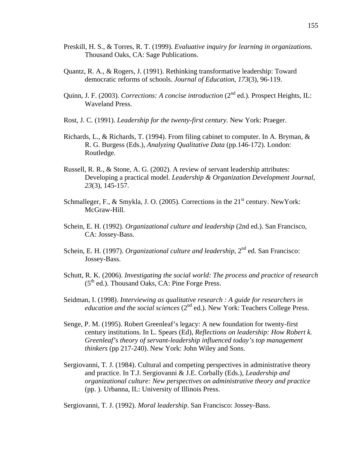- Preskill, H. S., & Torres, R. T. (1999). *Evaluative inquiry for learning in organizations*. Thousand Oaks, CA: Sage Publications.
- Quantz, R. A., & Rogers, J. (1991). Rethinking transformative leadership: Toward democratic reforms of schools. *Journal of Education*, *173*(3), 96-119.
- Quinn, J. F. (2003). *Corrections: A concise introduction* (2nd ed.). Prospect Heights, IL: Waveland Press.
- Rost, J. C. (1991). *Leadership for the twenty-first century.* New York: Praeger.
- Richards, L., & Richards, T. (1994). From filing cabinet to computer. In A. Bryman,  $\&$ R. G. Burgess (Eds.), *Analyzing Qualitative Data* (pp.146-172). London: Routledge.
- Russell, R. R., & Stone, A. G. (2002). A review of servant leadership attributes: Developing a practical model. *Leadership & Organization Development Journal, 23*(3), 145-157.
- Schmalleger, F., & Smykla, J. O. (2005). Corrections in the  $21<sup>st</sup>$  century. NewYork: McGraw-Hill.
- Schein, E. H. (1992). *Organizational culture and leadership* (2nd ed.). San Francisco, CA: Jossey-Bass.
- Schein, E. H. (1997). *Organizational culture and leadership*, 2<sup>nd</sup> ed. San Francisco: Jossey-Bass.
- Schutt, R. K. (2006). *Investigating the social world: The process and practice of research*  $(5<sup>th</sup>$  ed.). Thousand Oaks, CA: Pine Forge Press.
- Seidman, I. (1998). *Interviewing as qualitative research : A guide for researchers in education and the social sciences* (2<sup>nd</sup> ed.). New York: Teachers College Press.
- Senge, P. M. (1995). Robert Greenleaf's legacy: A new foundation for twenty-first century institutions. In L. Spears (Ed), *Reflections on leadership: How Robert k. Greenleaf's theory of servant-leadership influenced today's top management thinkers* (pp 217-240). New York: John Wiley and Sons.
- Sergiovanni, T. J. (1984). Cultural and competing perspectives in administrative theory and practice. In T.J. Sergiovanni & J.E. Corbally (Eds.), *Leadership and organizational culture: New perspectives on administrative theory and practice* (pp. ). Urbanna, IL: University of Illinois Press.

Sergiovanni, T. J. (1992). *Moral leadership*. San Francisco: Jossey-Bass.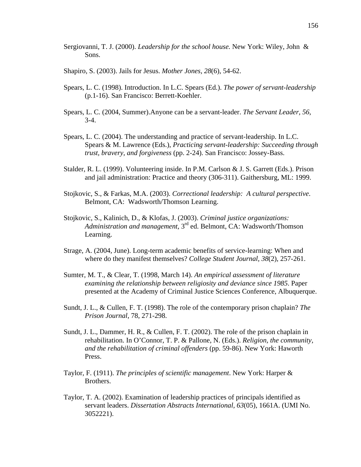- Sergiovanni, T. J. (2000). *Leadership for the school house.* New York: Wiley, John & Sons.
- Shapiro, S. (2003). Jails for Jesus. *Mother Jones, 28*(6), 54-62.
- Spears, L. C. (1998). Introduction. In L.C. Spears (Ed.). *The power of servant-leadership* (p.1-16). San Francisco: Berrett-Koehler.
- Spears, L. C. (2004, Summer).Anyone can be a servant-leader. *The Servant Leader, 56,*   $3-4.$
- Spears, L. C. (2004). The understanding and practice of servant-leadership. In L.C. Spears & M. Lawrence (Eds.), *Practicing servant-leadership: Succeeding through trust, bravery, and forgiveness* (pp. 2-24). San Francisco: Jossey-Bass.
- Stalder, R. L. (1999). Volunteering inside. In P.M. Carlson & J. S. Garrett (Eds.). Prison and jail administration: Practice and theory (306-311). Gaithersburg, ML: 1999.
- Stojkovic, S., & Farkas, M.A. (2003). *Correctional leadership: A cultural perspective*. Belmont, CA: Wadsworth/Thomson Learning.
- Stojkovic, S., Kalinich, D., & Klofas, J. (2003). *Criminal justice organizations: Administration and management,* 3rd ed. Belmont, CA: Wadsworth/Thomson Learning.
- Strage, A. (2004, June). Long-term academic benefits of service-learning: When and where do they manifest themselves? *College Student Journal, 38*(2), 257-261.
- Sumter, M. T., & Clear, T. (1998, March 14). *An empirical assessment of literature examining the relationship between religiosity and deviance since 1985*. Paper presented at the Academy of Criminal Justice Sciences Conference, Albuquerque.
- Sundt, J. L., & Cullen, F. T. (1998). The role of the contemporary prison chaplain? *The Prison Journal*, 78, 271-298.
- Sundt, J. L., Dammer, H. R., & Cullen, F. T. (2002). The role of the prison chaplain in rehabilitation. In O'Connor, T. P. & Pallone, N. (Eds.). *Religion, the community, and the rehabilitation of criminal offenders* (pp. 59-86). New York: Haworth Press.
- Taylor, F. (1911). *The principles of scientific management*. New York: Harper & Brothers.
- Taylor, T. A. (2002). Examination of leadership practices of principals identified as servant leaders. *Dissertation Abstracts International, 63*(05), 1661A. (UMI No. 3052221).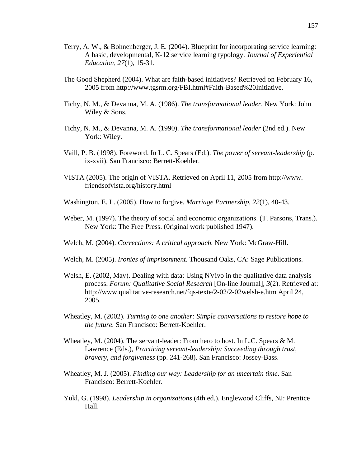- Terry, A. W., & Bohnenberger, J. E. (2004). Blueprint for incorporating service learning: A basic, developmental, K-12 service learning typology. *Journal of Experiential Education, 27*(1), 15-31.
- The Good Shepherd (2004). What are faith-based initiatives? Retrieved on February 16, 2005 from http://www.tgsrm.org/FBI.html#Faith-Based%20Initiative.
- Tichy, N. M., & Devanna, M. A. (1986). *The transformational leader*. New York: John Wiley & Sons.
- Tichy, N. M., & Devanna, M. A. (1990). *The transformational leader* (2nd ed.). New York: Wiley.
- Vaill, P. B. (1998). Foreword. In L. C. Spears (Ed.). *The power of servant-leadership* (p. ix-xvii). San Francisco: Berrett-Koehler.
- VISTA (2005). The origin of VISTA. Retrieved on April 11, 2005 from http://www. friendsofvista.org/history.html
- Washington, E. L. (2005). How to forgive. *Marriage Partnership*, *22*(1), 40-43.
- Weber, M. (1997). The theory of social and economic organizations. (T. Parsons, Trans.). New York: The Free Press. (0riginal work published 1947).
- Welch, M. (2004). *Corrections: A critical approach.* New York: McGraw-Hill.
- Welch, M. (2005). *Ironies of imprisonment*. Thousand Oaks, CA: Sage Publications.
- Welsh, E. (2002, May). Dealing with data: Using NVivo in the qualitative data analysis process. *Forum: Qualitative Social Research* [On-line Journal], *3*(2). Retrieved at: http://www.qualitative-research.net/fqs-texte/2-02/2-02welsh-e.htm April 24, 2005.
- Wheatley, M. (2002). *Turning to one another: Simple conversations to restore hope to the future.* San Francisco: Berrett-Koehler.
- Wheatley, M. (2004). The servant-leader: From hero to host. In L.C. Spears & M. Lawrence (Eds.), *Practicing servant-leadership: Succeeding through trust, bravery, and forgiveness* (pp. 241-268). San Francisco: Jossey-Bass.
- Wheatley, M. J. (2005). *Finding our way: Leadership for an uncertain time*. San Francisco: Berrett-Koehler.
- Yukl, G. (1998). *Leadership in organizations* (4th ed.). Englewood Cliffs, NJ: Prentice Hall.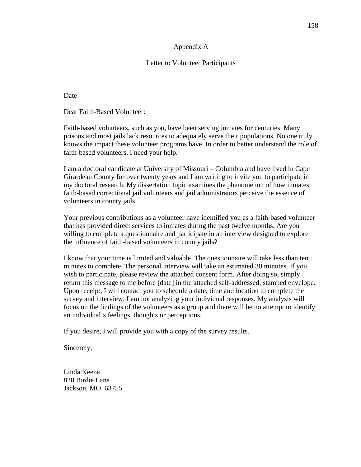### Appendix A

## Letter to Volunteer Participants

Date

Dear Faith-Based Volunteer:

Faith-based volunteers, such as you, have been serving inmates for centuries. Many prisons and most jails lack resources to adequately serve their populations. No one truly knows the impact these volunteer programs have. In order to better understand the role of faith-based volunteers, I need your help.

I am a doctoral candidate at University of Missouri – Columbia and have lived in Cape Girardeau County for over twenty years and I am writing to invite you to participate in my doctoral research. My dissertation topic examines the phenomenon of how inmates, faith-based correctional jail volunteers and jail administrators perceive the essence of volunteers in county jails.

Your previous contributions as a volunteer have identified you as a faith-based volunteer that has provided direct services to inmates during the past twelve months. Are you willing to complete a questionnaire and participate in an interview designed to explore the influence of faith-based volunteers in county jails?

I know that your time is limited and valuable. The questionnaire will take less than ten minutes to complete. The personal interview will take an estimated 30 minutes. If you wish to participate, please review the attached consent form. After doing so, simply return this message to me before [date] in the attached self-addressed, stamped envelope. Upon receipt, I will contact you to schedule a date, time and location to complete the survey and interview. I am not analyzing your individual responses. My analysis will focus on the findings of the volunteers as a group and there will be no attempt to identify an individual's feelings, thoughts or perceptions.

If you desire, I will provide you with a copy of the survey results.

Sincerely,

Linda Keena 820 Birdie Lane Jackson, MO 63755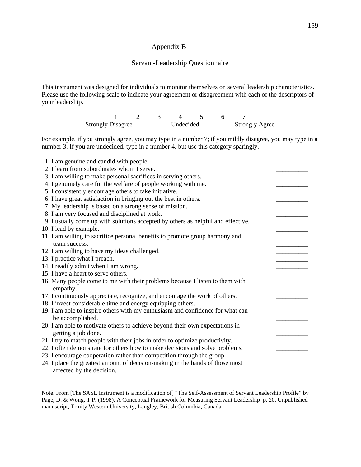#### Appendix B

#### Servant-Leadership Questionnaire

This instrument was designed for individuals to monitor themselves on several leadership characteristics. Please use the following scale to indicate your agreement or disagreement with each of the descriptors of your leadership.

> 1 2 3 4 5 6 7 Strongly Disagree Undecided Strongly Agree

For example, if you strongly agree, you may type in a number 7; if you mildly disagree, you may type in a number 3. If you are undecided, type in a number 4, but use this category sparingly.

| 1. I am genuine and candid with people.                                                                    |  |
|------------------------------------------------------------------------------------------------------------|--|
| 2. I learn from subordinates whom I serve.                                                                 |  |
| 3. I am willing to make personal sacrifices in serving others.                                             |  |
| 4. I genuinely care for the welfare of people working with me.                                             |  |
| 5. I consistently encourage others to take initiative.                                                     |  |
| 6. I have great satisfaction in bringing out the best in others.                                           |  |
| 7. My leadership is based on a strong sense of mission.                                                    |  |
| 8. I am very focused and disciplined at work.                                                              |  |
| 9. I usually come up with solutions accepted by others as helpful and effective.                           |  |
| 10. I lead by example.                                                                                     |  |
| 11. I am willing to sacrifice personal benefits to promote group harmony and                               |  |
| team success.                                                                                              |  |
| 12. I am willing to have my ideas challenged.                                                              |  |
| 13. I practice what I preach.                                                                              |  |
| 14. I readily admit when I am wrong.                                                                       |  |
| 15. I have a heart to serve others.                                                                        |  |
| 16. Many people come to me with their problems because I listen to them with<br>empathy.                   |  |
| 17. I continuously appreciate, recognize, and encourage the work of others.                                |  |
| 18. I invest considerable time and energy equipping others.                                                |  |
| 19. I am able to inspire others with my enthusiasm and confidence for what can                             |  |
| be accomplished.                                                                                           |  |
| 20. I am able to motivate others to achieve beyond their own expectations in<br>getting a job done.        |  |
| 21. I try to match people with their jobs in order to optimize productivity.                               |  |
| 22. I often demonstrate for others how to make decisions and solve problems.                               |  |
| 23. I encourage cooperation rather than competition through the group.                                     |  |
| 24. I place the greatest amount of decision-making in the hands of those most<br>affected by the decision. |  |
|                                                                                                            |  |

Note. From [The SASL Instrument is a modification of] "The Self-Assessment of Servant Leadership Profile" by Page, D. & Wong, T.P. (1998). A Conceptual Framework for Measuring Servant Leadership p. 20. Unpublished manuscript, Trinity Western University, Langley, British Columbia, Canada.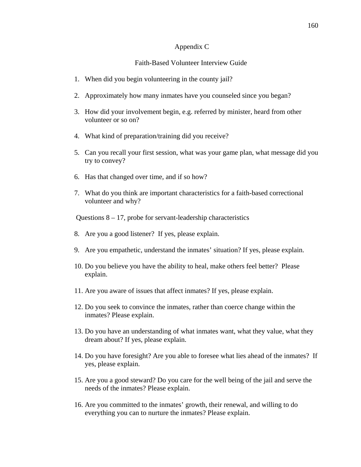#### Appendix C

# Faith-Based Volunteer Interview Guide

- 1. When did you begin volunteering in the county jail?
- 2. Approximately how many inmates have you counseled since you began?
- 3. How did your involvement begin, e.g. referred by minister, heard from other volunteer or so on?
- 4. What kind of preparation/training did you receive?
- 5. Can you recall your first session, what was your game plan, what message did you try to convey?
- 6. Has that changed over time, and if so how?
- 7. What do you think are important characteristics for a faith-based correctional volunteer and why?

Questions 8 – 17, probe for servant-leadership characteristics

- 8. Are you a good listener? If yes, please explain.
- 9. Are you empathetic, understand the inmates' situation? If yes, please explain.
- 10. Do you believe you have the ability to heal, make others feel better? Please explain.
- 11. Are you aware of issues that affect inmates? If yes, please explain.
- 12. Do you seek to convince the inmates, rather than coerce change within the inmates? Please explain.
- 13. Do you have an understanding of what inmates want, what they value, what they dream about? If yes, please explain.
- 14. Do you have foresight? Are you able to foresee what lies ahead of the inmates? If yes, please explain.
- 15. Are you a good steward? Do you care for the well being of the jail and serve the needs of the inmates? Please explain.
- 16. Are you committed to the inmates' growth, their renewal, and willing to do everything you can to nurture the inmates? Please explain.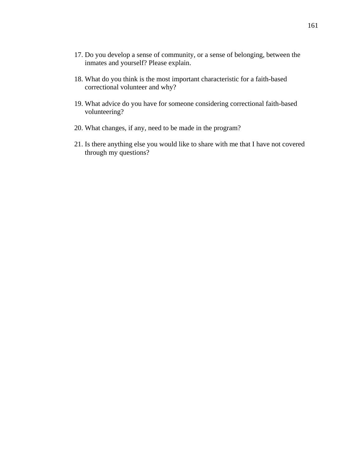- 17. Do you develop a sense of community, or a sense of belonging, between the inmates and yourself? Please explain.
- 18. What do you think is the most important characteristic for a faith-based correctional volunteer and why?
- 19. What advice do you have for someone considering correctional faith-based volunteering?
- 20. What changes, if any, need to be made in the program?
- 21. Is there anything else you would like to share with me that I have not covered through my questions?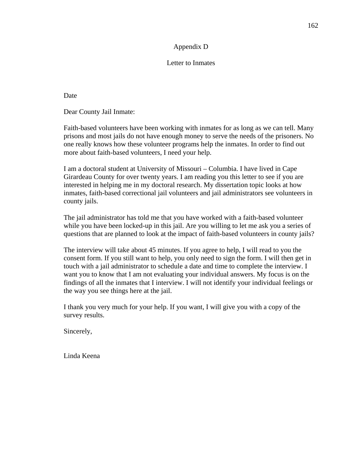# Appendix D

## Letter to Inmates

Date

Dear County Jail Inmate:

Faith-based volunteers have been working with inmates for as long as we can tell. Many prisons and most jails do not have enough money to serve the needs of the prisoners. No one really knows how these volunteer programs help the inmates. In order to find out more about faith-based volunteers, I need your help.

I am a doctoral student at University of Missouri – Columbia. I have lived in Cape Girardeau County for over twenty years. I am reading you this letter to see if you are interested in helping me in my doctoral research. My dissertation topic looks at how inmates, faith-based correctional jail volunteers and jail administrators see volunteers in county jails.

The jail administrator has told me that you have worked with a faith-based volunteer while you have been locked-up in this jail. Are you willing to let me ask you a series of questions that are planned to look at the impact of faith-based volunteers in county jails?

The interview will take about 45 minutes. If you agree to help, I will read to you the consent form. If you still want to help, you only need to sign the form. I will then get in touch with a jail administrator to schedule a date and time to complete the interview. I want you to know that I am not evaluating your individual answers. My focus is on the findings of all the inmates that I interview. I will not identify your individual feelings or the way you see things here at the jail.

I thank you very much for your help. If you want, I will give you with a copy of the survey results.

Sincerely,

Linda Keena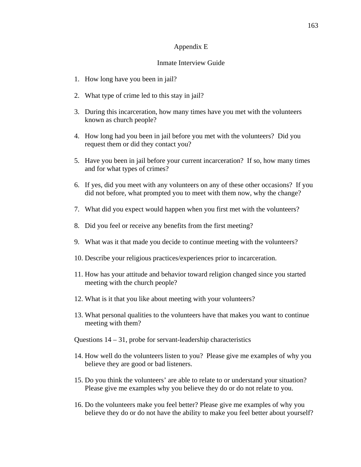#### Appendix E

### Inmate Interview Guide

- 1. How long have you been in jail?
- 2. What type of crime led to this stay in jail?
- 3. During this incarceration, how many times have you met with the volunteers known as church people?
- 4. How long had you been in jail before you met with the volunteers? Did you request them or did they contact you?
- 5. Have you been in jail before your current incarceration? If so, how many times and for what types of crimes?
- 6. If yes, did you meet with any volunteers on any of these other occasions? If you did not before, what prompted you to meet with them now, why the change?
- 7. What did you expect would happen when you first met with the volunteers?
- 8. Did you feel or receive any benefits from the first meeting?
- 9. What was it that made you decide to continue meeting with the volunteers?
- 10. Describe your religious practices/experiences prior to incarceration.
- 11. How has your attitude and behavior toward religion changed since you started meeting with the church people?
- 12. What is it that you like about meeting with your volunteers?
- 13. What personal qualities to the volunteers have that makes you want to continue meeting with them?
- Questions 14 31, probe for servant-leadership characteristics
- 14. How well do the volunteers listen to you? Please give me examples of why you believe they are good or bad listeners.
- 15. Do you think the volunteers' are able to relate to or understand your situation? Please give me examples why you believe they do or do not relate to you.
- 16. Do the volunteers make you feel better? Please give me examples of why you believe they do or do not have the ability to make you feel better about yourself?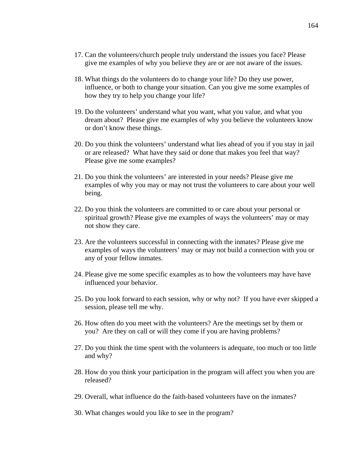- 17. Can the volunteers/church people truly understand the issues you face? Please give me examples of why you believe they are or are not aware of the issues.
- 18. What things do the volunteers do to change your life? Do they use power, influence, or both to change your situation. Can you give me some examples of how they try to help you change your life?
- 19. Do the volunteers' understand what you want, what you value, and what you dream about? Please give me examples of why you believe the volunteers know or don't know these things.
- 20. Do you think the volunteers' understand what lies ahead of you if you stay in jail or are released? What have they said or done that makes you feel that way? Please give me some examples?
- 21. Do you think the volunteers' are interested in your needs? Please give me examples of why you may or may not trust the volunteers to care about your well being.
- 22. Do you think the volunteers are committed to or care about your personal or spiritual growth? Please give me examples of ways the volunteers' may or may not show they care.
- 23. Are the volunteers successful in connecting with the inmates? Please give me examples of ways the volunteers' may or may not build a connection with you or any of your fellow inmates.
- 24. Please give me some specific examples as to how the volunteers may have have influenced your behavior.
- 25. Do you look forward to each session, why or why not? If you have ever skipped a session, please tell me why.
- 26. How often do you meet with the volunteers? Are the meetings set by them or you? Are they on call or will they come if you are having problems?
- 27. Do you think the time spent with the volunteers is adequate, too much or too little and why?
- 28. How do you think your participation in the program will affect you when you are released?
- 29. Overall, what influence do the faith-based volunteers have on the inmates?
- 30. What changes would you like to see in the program?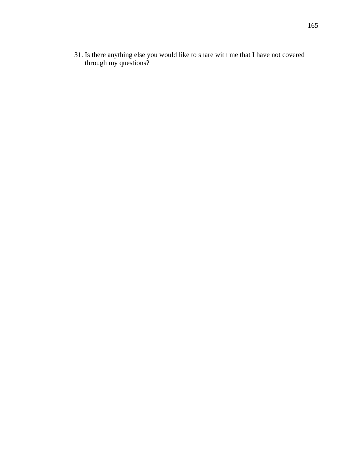31. Is there anything else you would like to share with me that I have not covered through my questions?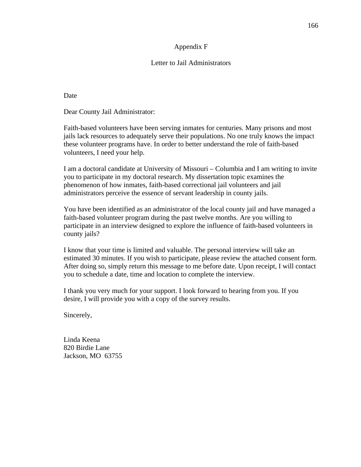## Appendix F

# Letter to Jail Administrators

Date

Dear County Jail Administrator:

Faith-based volunteers have been serving inmates for centuries. Many prisons and most jails lack resources to adequately serve their populations. No one truly knows the impact these volunteer programs have. In order to better understand the role of faith-based volunteers, I need your help.

I am a doctoral candidate at University of Missouri – Columbia and I am writing to invite you to participate in my doctoral research. My dissertation topic examines the phenomenon of how inmates, faith-based correctional jail volunteers and jail administrators perceive the essence of servant leadership in county jails.

You have been identified as an administrator of the local county jail and have managed a faith-based volunteer program during the past twelve months. Are you willing to participate in an interview designed to explore the influence of faith-based volunteers in county jails?

I know that your time is limited and valuable. The personal interview will take an estimated 30 minutes. If you wish to participate, please review the attached consent form. After doing so, simply return this message to me before date. Upon receipt, I will contact you to schedule a date, time and location to complete the interview.

I thank you very much for your support. I look forward to hearing from you. If you desire, I will provide you with a copy of the survey results.

Sincerely,

Linda Keena 820 Birdie Lane Jackson, MO 63755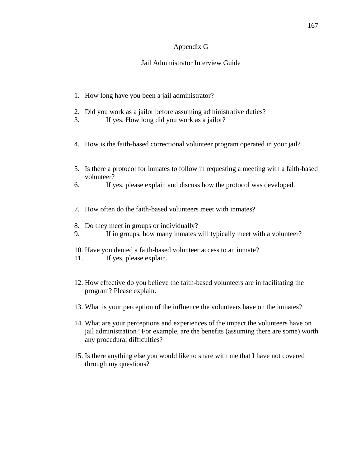## Appendix G

# Jail Administrator Interview Guide

- 1. How long have you been a jail administrator?
- 2. Did you work as a jailor before assuming administrative duties?
- 3. If yes, How long did you work as a jailor?
- 4. How is the faith-based correctional volunteer program operated in your jail?
- 5. Is there a protocol for inmates to follow in requesting a meeting with a faith-based volunteer?
- 6. If yes, please explain and discuss how the protocol was developed.
- 7. How often do the faith-based volunteers meet with inmates?
- 8. Do they meet in groups or individually?
- 9. If in groups, how many inmates will typically meet with a volunteer?
- 10. Have you denied a faith-based volunteer access to an inmate?
- 11. If yes, please explain.
- 12. How effective do you believe the faith-based volunteers are in facilitating the program? Please explain.
- 13. What is your perception of the influence the volunteers have on the inmates?
- 14. What are your perceptions and experiences of the impact the volunteers have on jail administration? For example, are the benefits (assuming there are some) worth any procedural difficulties?
- 15. Is there anything else you would like to share with me that I have not covered through my questions?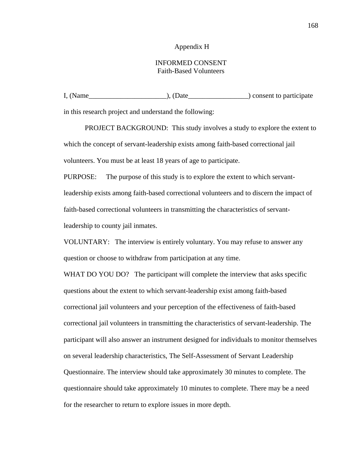#### Appendix H

# INFORMED CONSENT Faith-Based Volunteers

I, (Name\_\_\_\_\_\_\_\_\_\_\_\_\_\_\_\_\_\_\_\_\_\_), (Date\_\_\_\_\_\_\_\_\_\_\_\_\_\_\_\_\_) consent to participate

in this research project and understand the following:

PROJECT BACKGROUND: This study involves a study to explore the extent to which the concept of servant-leadership exists among faith-based correctional jail volunteers. You must be at least 18 years of age to participate.

PURPOSE: The purpose of this study is to explore the extent to which servantleadership exists among faith-based correctional volunteers and to discern the impact of faith-based correctional volunteers in transmitting the characteristics of servantleadership to county jail inmates.

VOLUNTARY: The interview is entirely voluntary. You may refuse to answer any question or choose to withdraw from participation at any time.

WHAT DO YOU DO? The participant will complete the interview that asks specific questions about the extent to which servant-leadership exist among faith-based correctional jail volunteers and your perception of the effectiveness of faith-based correctional jail volunteers in transmitting the characteristics of servant-leadership. The participant will also answer an instrument designed for individuals to monitor themselves on several leadership characteristics, The Self-Assessment of Servant Leadership Questionnaire. The interview should take approximately 30 minutes to complete. The questionnaire should take approximately 10 minutes to complete. There may be a need for the researcher to return to explore issues in more depth.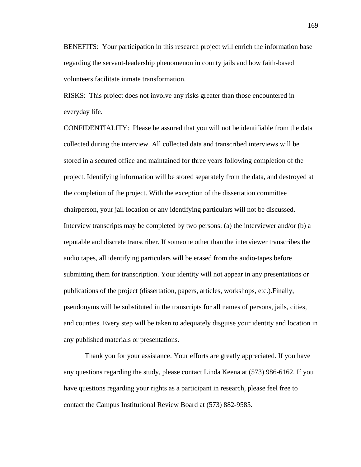BENEFITS: Your participation in this research project will enrich the information base regarding the servant-leadership phenomenon in county jails and how faith-based volunteers facilitate inmate transformation.

RISKS: This project does not involve any risks greater than those encountered in everyday life.

CONFIDENTIALITY: Please be assured that you will not be identifiable from the data collected during the interview. All collected data and transcribed interviews will be stored in a secured office and maintained for three years following completion of the project. Identifying information will be stored separately from the data, and destroyed at the completion of the project. With the exception of the dissertation committee chairperson, your jail location or any identifying particulars will not be discussed. Interview transcripts may be completed by two persons: (a) the interviewer and/or (b) a reputable and discrete transcriber. If someone other than the interviewer transcribes the audio tapes, all identifying particulars will be erased from the audio-tapes before submitting them for transcription. Your identity will not appear in any presentations or publications of the project (dissertation, papers, articles, workshops, etc.).Finally, pseudonyms will be substituted in the transcripts for all names of persons, jails, cities, and counties. Every step will be taken to adequately disguise your identity and location in any published materials or presentations.

 Thank you for your assistance. Your efforts are greatly appreciated. If you have any questions regarding the study, please contact Linda Keena at (573) 986-6162. If you have questions regarding your rights as a participant in research, please feel free to contact the Campus Institutional Review Board at (573) 882-9585.

169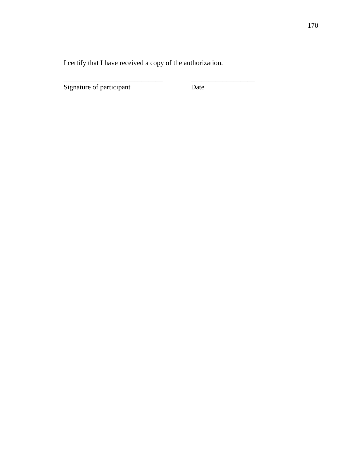I certify that I have received a copy of the authorization.

\_\_\_\_\_\_\_\_\_\_\_\_\_\_\_\_\_\_\_\_\_\_\_\_\_\_\_\_ \_\_\_\_\_\_\_\_\_\_\_\_\_\_\_\_\_\_

Signature of participant Date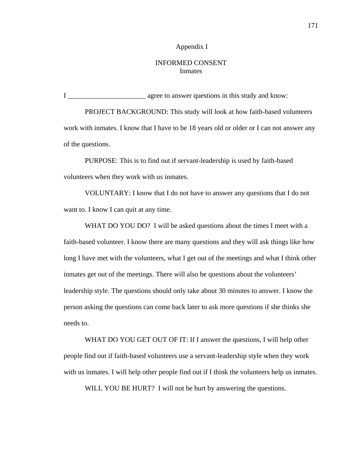### Appendix I

# INFORMED CONSENT Inmates

I \_\_\_\_\_\_\_\_\_\_\_\_\_\_\_\_\_\_\_\_\_\_ agree to answer questions in this study and know:

PROJECT BACKGROUND: This study will look at how faith-based volunteers work with inmates. I know that I have to be 18 years old or older or I can not answer any of the questions.

 PURPOSE: This is to find out if servant-leadership is used by faith-based volunteers when they work with us inmates.

 VOLUNTARY: I know that I do not have to answer any questions that I do not want to. I know I can quit at any time.

WHAT DO YOU DO? I will be asked questions about the times I meet with a faith-based volunteer. I know there are many questions and they will ask things like how long I have met with the volunteers, what I get out of the meetings and what I think other inmates get out of the meetings. There will also be questions about the volunteers' leadership style. The questions should only take about 30 minutes to answer. I know the person asking the questions can come back later to ask more questions if she thinks she needs to.

WHAT DO YOU GET OUT OF IT: If I answer the questions, I will help other people find out if faith-based volunteers use a servant-leadership style when they work with us inmates. I will help other people find out if I think the volunteers help us inmates.

WILL YOU BE HURT? I will not be hurt by answering the questions.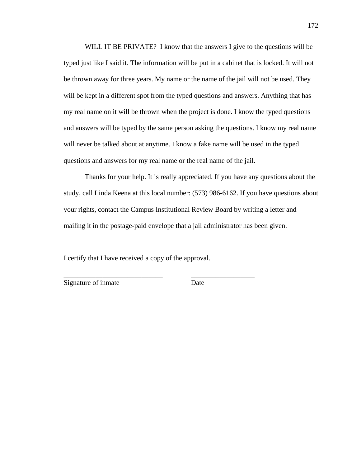WILL IT BE PRIVATE? I know that the answers I give to the questions will be typed just like I said it. The information will be put in a cabinet that is locked. It will not be thrown away for three years. My name or the name of the jail will not be used. They will be kept in a different spot from the typed questions and answers. Anything that has my real name on it will be thrown when the project is done. I know the typed questions and answers will be typed by the same person asking the questions. I know my real name will never be talked about at anytime. I know a fake name will be used in the typed questions and answers for my real name or the real name of the jail.

 Thanks for your help. It is really appreciated. If you have any questions about the study, call Linda Keena at this local number: (573) 986-6162. If you have questions about your rights, contact the Campus Institutional Review Board by writing a letter and mailing it in the postage-paid envelope that a jail administrator has been given.

I certify that I have received a copy of the approval.

\_\_\_\_\_\_\_\_\_\_\_\_\_\_\_\_\_\_\_\_\_\_\_\_\_\_\_\_ \_\_\_\_\_\_\_\_\_\_\_\_\_\_\_\_\_\_

Signature of inmate Date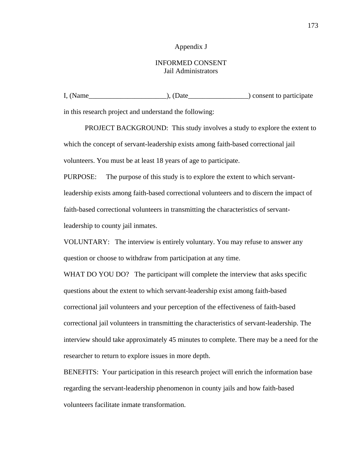### Appendix J

# INFORMED CONSENT Jail Administrators

I, (Name\_\_\_\_\_\_\_\_\_\_\_\_\_\_\_\_\_\_\_\_\_\_), (Date\_\_\_\_\_\_\_\_\_\_\_\_\_\_\_\_\_) consent to participate

in this research project and understand the following:

PROJECT BACKGROUND: This study involves a study to explore the extent to which the concept of servant-leadership exists among faith-based correctional jail volunteers. You must be at least 18 years of age to participate.

PURPOSE: The purpose of this study is to explore the extent to which servantleadership exists among faith-based correctional volunteers and to discern the impact of faith-based correctional volunteers in transmitting the characteristics of servantleadership to county jail inmates.

VOLUNTARY: The interview is entirely voluntary. You may refuse to answer any question or choose to withdraw from participation at any time.

WHAT DO YOU DO? The participant will complete the interview that asks specific questions about the extent to which servant-leadership exist among faith-based correctional jail volunteers and your perception of the effectiveness of faith-based correctional jail volunteers in transmitting the characteristics of servant-leadership. The interview should take approximately 45 minutes to complete. There may be a need for the researcher to return to explore issues in more depth.

BENEFITS: Your participation in this research project will enrich the information base regarding the servant-leadership phenomenon in county jails and how faith-based volunteers facilitate inmate transformation.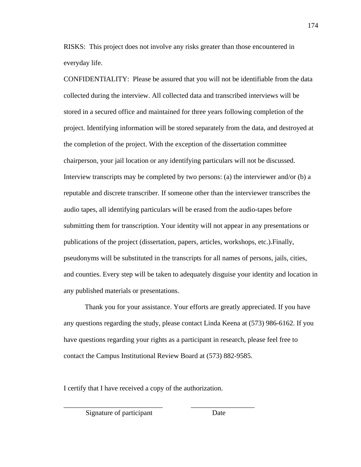RISKS: This project does not involve any risks greater than those encountered in everyday life.

CONFIDENTIALITY: Please be assured that you will not be identifiable from the data collected during the interview. All collected data and transcribed interviews will be stored in a secured office and maintained for three years following completion of the project. Identifying information will be stored separately from the data, and destroyed at the completion of the project. With the exception of the dissertation committee chairperson, your jail location or any identifying particulars will not be discussed. Interview transcripts may be completed by two persons: (a) the interviewer and/or (b) a reputable and discrete transcriber. If someone other than the interviewer transcribes the audio tapes, all identifying particulars will be erased from the audio-tapes before submitting them for transcription. Your identity will not appear in any presentations or publications of the project (dissertation, papers, articles, workshops, etc.).Finally, pseudonyms will be substituted in the transcripts for all names of persons, jails, cities, and counties. Every step will be taken to adequately disguise your identity and location in any published materials or presentations.

 Thank you for your assistance. Your efforts are greatly appreciated. If you have any questions regarding the study, please contact Linda Keena at (573) 986-6162. If you have questions regarding your rights as a participant in research, please feel free to contact the Campus Institutional Review Board at (573) 882-9585.

I certify that I have received a copy of the authorization.

\_\_\_\_\_\_\_\_\_\_\_\_\_\_\_\_\_\_\_\_\_\_\_\_\_\_\_\_ \_\_\_\_\_\_\_\_\_\_\_\_\_\_\_\_\_\_

Signature of participant Date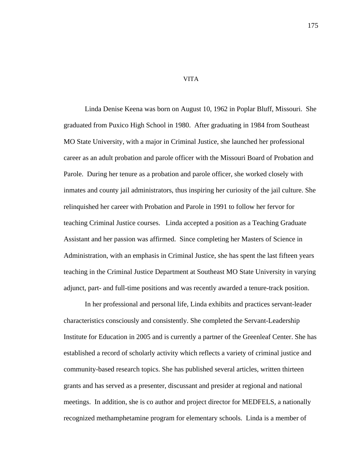Linda Denise Keena was born on August 10, 1962 in Poplar Bluff, Missouri. She graduated from Puxico High School in 1980. After graduating in 1984 from Southeast MO State University, with a major in Criminal Justice, she launched her professional career as an adult probation and parole officer with the Missouri Board of Probation and Parole. During her tenure as a probation and parole officer, she worked closely with inmates and county jail administrators, thus inspiring her curiosity of the jail culture. She relinquished her career with Probation and Parole in 1991 to follow her fervor for teaching Criminal Justice courses. Linda accepted a position as a Teaching Graduate Assistant and her passion was affirmed. Since completing her Masters of Science in Administration, with an emphasis in Criminal Justice, she has spent the last fifteen years teaching in the Criminal Justice Department at Southeast MO State University in varying adjunct, part- and full-time positions and was recently awarded a tenure-track position.

 In her professional and personal life, Linda exhibits and practices servant-leader characteristics consciously and consistently. She completed the Servant-Leadership Institute for Education in 2005 and is currently a partner of the Greenleaf Center. She has established a record of scholarly activity which reflects a variety of criminal justice and community-based research topics. She has published several articles, written thirteen grants and has served as a presenter, discussant and presider at regional and national meetings. In addition, she is co author and project director for MEDFELS, a nationally recognized methamphetamine program for elementary schools. Linda is a member of

#### VITA